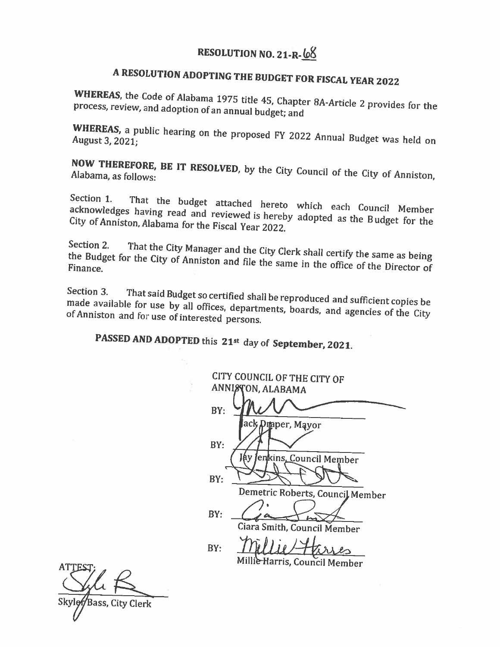### RESOLUTION NO. 21-R-68

# A RESOLUTION ADOPTING THE BUDGET FOR FISCAL YEAR 2022

WHEREAS, the Code of Alabama 1975 title 45, Chapter 8A-Article 2 provides for the process, review, and adoption of an annual budget; and

WHEREAS, a public hearing on the proposed FY 2022 Annual Budget was held on August 3, 2021;

NOW THEREFORE, BE IT RESOLVED, by the City Council of the City of Anniston,

Section 1. That the budget attached hereto which each Council Member acknowledges having read and reviewed is hereby adopted as the Budget for the City of Anniston, Alabama for the Fiscal Year 2022.

Section 2. That the City Manager and the City Clerk shall certify the same as being the Budget for the City of Anniston and file the same in the office of the Director of Finance.

Section 3. That said Budget so certified shall be reproduced and sufficient copies be made available for use by all offices, departments, boards, and agencies of the City of Anniston and for use of interested persons.

PASSED AND ADOPTED this 21st day of September, 2021.

CITY COUNCIL OF THE CITY OF ANNISTON, ALABAMA  $BY:$ maper, Mayor BY: enkins<u>. Council Member</u> Áу  $BY:$ Demetric Roberts, Council Member  $BY:$ Ciara Smith. Council Member  $BY:$ Millie Harris, Council Member

Bass, City Clerk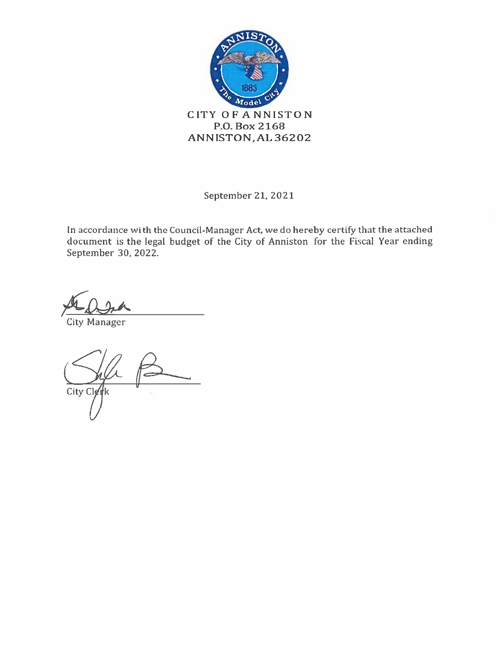

September 21, 2021

In accordance with the Council-Manager Act, we do hereby certify that the attached document is the legal budget of the City of Anniston for the Fiscal Year ending September 30, 2022.

**City Manager** 

City Clet łk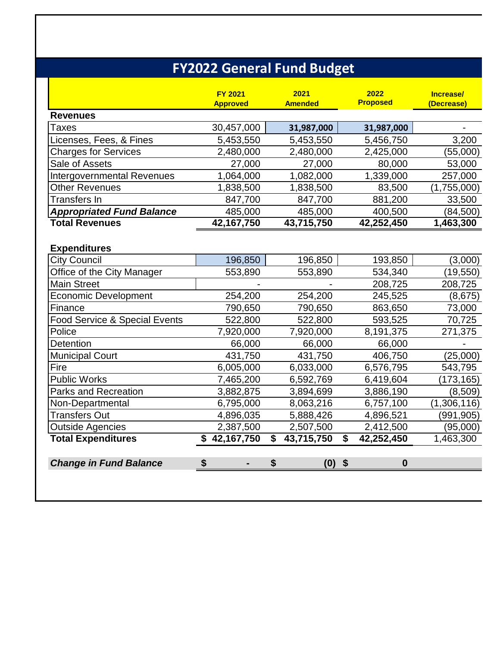|                                   | <b>FY2022 General Fund Budget</b> |                        |                         |                           |
|-----------------------------------|-----------------------------------|------------------------|-------------------------|---------------------------|
|                                   | <b>FY 2021</b><br><b>Approved</b> | 2021<br><b>Amended</b> | 2022<br><b>Proposed</b> | Increase/<br>(Decrease)   |
| <b>Revenues</b>                   |                                   |                        |                         |                           |
| <b>Taxes</b>                      | 30,457,000                        | 31,987,000             | 31,987,000              |                           |
| Licenses, Fees, & Fines           | 5,453,550                         | 5,453,550              | 5,456,750               | 3,200                     |
| <b>Charges for Services</b>       | 2,480,000                         | 2,480,000              | 2,425,000               | (55,000)                  |
| Sale of Assets                    | 27,000                            | 27,000                 | 80,000                  | 53,000                    |
| <b>Intergovernmental Revenues</b> | 1,064,000                         | 1,082,000              | 1,339,000               | 257,000                   |
| <b>Other Revenues</b>             | 1,838,500                         | 1,838,500              | 83,500                  | (1,755,000)               |
| Transfers In                      | 847,700                           | 847,700                | 881,200                 | 33,500                    |
| <b>Appropriated Fund Balance</b>  | 485,000                           | 485,000                | 400,500                 | (84, 500)                 |
| <b>Total Revenues</b>             | 42,167,750                        | 43,715,750             | 42,252,450              | 1,463,300                 |
| <b>Expenditures</b>               |                                   |                        |                         |                           |
| <b>City Council</b>               | 196,850                           | 196,850                | 193,850                 | (3,000)                   |
| Office of the City Manager        | 553,890                           | 553,890                | 534,340                 | (19, 550)                 |
| <b>Main Street</b>                |                                   |                        | 208,725                 | 208,725                   |
| <b>Economic Development</b>       | 254,200                           | 254,200                | 245,525                 | (8, 675)                  |
| Finance                           | 790,650                           | 790,650                | 863,650                 | 73,000                    |
| Food Service & Special Events     | 522,800                           | 522,800                | 593,525                 | 70,725                    |
| Police                            | 7,920,000                         | 7,920,000              | 8,191,375               | 271,375                   |
| Detention                         | 66,000<br>431,750                 | 66,000                 | 66,000<br>406,750       |                           |
| <b>Municipal Court</b><br>Fire    | 6,005,000                         | 431,750<br>6,033,000   | 6,576,795               | (25,000)<br>543,795       |
| <b>Public Works</b>               | 7,465,200                         | 6,592,769              | 6,419,604               |                           |
| <b>Parks and Recreation</b>       | 3,882,875                         | 3,894,699              | 3,886,190               | (173, 165)<br>(8,509)     |
|                                   | 6,795,000                         |                        |                         |                           |
| Non-Departmental<br>Transfers Out | 4,896,035                         | 8,063,216<br>5,888,426 | 6,757,100<br>4,896,521  | (1,306,116)<br>(991, 905) |
| <b>Outside Agencies</b>           | 2,387,500                         | 2,507,500              | 2,412,500               | (95,000)                  |
| <b>Total Expenditures</b>         | \$42,167,750                      | \$<br>43,715,750       | \$<br>42,252,450        | 1,463,300                 |
|                                   |                                   |                        |                         |                           |
| <b>Change in Fund Balance</b>     | \$                                | \$<br>$(0)$ \$         | $\boldsymbol{0}$        |                           |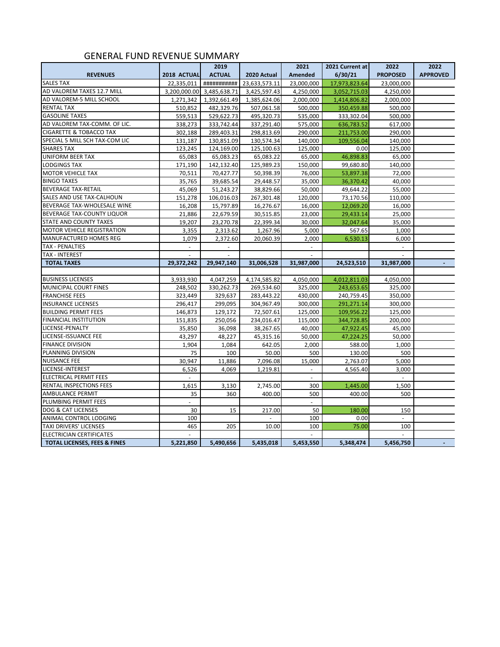#### GENERAL FUND REVENUE SUMMARY

|                                         |             | 2019                      |               | 2021           | 2021 Current at | 2022            | 2022            |
|-----------------------------------------|-------------|---------------------------|---------------|----------------|-----------------|-----------------|-----------------|
| <b>REVENUES</b>                         | 2018 ACTUAL | <b>ACTUAL</b>             | 2020 Actual   | <b>Amended</b> | 6/30/21         | <b>PROPOSED</b> | <b>APPROVED</b> |
| <b>SALES TAX</b>                        | 22,335,011  | ###########               | 23,633,573.11 | 23,000,000     | 17,973,823.64   | 23,000,000      |                 |
| AD VALOREM TAXES 12.7 MILL              |             | 3,200,000.00 3,485,638.71 | 3,425,597.43  | 4,250,000      | 3,052,715.03    | 4,250,000       |                 |
| AD VALOREM-5 MILL SCHOOL                | 1,271,342   | 1,392,661.49              | 1,385,624.06  | 2,000,000      | 1,414,806.82    | 2,000,000       |                 |
| <b>RENTAL TAX</b>                       | 510,852     | 482,329.76                | 507,061.58    | 500,000        | 350,459.88      | 500,000         |                 |
| <b>GASOLINE TAXES</b>                   | 559,513     | 529,622.73                | 495,320.73    | 535,000        | 333,302.04      | 500,000         |                 |
| AD VALOREM TAX-COMM. OF LIC.            | 338,273     | 333,742.44                | 337,291.40    | 575,000        | 636,783.52      | 617,000         |                 |
| <b>CIGARETTE &amp; TOBACCO TAX</b>      | 302,188     | 289,403.31                | 298,813.69    | 290,000        | 211,753.00      | 290,000         |                 |
| SPECIAL 5 MILL SCH TAX-COM LIC          | 131,187     | 130,851.09                | 130,574.34    | 140,000        | 109,556.04      | 140,000         |                 |
| <b>SHARES TAX</b>                       | 123,245     | 124,169.00                | 125,100.63    | 125,000        | 0.00            | 125,000         |                 |
| <b>UNIFORM BEER TAX</b>                 | 65,083      | 65,083.23                 | 65,083.22     | 65,000         | 46,898.83       | 65,000          |                 |
| <b>LODGINGS TAX</b>                     | 171,190     | 142,132.40                | 125,989.23    | 150,000        | 99,680.80       | 140,000         |                 |
| <b>MOTOR VEHICLE TAX</b>                | 70,511      | 70,427.77                 | 50,398.39     | 76,000         | 53,897.38       | 72,000          |                 |
| <b>BINGO TAXES</b>                      | 35,765      | 39,685.54                 | 29,448.57     | 35,000         | 36,370.42       | 40,000          |                 |
| <b>BEVERAGE TAX-RETAIL</b>              | 45,069      | 51,243.27                 | 38,829.66     | 50,000         | 49,644.22       | 55,000          |                 |
| SALES AND USE TAX-CALHOUN               | 151,278     | 106,016.03                | 267,301.48    | 120,000        | 73,170.56       | 110,000         |                 |
| BEVERAGE TAX-WHOLESALE WINE             | 16,208      | 15,797.89                 | 16,276.67     | 16,000         | 12,069.20       | 16,000          |                 |
| BEVERAGE TAX-COUNTY LIQUOR              | 21,886      | 22,679.59                 | 30,515.85     | 23,000         | 29,433.14       | 25,000          |                 |
| STATE AND COUNTY TAXES                  | 19,207      | 23,270.78                 | 22,399.34     | 30,000         | 32,047.64       | 35,000          |                 |
| MOTOR VEHICLE REGISTRATION              | 3,355       | 2,313.62                  | 1,267.96      | 5,000          | 567.65          | 1,000           |                 |
| <b>MANUFACTURED HOMES REG</b>           | 1,079       | 2,372.60                  | 20,060.39     | 2,000          | 6,530.13        | 6,000           |                 |
| <b>TAX - PENALTIES</b>                  | $\sim$      |                           |               |                |                 |                 |                 |
| <b>TAX - INTEREST</b>                   |             |                           |               |                |                 |                 |                 |
| <b>TOTAL TAXES</b>                      | 29,372,242  | 29,947,140                | 31,006,528    | 31,987,000     | 24,523,510      | 31,987,000      |                 |
|                                         |             |                           |               |                |                 |                 |                 |
| <b>BUSINESS LICENSES</b>                | 3,933,930   | 4,047,259                 | 4,174,585.82  | 4,050,000      | 4,012,811.03    | 4,050,000       |                 |
| MUNICIPAL COURT FINES                   | 248,502     | 330,262.73                | 269,534.60    | 325,000        | 243,653.65      | 325,000         |                 |
| <b>FRANCHISE FEES</b>                   | 323,449     | 329,637                   | 283,443.22    | 430,000        | 240,759.45      | 350,000         |                 |
| <b>INSURANCE LICENSES</b>               | 296,417     | 299,095                   | 304,967.49    | 300,000        | 291,271.14      | 300,000         |                 |
| <b>BUILDING PERMIT FEES</b>             | 146,873     | 129,172                   | 72,507.61     | 125,000        | 109,956.22      | 125,000         |                 |
| <b>FINANCIAL INSTITUTION</b>            | 151,835     | 250,056                   | 234,016.47    | 115,000        | 344,728.85      | 200,000         |                 |
| LICENSE-PENALTY                         | 35,850      | 36,098                    | 38,267.65     | 40,000         | 47,922.45       | 45,000          |                 |
| LICENSE-ISSUANCE FEE                    | 43,297      | 48,227                    | 45,315.16     | 50,000         | 47,224.25       | 50,000          |                 |
| <b>FINANCE DIVISION</b>                 | 1,904       | 1,084                     | 642.05        | 2,000          | 588.00          | 1,000           |                 |
| PLANNING DIVISION                       | 75          | 100                       | 50.00         | 500            | 130.00          | 500             |                 |
| <b>NUISANCE FEE</b>                     | 30,947      | 11,886                    | 7,096.08      | 15,000         | 2,763.07        | 5,000           |                 |
| LICENSE-INTEREST                        | 6,526       | 4,069                     | 1,219.81      | $\omega$       | 4,565.40        | 3,000           |                 |
| <b>ELECTRICAL PERMIT FEES</b>           |             |                           |               |                |                 | $\sim$          |                 |
| RENTAL INSPECTIONS FEES                 | 1,615       | 3,130                     | 2,745.00      | 300            | 1,445.00        | 1,500           |                 |
| <b>AMBULANCE PERMIT</b>                 | 35          | 360                       | 400.00        | 500            | 400.00          | 500             |                 |
| PLUMBING PERMIT FEES                    | $\sim$      |                           |               | $\sim$         |                 |                 |                 |
| DOG & CAT LICENSES                      | 30          | 15                        | 217.00        | 50             | 180.00          | 150             |                 |
| ANIMAL CONTROL LODGING                  | 100         |                           |               | 100            | 0.00            | ÷.              |                 |
| TAXI DRIVERS' LICENSES                  | 465         | 205                       | 10.00         | 100            | 75.00           | 100             |                 |
| ELECTRICIAN CERTIFICATES                |             |                           |               |                |                 |                 |                 |
| <b>TOTAL LICENSES, FEES &amp; FINES</b> | 5,221,850   | 5,490,656                 | 5,435,018     | 5,453,550      | 5,348,474       | 5,456,750       |                 |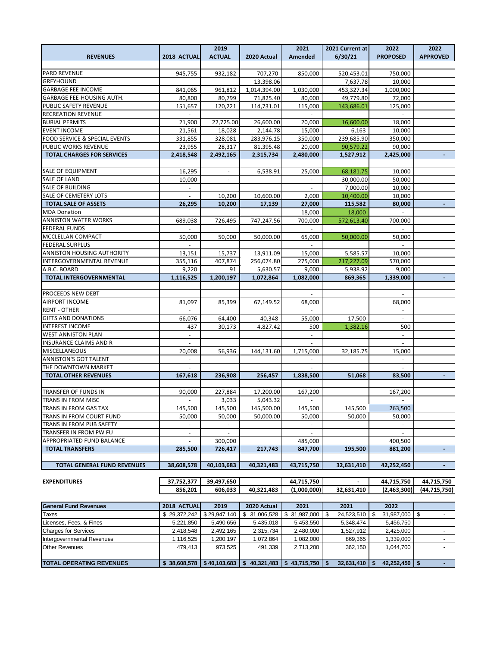|                                          |                | 2019           |               | 2021                     | 2021 Current at  | 2022             | 2022            |
|------------------------------------------|----------------|----------------|---------------|--------------------------|------------------|------------------|-----------------|
| <b>REVENUES</b>                          | 2018 ACTUAL    | <b>ACTUAL</b>  | 2020 Actual   | Amended                  | 6/30/21          | <b>PROPOSED</b>  | <b>APPROVED</b> |
|                                          |                |                |               |                          |                  |                  |                 |
| PARD REVENUE                             | 945,755        | 932,182        | 707,270       | 850,000                  | 520,453.01       | 750,000          |                 |
| <b>GREYHOUND</b>                         |                |                | 13,398.06     |                          | 7,637.78         | 10,000           |                 |
| <b>GARBAGE FEE INCOME</b>                | 841,065        | 961,812        | 1.014.394.00  | 1,030,000                | 453,327.34       | 1.000.000        |                 |
| GARBAGE FEE-HOUSING AUTH.                | 80,800         | 80,799         | 71,825.40     | 80,000                   | 49,779.80        | 72,000           |                 |
| PUBLIC SAFETY REVENUE                    | 151,657        | 120,221        | 114,731.01    | 115,000                  | 143,686.01       | 125,000          |                 |
| <b>RECREATION REVENUE</b>                |                |                |               |                          |                  |                  |                 |
| <b>BURIAL PERMITS</b>                    | 21,900         | 22,725.00      | 26,600.00     | 20,000                   | 16,600.00        | 18,000           |                 |
| <b>EVENT INCOME</b>                      | 21,561         | 18,028         | 2,144.78      | 15,000                   | 6,163            | 10,000           |                 |
| <b>FOOD SERVICE &amp; SPECIAL EVENTS</b> | 331,855        | 328,081        | 283,976.15    | 350,000                  | 239,685.90       | 350,000          |                 |
| PUBLIC WORKS REVENUE                     | 23,955         | 28,317         | 81,395.48     | 20,000                   | 90,579.22        | 90,000           |                 |
| <b>TOTAL CHARGES FOR SERVICES</b>        | 2,418,548      | 2,492,165      | 2,315,734     | 2,480,000                | 1,527,912        | 2,425,000        |                 |
|                                          |                |                |               |                          |                  |                  |                 |
| SALE OF EQUIPMENT                        | 16,295         |                | 6,538.91      | 25,000                   | 68,181.75        | 10,000           |                 |
| SALE OF LAND                             | 10,000         |                |               |                          | 30,000.00        | 50,000           |                 |
| SALE OF BUILDING                         | $\blacksquare$ |                |               | $\overline{\phantom{a}}$ | 7,000.00         | 10,000           |                 |
| SALE OF CEMETERY LOTS                    |                | 10,200         | 10,600.00     | 2,000                    | 10,400.00        | 10,000           |                 |
| <b>TOTAL SALE OF ASSETS</b>              | 26,295         | 10,200         | 17,139        | 27,000                   | 115,582          | 80,000           |                 |
| <b>MDA Donation</b>                      |                |                |               | 18,000                   | 18,000           |                  |                 |
| <b>ANNISTON WATER WORKS</b>              | 689,038        | 726,495        | 747,247.56    | 700,000                  | 572,613.40       | 700,000          |                 |
| <b>FEDERAL FUNDS</b>                     |                |                |               |                          |                  |                  |                 |
| MCCLELLAN COMPACT                        | 50,000         | 50,000         | 50,000.00     | 65,000                   | 50,000.00        | 50,000           |                 |
| <b>FEDERAL SURPLUS</b>                   |                |                |               |                          |                  |                  |                 |
| ANNISTON HOUSING AUTHORITY               | 13,151         | 15,737         | 13,911.09     | 15,000                   | 5,585.57         | 10,000           |                 |
| INTERGOVERNMENTAL REVENUE                | 355,116        | 407,874        | 256,074.80    | 275,000                  | 217,227.09       | 570,000          |                 |
| A.B.C. BOARD                             | 9,220          | 91             | 5,630.57      | 9,000                    | 5,938.92         | 9,000            |                 |
| <b>TOTAL INTERGOVERNMENTAL</b>           | 1,116,525      | 1,200,197      | 1,072,864     | 1,082,000                | 869,365          | 1,339,000        |                 |
| PROCEEDS NEW DEBT                        |                |                |               |                          |                  |                  |                 |
| AIRPORT INCOME                           | 81,097         | 85,399         | 67,149.52     | 68,000                   |                  | 68,000           |                 |
| <b>RENT - OTHER</b>                      |                |                |               |                          |                  | $\sim$           |                 |
| <b>GIFTS AND DONATIONS</b>               | 66,076         | 64,400         | 40,348        | 55,000                   | 17,500           |                  |                 |
| <b>INTEREST INCOME</b>                   | 437            | 30,173         | 4,827.42      | 500                      | 1,382.16         | 500              |                 |
| <b>WEST ANNISTON PLAN</b>                | $\omega$       |                |               | $\omega$                 |                  | $\equiv$         |                 |
| <b>INSURANCE CLAIMS AND R</b>            |                |                |               |                          |                  |                  |                 |
| <b>MISCELLANEOUS</b>                     | 20,008         | 56,936         | 144,131.60    | 1,715,000                | 32,185.75        | 15,000           |                 |
| <b>ANNISTON'S GOT TALENT</b>             |                |                |               |                          |                  | ÷.               |                 |
| THE DOWNTOWN MARKET                      |                |                |               |                          |                  |                  |                 |
| <b>TOTAL OTHER REVENUES</b>              |                |                |               |                          |                  |                  |                 |
|                                          | 167,618        | 236,908        | 256,457       | 1,838,500                | 51,068           | 83,500           |                 |
| TRANSFER OF FUNDS IN                     | 90,000         | 227,884        | 17,200.00     | 167,200                  |                  | 167,200          |                 |
| TRANS IN FROM MISC                       |                | 3,033          | 5,043.32      |                          |                  |                  |                 |
| TRANS IN FROM GAS TAX                    | 145,500        | 145,500        | 145,500.00    | 145,500                  | 145,500          | 263,500          |                 |
| TRANS IN FROM COURT FUND                 | 50,000         | 50,000         | 50,000.00     | 50,000                   | 50,000           | 50,000           |                 |
| TRANS IN FROM PUB SAFETY                 |                |                |               |                          |                  | a.               |                 |
| TRANSFER IN FROM PW FU                   | $\blacksquare$ | $\blacksquare$ |               | $\blacksquare$           |                  |                  |                 |
| APPROPRIATED FUND BALANCE                |                | 300,000        |               | 485,000                  |                  | 400,500          |                 |
| <b>TOTAL TRANSFERS</b>                   | 285,500        | 726,417        | 217,743       | 847,700                  | 195,500          | 881,200          |                 |
|                                          |                |                |               |                          |                  |                  |                 |
| <b>TOTAL GENERAL FUND REVENUES</b>       | 38,608,578     | 40,103,683     | 40,321,483    | 43,715,750               | 32,631,410       | 42,252,450       |                 |
| <b>EXPENDITURES</b>                      | 37,752,377     | 39,497,650     |               | 44,715,750               |                  | 44,715,750       | 44,715,750      |
|                                          | 856,201        | 606,033        | 40,321,483    | (1,000,000)              | 32,631,410       | (2,463,300)      | (44,715,750)    |
|                                          |                |                |               |                          |                  |                  |                 |
| <b>General Fund Revenues</b>             | 2018 ACTUAL    | 2019           | 2020 Actual   | 2021                     | 2021             | 2022             |                 |
|                                          | \$29,372,242   | \$29,947,140   | \$ 31,006,528 | \$31,987,000             | 24,523,510<br>\$ | \$<br>31,987,000 | \$              |
| Taxes<br>Licenses, Fees, & Fines         | 5,221,850      | 5,490,656      | 5,435,018     | 5,453,550                | 5,348,474        | 5,456,750        |                 |
| Charges for Services                     | 2,418,548      | 2,492,165      | 2,315,734     | 2,480,000                | 1,527,912        | 2,425,000        | $\sim$          |
|                                          |                |                |               |                          |                  |                  |                 |

1,116,525 1,200,197 1,072,864 1,082,000 869,365 1,339,000<br>
1,044,700 Other Revenues 273,525 491,339 2,713,200 362,150 1,044,700

**TOTAL OPERATING REVENUES \$ 38,608,578 \$ 40,103,683 \$ 40,321,483 \$ 43,715,750 \$ 32,631,410 \$ 42,252,450 \$ -**

Other Revenues 479,413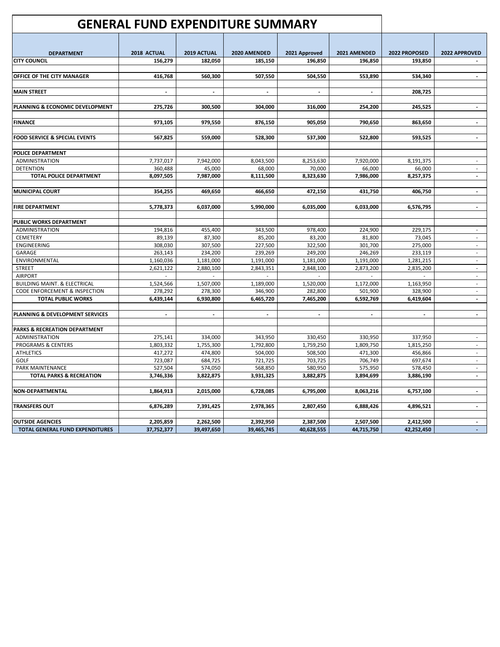|                                          | <b>GENERAL FUND EXPENDITURE SUMMARY</b> |                |              |                |                          |                |                          |
|------------------------------------------|-----------------------------------------|----------------|--------------|----------------|--------------------------|----------------|--------------------------|
|                                          |                                         |                |              |                |                          |                |                          |
| <b>DEPARTMENT</b>                        | 2018 ACTUAL                             | 2019 ACTUAL    | 2020 AMENDED | 2021 Approved  | 2021 AMENDED             | 2022 PROPOSED  | 2022 APPROVED            |
| <b>CITY COUNCIL</b>                      | 156,279                                 | 182,050        | 185,150      | 196,850        | 196,850                  | 193,850        |                          |
|                                          |                                         |                |              |                |                          |                |                          |
| OFFICE OF THE CITY MANAGER               | 416,768                                 | 560,300        | 507,550      | 504,550        | 553,890                  | 534,340        |                          |
|                                          |                                         |                |              |                |                          |                |                          |
| <b>MAIN STREET</b>                       | $\overline{\phantom{a}}$                | $\blacksquare$ |              | $\blacksquare$ | $\overline{\phantom{a}}$ | 208,725        |                          |
|                                          |                                         |                |              |                |                          |                |                          |
| PLANNING & ECONOMIC DEVELOPMENT          | 275,726                                 | 300,500        | 304,000      | 316,000        | 254,200                  | 245,525        | $\overline{a}$           |
|                                          |                                         |                |              |                |                          |                |                          |
| <b>FINANCE</b>                           | 973,105                                 | 979,550        | 876,150      | 905,050        | 790,650                  | 863,650        | $\overline{\phantom{a}}$ |
|                                          |                                         |                |              |                |                          |                |                          |
| <b>FOOD SERVICE &amp; SPECIAL EVENTS</b> | 567,825                                 | 559,000        | 528,300      | 537,300        | 522,800                  | 593,525        | $\overline{\phantom{a}}$ |
|                                          |                                         |                |              |                |                          |                |                          |
| POLICE DEPARTMENT                        |                                         |                |              |                |                          |                |                          |
| <b>ADMINISTRATION</b>                    | 7,737,017                               | 7,942,000      | 8,043,500    | 8,253,630      | 7,920,000                | 8,191,375      |                          |
| <b>DETENTION</b>                         | 360,488                                 | 45,000         | 68,000       | 70,000         | 66,000                   | 66,000         | $\sim$                   |
| <b>TOTAL POLICE DEPARTMENT</b>           | 8,097,505                               | 7,987,000      | 8,111,500    | 8,323,630      | 7,986,000                | 8,257,375      | $\blacksquare$           |
|                                          |                                         |                |              |                |                          |                |                          |
| <b>MUNICIPAL COURT</b>                   | 354,255                                 | 469,650        | 466,650      | 472,150        | 431,750                  | 406,750        | $\overline{\phantom{a}}$ |
|                                          |                                         |                |              |                |                          |                |                          |
| <b>FIRE DEPARTMENT</b>                   | 5,778,373                               | 6,037,000      | 5,990,000    | 6,035,000      | 6,033,000                | 6,576,795      | $\blacksquare$           |
|                                          |                                         |                |              |                |                          |                |                          |
| PUBLIC WORKS DEPARTMENT                  |                                         |                |              |                |                          |                |                          |
| <b>ADMINISTRATION</b>                    | 194,816                                 | 455,400        | 343,500      | 978,400        | 224,900                  | 229,175        | $\mathbf{r}$             |
| CEMETERY                                 | 89,139                                  | 87,300         | 85,200       | 83,200         | 81,800                   | 73,045         | $\overline{\phantom{a}}$ |
| <b>ENGINEERING</b>                       | 308,030                                 | 307,500        | 227,500      | 322,500        | 301.700                  | 275,000        |                          |
| GARAGE                                   | 263,143                                 | 234,200        | 239,269      | 249,200        | 246,269                  | 233,119        | $\overline{\phantom{a}}$ |
| ENVIRONMENTAL                            | 1,160,036                               | 1,181,000      | 1,191,000    | 1,181,000      | 1,191,000                | 1,281,215      | $\overline{\phantom{a}}$ |
| <b>STREET</b>                            | 2,621,122                               | 2,880,100      | 2,843,351    | 2,848,100      | 2,873,200                | 2,835,200      | $\sim$                   |
| <b>AIRPORT</b>                           |                                         |                |              |                |                          |                |                          |
| <b>BUILDING MAINT. &amp; ELECTRICAL</b>  | 1,524,566                               | 1,507,000      | 1,189,000    | 1,520,000      | 1,172,000                | 1,163,950      | $\overline{\phantom{a}}$ |
| CODE ENFORCEMENT & INSPECTION            | 278,292                                 | 278,300        | 346,900      | 282,800        | 501,900                  | 328,900        | $\sim$                   |
| <b>TOTAL PUBLIC WORKS</b>                | 6,439,144                               | 6,930,800      | 6,465,720    | 7,465,200      | 6,592,769                | 6,419,604      | $\overline{a}$           |
|                                          |                                         |                |              |                |                          |                |                          |
| PLANNING & DEVELOPMENT SERVICES          | $\blacksquare$                          | $\blacksquare$ | $\sim$       | $\blacksquare$ | $\sim$                   | $\blacksquare$ | $\overline{\phantom{a}}$ |
|                                          |                                         |                |              |                |                          |                |                          |
| <b>PARKS &amp; RECREATION DEPARTMENT</b> |                                         |                |              |                |                          |                |                          |
| ADMINISTRATION                           | 275,141                                 | 334,000        | 343,950      | 330,450        | 330,950                  | 337,950        |                          |
| <b>PROGRAMS &amp; CENTERS</b>            | 1,803,332                               | 1,755,300      | 1,792,800    | 1,759,250      | 1,809,750                | 1,815,250      | $\overline{\phantom{a}}$ |
| <b>ATHLETICS</b>                         | 417,272                                 | 474,800        | 504,000      | 508,500        | 471,300                  | 456,866        | $\sim$                   |
| GOLF                                     | 723,087                                 | 684,725        | 721,725      | 703,725        | 706,749                  | 697,674        |                          |
| <b>PARK MAINTENANCE</b>                  | 527,504                                 | 574,050        | 568,850      | 580,950        | 575,950                  | 578,450        | $\overline{\phantom{a}}$ |
| <b>TOTAL PARKS &amp; RECREATION</b>      | 3,746,336                               | 3,822,875      | 3,931,325    | 3,882,875      | 3,894,699                | 3,886,190      | $\overline{a}$           |
|                                          |                                         |                |              |                |                          |                |                          |
| <b>NON-DEPARTMENTAL</b>                  | 1,864,913                               | 2,015,000      | 6,728,085    | 6,795,000      | 8,063,216                | 6,757,100      | $\blacksquare$           |
|                                          |                                         |                |              |                |                          |                |                          |
| <b>TRANSFERS OUT</b>                     | 6,876,289                               | 7,391,425      | 2,978,365    | 2,807,450      | 6,888,426                | 4,896,521      | $\blacksquare$           |
|                                          |                                         |                |              |                |                          |                |                          |
| <b>OUTSIDE AGENCIES</b>                  | 2,205,859                               | 2,262,500      | 2,392,950    | 2,387,500      | 2,507,500                | 2,412,500      |                          |
| <b>TOTAL GENERAL FUND EXPENDITURES</b>   | 37,752,377                              | 39,497,650     | 39,465,745   | 40,628,555     | 44,715,750               | 42,252,450     |                          |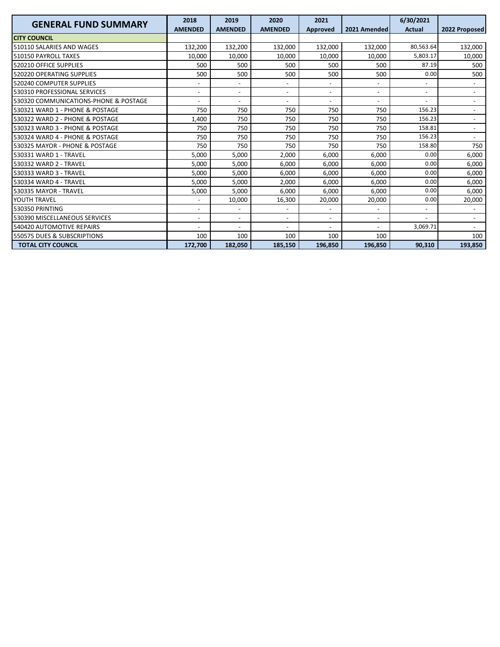| <b>GENERAL FUND SUMMARY</b>           | 2018                     | 2019                     | 2020                     | 2021                     |                          | 6/30/2021                |                          |
|---------------------------------------|--------------------------|--------------------------|--------------------------|--------------------------|--------------------------|--------------------------|--------------------------|
|                                       | <b>AMENDED</b>           | <b>AMENDED</b>           | <b>AMENDED</b>           | <b>Approved</b>          | 2021 Amended             | <b>Actual</b>            | 2022 Proposed            |
| <b>CITY COUNCIL</b>                   |                          |                          |                          |                          |                          |                          |                          |
| 510110 SALARIES AND WAGES             | 132,200                  | 132,200                  | 132,000                  | 132,000                  | 132,000                  | 80,563.64                | 132,000                  |
| 510150 PAYROLL TAXES                  | 10,000                   | 10,000                   | 10,000                   | 10,000                   | 10,000                   | 5,803.17                 | 10,000                   |
| 520210 OFFICE SUPPLIES                | 500                      | 500                      | 500                      | 500                      | 500                      | 87.19                    | 500                      |
| 520220 OPERATING SUPPLIES             | 500                      | 500                      | 500                      | 500                      | 500                      | 0.00                     | 500                      |
| 520240 COMPUTER SUPPLIES              | $\overline{\phantom{a}}$ | $\overline{\phantom{0}}$ | $\overline{\phantom{a}}$ | $\overline{\phantom{a}}$ |                          | $\overline{\phantom{a}}$ |                          |
| 530310 PROFESSIONAL SERVICES          | $\overline{\phantom{a}}$ | $\overline{\phantom{0}}$ | $\overline{\phantom{a}}$ | $\overline{\phantom{a}}$ | $\overline{\phantom{a}}$ | $\overline{a}$           | $\overline{\phantom{a}}$ |
| 530320 COMMUNICATIONS-PHONE & POSTAGE |                          | $\overline{\phantom{0}}$ |                          | $\overline{\phantom{a}}$ |                          |                          | $\overline{\phantom{a}}$ |
| 530321 WARD 1 - PHONE & POSTAGE       | 750                      | 750                      | 750                      | 750                      | 750                      | 156.23                   | $\overline{\phantom{a}}$ |
| 530322 WARD 2 - PHONE & POSTAGE       | 1,400                    | 750                      | 750                      | 750                      | 750                      | 156.23                   | $\overline{\phantom{a}}$ |
| 530323 WARD 3 - PHONE & POSTAGE       | 750                      | 750                      | 750                      | 750                      | 750                      | 158.81                   |                          |
| 530324 WARD 4 - PHONE & POSTAGE       | 750                      | 750                      | 750                      | 750                      | 750                      | 156.23                   | $\overline{\phantom{a}}$ |
| 530325 MAYOR - PHONE & POSTAGE        | 750                      | 750                      | 750                      | 750                      | 750                      | 158.80                   | 750                      |
| 530331 WARD 1 - TRAVEL                | 5.000                    | 5.000                    | 2.000                    | 6.000                    | 6.000                    | 0.00                     | 6.000                    |
| 530332 WARD 2 - TRAVEL                | 5.000                    | 5,000                    | 6.000                    | 6,000                    | 6.000                    | 0.00                     | 6,000                    |
| 530333 WARD 3 - TRAVEL                | 5,000                    | 5,000                    | 6,000                    | 6,000                    | 6.000                    | 0.00                     | 6,000                    |
| 530334 WARD 4 - TRAVEL                | 5,000                    | 5,000                    | 2,000                    | 6,000                    | 6.000                    | 0.00                     | 6,000                    |
| 530335 MAYOR - TRAVEL                 | 5,000                    | 5,000                    | 6,000                    | 6,000                    | 6,000                    | 0.00                     | 6,000                    |
| YOUTH TRAVEL                          |                          | 10,000                   | 16,300                   | 20,000                   | 20,000                   | 0.00                     | 20,000                   |
| 530350 PRINTING                       |                          | $\overline{\phantom{0}}$ |                          |                          |                          | $\overline{\phantom{a}}$ |                          |
| 530390 MISCELLANEOUS SERVICES         | $\overline{\phantom{a}}$ | $\overline{\phantom{a}}$ | $\overline{\phantom{a}}$ | $\overline{\phantom{a}}$ | $\overline{\phantom{0}}$ |                          | $\overline{\phantom{a}}$ |
| 540420 AUTOMOTIVE REPAIRS             |                          | $\overline{\phantom{0}}$ |                          | $\blacksquare$           | $\overline{\phantom{a}}$ | 3,069.71                 | $\overline{a}$           |
| 550575 DUES & SUBSCRIPTIONS           | 100                      | 100                      | 100                      | 100                      | 100                      |                          | 100                      |
| <b>TOTAL CITY COUNCIL</b>             | 172,700                  | 182,050                  | 185,150                  | 196,850                  | 196,850                  | 90.310                   | 193,850                  |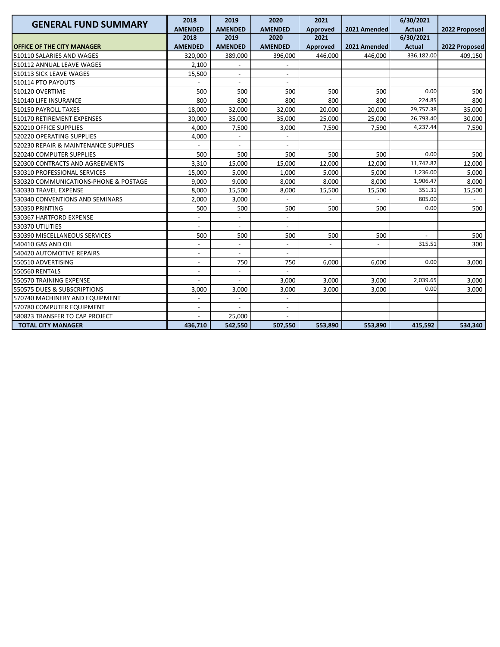| <b>GENERAL FUND SUMMARY</b>           | 2018                     | 2019                     | 2020                     | 2021                     |                          | 6/30/2021     |               |
|---------------------------------------|--------------------------|--------------------------|--------------------------|--------------------------|--------------------------|---------------|---------------|
|                                       | <b>AMENDED</b>           | <b>AMENDED</b>           | <b>AMENDED</b>           | Approved                 | 2021 Amended             | <b>Actual</b> | 2022 Proposed |
|                                       | 2018                     | 2019                     | 2020                     | 2021                     |                          | 6/30/2021     |               |
| <b>OFFICE OF THE CITY MANAGER</b>     | <b>AMENDED</b>           | <b>AMENDED</b>           | <b>AMENDED</b>           | Approved                 | 2021 Amended             | <b>Actual</b> | 2022 Proposed |
| 510110 SALARIES AND WAGES             | 320,000                  | 389,000                  | 396,000                  | 446,000                  | 446,000                  | 336,182.00    | 409,150       |
| 510112 ANNUAL LEAVE WAGES             | 2,100                    |                          |                          |                          |                          |               |               |
| 510113 SICK LEAVE WAGES               | 15,500                   | $\overline{a}$           | $\overline{a}$           |                          |                          |               |               |
| 510114 PTO PAYOUTS                    |                          | $\overline{a}$           |                          |                          |                          |               |               |
| 510120 OVERTIME                       | 500                      | 500                      | 500                      | 500                      | 500                      | 0.00          | 500           |
| 510140 LIFE INSURANCE                 | 800                      | 800                      | 800                      | 800                      | 800                      | 224.85        | 800           |
| 510150 PAYROLL TAXES                  | 18.000                   | 32.000                   | 32,000                   | 20,000                   | 20,000                   | 29,757.38     | 35,000        |
| 510170 RETIREMENT EXPENSES            | 30,000                   | 35,000                   | 35,000                   | 25,000                   | 25,000                   | 26,793.40     | 30,000        |
| 520210 OFFICE SUPPLIES                | 4,000                    | 7,500                    | 3,000                    | 7,590                    | 7,590                    | 4,237.44      | 7,590         |
| 520220 OPERATING SUPPLIES             | 4,000                    |                          |                          |                          |                          |               |               |
| 520230 REPAIR & MAINTENANCE SUPPLIES  |                          |                          |                          |                          |                          |               |               |
| 520240 COMPUTER SUPPLIES              | 500                      | 500                      | 500                      | 500                      | 500                      | 0.00          | 500           |
| 520300 CONTRACTS AND AGREEMENTS       | 3,310                    | 15,000                   | 15,000                   | 12,000                   | 12,000                   | 11,742.82     | 12,000        |
| 530310 PROFESSIONAL SERVICES          | 15,000                   | 5,000                    | 1,000                    | 5,000                    | 5.000                    | 1,236.00      | 5,000         |
| 530320 COMMUNICATIONS-PHONE & POSTAGE | 9,000                    | 9,000                    | 8,000                    | 8,000                    | 8,000                    | 1,906.47      | 8,000         |
| 530330 TRAVEL EXPENSE                 | 8,000                    | 15,500                   | 8,000                    | 15,500                   | 15,500                   | 351.31        | 15,500        |
| 530340 CONVENTIONS AND SEMINARS       | 2,000                    | 3,000                    |                          |                          |                          | 805.00        |               |
| 530350 PRINTING                       | 500                      | 500                      | 500                      | 500                      | 500                      | 0.00          | 500           |
| 530367 HARTFORD EXPENSE               |                          |                          |                          |                          |                          |               |               |
| 530370 UTILITIES                      |                          |                          |                          |                          |                          |               |               |
| 530390 MISCELLANEOUS SERVICES         | 500                      | 500                      | 500                      | 500                      | 500                      |               | 500           |
| 540410 GAS AND OIL                    | $\overline{\phantom{a}}$ | $\overline{\phantom{a}}$ | $\overline{\phantom{a}}$ | $\overline{\phantom{a}}$ | $\overline{\phantom{a}}$ | 315.51        | 300           |
| 540420 AUTOMOTIVE REPAIRS             | $\overline{a}$           | $\overline{a}$           | $\overline{a}$           |                          |                          |               |               |
| 550510 ADVERTISING                    | L,                       | 750                      | 750                      | 6,000                    | 6.000                    | 0.00          | 3,000         |
| <b>550560 RENTALS</b>                 |                          |                          |                          |                          |                          |               |               |
| 550570 TRAINING EXPENSE               |                          |                          | 3,000                    | 3,000                    | 3,000                    | 2,039.65      | 3,000         |
| 550575 DUES & SUBSCRIPTIONS           | 3,000                    | 3,000                    | 3,000                    | 3,000                    | 3,000                    | 0.00          | 3,000         |
| 570740 MACHINERY AND EQUIPMENT        |                          |                          |                          |                          |                          |               |               |
| 570780 COMPUTER EQUIPMENT             | $\overline{\phantom{a}}$ |                          | $\overline{\phantom{a}}$ |                          |                          |               |               |
| 580823 TRANSFER TO CAP PROJECT        |                          | 25,000                   |                          |                          |                          |               |               |
| <b>TOTAL CITY MANAGER</b>             | 436,710                  | 542,550                  | 507,550                  | 553,890                  | 553,890                  | 415,592       | 534,340       |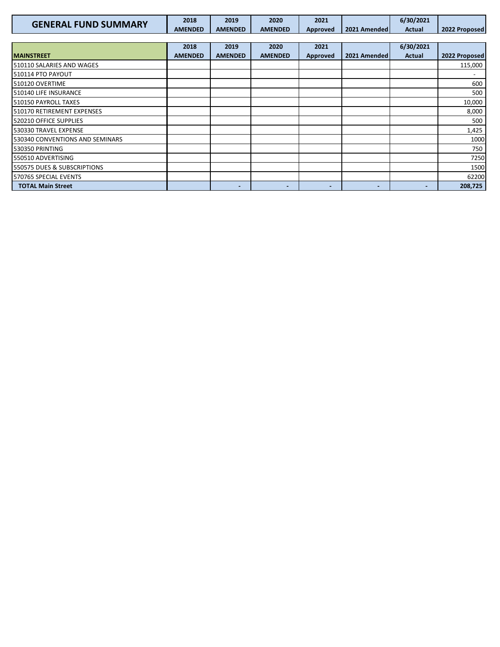| <b>GENERAL FUND SUMMARY</b>     | 2018           | 2019           | 2020           | 2021                     |                          | 6/30/2021     |               |
|---------------------------------|----------------|----------------|----------------|--------------------------|--------------------------|---------------|---------------|
|                                 | <b>AMENDED</b> | <b>AMENDED</b> | <b>AMENDED</b> | Approved                 | 2021 Amended             | <b>Actual</b> | 2022 Proposed |
|                                 |                |                |                |                          |                          |               |               |
|                                 | 2018           | 2019           | 2020           | 2021                     |                          | 6/30/2021     |               |
| <b>MAINSTREET</b>               | <b>AMENDED</b> | <b>AMENDED</b> | <b>AMENDED</b> | Approved                 | 2021 Amended             | Actual        | 2022 Proposed |
| 510110 SALARIES AND WAGES       |                |                |                |                          |                          |               | 115,000       |
| 510114 PTO PAYOUT               |                |                |                |                          |                          |               |               |
| 510120 OVERTIME                 |                |                |                |                          |                          |               | 600           |
| 510140 LIFE INSURANCE           |                |                |                |                          |                          |               | 500           |
| 510150 PAYROLL TAXES            |                |                |                |                          |                          |               | 10,000        |
| 510170 RETIREMENT EXPENSES      |                |                |                |                          |                          |               | 8,000         |
| 520210 OFFICE SUPPLIES          |                |                |                |                          |                          |               | 500           |
| 530330 TRAVEL EXPENSE           |                |                |                |                          |                          |               | 1,425         |
| 530340 CONVENTIONS AND SEMINARS |                |                |                |                          |                          |               | 1000          |
| 530350 PRINTING                 |                |                |                |                          |                          |               | 750           |
| 550510 ADVERTISING              |                |                |                |                          |                          |               | 7250          |
| 550575 DUES & SUBSCRIPTIONS     |                |                |                |                          |                          |               | 1500          |
| 570765 SPECIAL EVENTS           |                |                |                |                          |                          |               | 62200         |
| <b>TOTAL Main Street</b>        |                | -              | -              | $\overline{\phantom{0}}$ | $\overline{\phantom{0}}$ |               | 208,725       |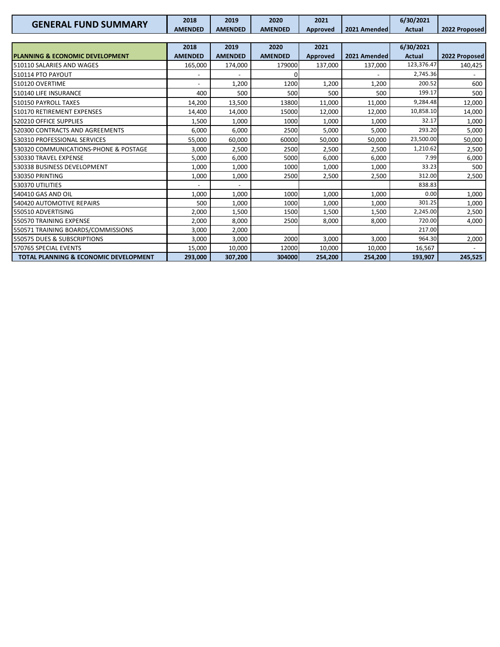| <b>GENERAL FUND SUMMARY</b>                      | 2018<br><b>AMENDED</b> | 2019<br><b>AMENDED</b> | 2020<br><b>AMENDED</b> | 2021<br>Approved | 2021 Amended | 6/30/2021<br><b>Actual</b> | 2022 Proposed |
|--------------------------------------------------|------------------------|------------------------|------------------------|------------------|--------------|----------------------------|---------------|
|                                                  |                        |                        |                        |                  |              |                            |               |
|                                                  | 2018                   | 2019                   | 2020                   | 2021             |              | 6/30/2021                  |               |
| <b>PLANNING &amp; ECONOMIC DEVELOPMENT</b>       | <b>AMENDED</b>         | <b>AMENDED</b>         | <b>AMENDED</b>         | Approved         | 2021 Amended | <b>Actual</b>              | 2022 Proposed |
| 510110 SALARIES AND WAGES                        | 165,000                | 174,000                | 179000                 | 137,000          | 137,000      | 123,376.47                 | 140,425       |
| 510114 PTO PAYOUT                                |                        |                        |                        |                  |              | 2,745.36                   |               |
| 510120 OVERTIME                                  |                        | 1,200                  | 1200                   | 1,200            | 1,200        | 200.52                     | 600           |
| 510140 LIFE INSURANCE                            | 400                    | 500                    | 500                    | 500              | 500          | 199.17                     | 500           |
| 510150 PAYROLL TAXES                             | 14,200                 | 13,500                 | 13800                  | 11,000           | 11,000       | 9,284.48                   | 12,000        |
| 510170 RETIREMENT EXPENSES                       | 14,400                 | 14,000                 | 15000                  | 12,000           | 12,000       | 10,858.10                  | 14,000        |
| 520210 OFFICE SUPPLIES                           | 1,500                  | 1,000                  | 1000                   | 1,000            | 1,000        | 32.17                      | 1,000         |
| 520300 CONTRACTS AND AGREEMENTS                  | 6,000                  | 6,000                  | 2500                   | 5,000            | 5,000        | 293.20                     | 5,000         |
| 530310 PROFESSIONAL SERVICES                     | 55,000                 | 60,000                 | 60000                  | 50,000           | 50,000       | 23,500.00                  | 50,000        |
| 530320 COMMUNICATIONS-PHONE & POSTAGE            | 3,000                  | 2,500                  | 2500                   | 2,500            | 2,500        | 1,210.62                   | 2,500         |
| 530330 TRAVEL EXPENSE                            | 5,000                  | 6,000                  | 5000                   | 6,000            | 6,000        | 7.99                       | 6,000         |
| 530338 BUSINESS DEVELOPMENT                      | 1,000                  | 1,000                  | 1000                   | 1,000            | 1,000        | 33.23                      | 500           |
| 530350 PRINTING                                  | 1,000                  | 1,000                  | 2500                   | 2,500            | 2,500        | 312.00                     | 2,500         |
| 530370 UTILITIES                                 |                        |                        |                        |                  |              | 838.83                     |               |
| 540410 GAS AND OIL                               | 1,000                  | 1,000                  | 1000                   | 1,000            | 1,000        | 0.00                       | 1,000         |
| 540420 AUTOMOTIVE REPAIRS                        | 500                    | 1,000                  | 1000                   | 1,000            | 1,000        | 301.25                     | 1,000         |
| 550510 ADVERTISING                               | 2,000                  | 1,500                  | 1500                   | 1,500            | 1,500        | 2,245.00                   | 2,500         |
| 550570 TRAINING EXPENSE                          | 2,000                  | 8,000                  | 2500                   | 8,000            | 8.000        | 720.00                     | 4,000         |
| 550571 TRAINING BOARDS/COMMISSIONS               | 3,000                  | 2,000                  |                        |                  |              | 217.00                     |               |
| 550575 DUES & SUBSCRIPTIONS                      | 3,000                  | 3,000                  | 2000                   | 3,000            | 3,000        | 964.30                     | 2,000         |
| 570765 SPECIAL EVENTS                            | 15,000                 | 10,000                 | 12000                  | 10,000           | 10,000       | 16,567                     |               |
| <b>TOTAL PLANNING &amp; ECONOMIC DEVELOPMENT</b> | 293,000                | 307,200                | 304000                 | 254,200          | 254,200      | 193,907                    | 245,525       |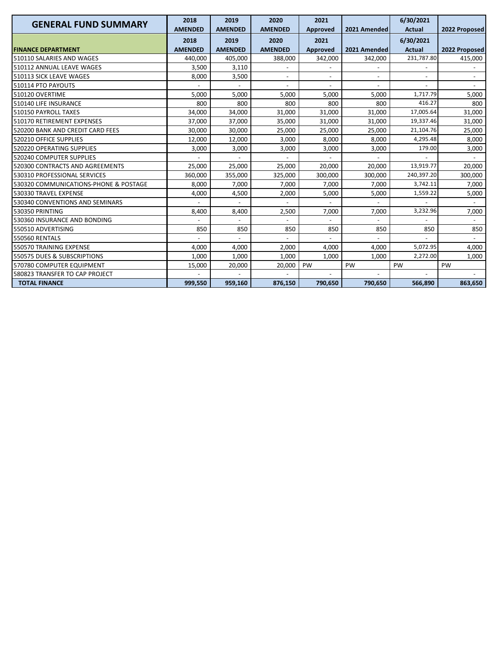| <b>GENERAL FUND SUMMARY</b>           | 2018           | 2019           | 2020                     | 2021     |              | 6/30/2021      |               |
|---------------------------------------|----------------|----------------|--------------------------|----------|--------------|----------------|---------------|
|                                       | <b>AMENDED</b> | <b>AMENDED</b> | <b>AMENDED</b>           | Approved | 2021 Amended | <b>Actual</b>  | 2022 Proposed |
|                                       | 2018           | 2019           | 2020                     | 2021     |              | 6/30/2021      |               |
| <b>FINANCE DEPARTMENT</b>             | <b>AMENDED</b> | <b>AMENDED</b> | <b>AMENDED</b>           | Approved | 2021 Amended | <b>Actual</b>  | 2022 Proposed |
| 510110 SALARIES AND WAGES             | 440,000        | 405,000        | 388,000                  | 342,000  | 342,000      | 231,787.80     | 415,000       |
| 510112 ANNUAL LEAVE WAGES             | 3,500          | 3,110          |                          |          |              |                |               |
| 510113 SICK LEAVE WAGES               | 8,000          | 3,500          | $\overline{\phantom{a}}$ |          |              |                |               |
| 510114 PTO PAYOUTS                    |                |                |                          |          |              |                |               |
| 510120 OVERTIME                       | 5,000          | 5,000          | 5,000                    | 5,000    | 5,000        | 1,717.79       | 5,000         |
| 510140 LIFE INSURANCE                 | 800            | 800            | 800                      | 800      | 800          | 416.27         | 800           |
| 510150 PAYROLL TAXES                  | 34,000         | 34,000         | 31,000                   | 31,000   | 31,000       | 17,005.64      | 31,000        |
| 510170 RETIREMENT EXPENSES            | 37,000         | 37,000         | 35,000                   | 31,000   | 31,000       | 19,337.46      | 31,000        |
| 520200 BANK AND CREDIT CARD FEES      | 30,000         | 30,000         | 25,000                   | 25,000   | 25,000       | 21,104.76      | 25,000        |
| 520210 OFFICE SUPPLIES                | 12,000         | 12,000         | 3,000                    | 8,000    | 8.000        | 4,295.48       | 8,000         |
| 520220 OPERATING SUPPLIES             | 3,000          | 3,000          | 3,000                    | 3,000    | 3,000        | 179.00         | 3,000         |
| 520240 COMPUTER SUPPLIES              |                |                | $\overline{a}$           |          |              | $\overline{a}$ |               |
| 520300 CONTRACTS AND AGREEMENTS       | 25,000         | 25,000         | 25,000                   | 20,000   | 20,000       | 13,919.77      | 20,000        |
| 530310 PROFESSIONAL SERVICES          | 360,000        | 355,000        | 325,000                  | 300,000  | 300,000      | 240,397.20     | 300,000       |
| 530320 COMMUNICATIONS-PHONE & POSTAGE | 8,000          | 7,000          | 7,000                    | 7,000    | 7,000        | 3,742.11       | 7,000         |
| 530330 TRAVEL EXPENSE                 | 4,000          | 4,500          | 2,000                    | 5,000    | 5,000        | 1,559.22       | 5,000         |
| 530340 CONVENTIONS AND SEMINARS       |                |                |                          |          |              |                |               |
| 530350 PRINTING                       | 8,400          | 8,400          | 2,500                    | 7,000    | 7,000        | 3,232.96       | 7,000         |
| 530360 INSURANCE AND BONDING          |                |                |                          |          |              |                |               |
| 550510 ADVERTISING                    | 850            | 850            | 850                      | 850      | 850          | 850            | 850           |
| <b>550560 RENTALS</b>                 |                | $\overline{a}$ |                          |          |              |                |               |
| 550570 TRAINING EXPENSE               | 4,000          | 4,000          | 2,000                    | 4,000    | 4,000        | 5,072.95       | 4,000         |
| 550575 DUES & SUBSCRIPTIONS           | 1,000          | 1,000          | 1,000                    | 1,000    | 1,000        | 2,272.00       | 1,000         |
| 570780 COMPUTER EQUIPMENT             | 15,000         | 20,000         | 20,000                   | PW       | PW           | PW             | PW            |
| 580823 TRANSFER TO CAP PROJECT        |                |                |                          |          |              |                |               |
| <b>TOTAL FINANCE</b>                  | 999,550        | 959.160        | 876,150                  | 790,650  | 790,650      | 566,890        | 863,650       |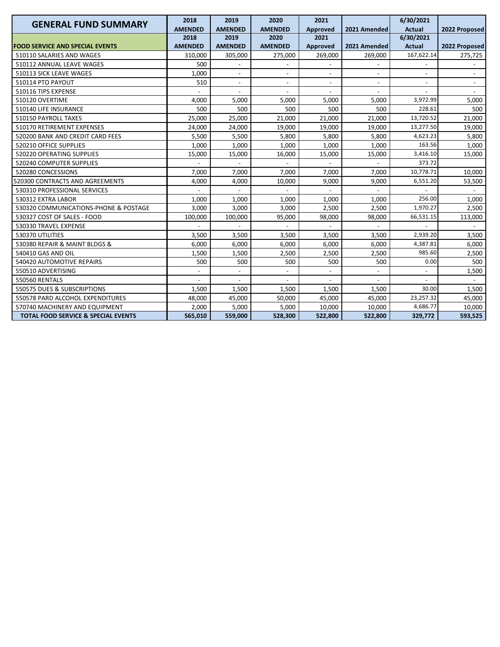| <b>GENERAL FUND SUMMARY</b>                    | 2018                     | 2019                     | 2020                     | 2021                     |                          | 6/30/2021                |                          |
|------------------------------------------------|--------------------------|--------------------------|--------------------------|--------------------------|--------------------------|--------------------------|--------------------------|
|                                                | <b>AMENDED</b>           | <b>AMENDED</b>           | <b>AMENDED</b>           | Approved                 | 2021 Amended             | <b>Actual</b>            | 2022 Proposed            |
|                                                | 2018                     | 2019                     | 2020                     | 2021                     |                          | 6/30/2021                |                          |
| <b>FOOD SERVICE AND SPECIAL EVENTS</b>         | <b>AMENDED</b>           | <b>AMENDED</b>           | <b>AMENDED</b>           | Approved                 | 2021 Amended             | <b>Actual</b>            | 2022 Proposed            |
| 510110 SALARIES AND WAGES                      | 310,000                  | 305,000                  | 275,000                  | 269,000                  | 269,000                  | 167,622.14               | 275,725                  |
| 510112 ANNUAL LEAVE WAGES                      | 500                      |                          |                          |                          |                          |                          |                          |
| 510113 SICK LEAVE WAGES                        | 1,000                    |                          |                          |                          |                          |                          |                          |
| 510114 PTO PAYOUT                              | 510                      | $\overline{\phantom{a}}$ | $\overline{\phantom{a}}$ | $\overline{\phantom{a}}$ | $\overline{\phantom{a}}$ | $\overline{\phantom{a}}$ | $\overline{\phantom{a}}$ |
| 510116 TIPS EXPENSE                            |                          |                          |                          |                          |                          |                          |                          |
| 510120 OVERTIME                                | 4,000                    | 5,000                    | 5,000                    | 5,000                    | 5,000                    | 3,972.99                 | 5,000                    |
| 510140 LIFE INSURANCE                          | 500                      | 500                      | 500                      | 500                      | 500                      | 228.61                   | 500                      |
| 510150 PAYROLL TAXES                           | 25,000                   | 25,000                   | 21,000                   | 21,000                   | 21,000                   | 13,720.52                | 21,000                   |
| 510170 RETIREMENT EXPENSES                     | 24,000                   | 24,000                   | 19,000                   | 19,000                   | 19,000                   | 13,277.50                | 19,000                   |
| 520200 BANK AND CREDIT CARD FEES               | 5,500                    | 5,500                    | 5,800                    | 5,800                    | 5,800                    | 4,623.23                 | 5,800                    |
| 520210 OFFICE SUPPLIES                         | 1,000                    | 1,000                    | 1,000                    | 1,000                    | 1,000                    | 163.56                   | 1,000                    |
| 520220 OPERATING SUPPLIES                      | 15,000                   | 15,000                   | 16,000                   | 15,000                   | 15,000                   | 3,416.10                 | 15,000                   |
| 520240 COMPUTER SUPPLIES                       |                          |                          |                          |                          |                          | 373.72                   |                          |
| 520280 CONCESSIONS                             | 7,000                    | 7,000                    | 7,000                    | 7,000                    | 7,000                    | 10,778.71                | 10,000                   |
| 520300 CONTRACTS AND AGREEMENTS                | 4,000                    | 4,000                    | 10,000                   | 9,000                    | 9,000                    | 6,551.20                 | 53,500                   |
| 530310 PROFESSIONAL SERVICES                   |                          |                          |                          |                          |                          |                          |                          |
| 530312 EXTRA LABOR                             | 1,000                    | 1,000                    | 1,000                    | 1,000                    | 1,000                    | 256.00                   | 1,000                    |
| 530320 COMMUNICATIONS-PHONE & POSTAGE          | 3,000                    | 3,000                    | 3,000                    | 2,500                    | 2,500                    | 1,970.27                 | 2,500                    |
| 530327 COST OF SALES - FOOD                    | 100,000                  | 100,000                  | 95,000                   | 98,000                   | 98,000                   | 66,531.15                | 113,000                  |
| 530330 TRAVEL EXPENSE                          |                          |                          |                          |                          |                          |                          |                          |
| 530370 UTILITIES                               | 3,500                    | 3,500                    | 3,500                    | 3,500                    | 3,500                    | 2,939.20                 | 3,500                    |
| 530380 REPAIR & MAINT BLDGS &                  | 6,000                    | 6,000                    | 6,000                    | 6,000                    | 6,000                    | 4,387.81                 | 6,000                    |
| 540410 GAS AND OIL                             | 1,500                    | 1,500                    | 2,500                    | 2,500                    | 2,500                    | 985.60                   | 2,500                    |
| 540420 AUTOMOTIVE REPAIRS                      | 500                      | 500                      | 500                      | 500                      | 500                      | 0.00                     | 500                      |
| 550510 ADVERTISING                             | $\overline{\phantom{a}}$ | $\overline{\phantom{a}}$ | $\overline{\phantom{a}}$ | $\overline{\phantom{a}}$ | $\overline{\phantom{a}}$ | $\overline{a}$           | 1,500                    |
| 550560 RENTALS                                 |                          | $\overline{a}$           |                          |                          |                          | $\overline{a}$           |                          |
| 550575 DUES & SUBSCRIPTIONS                    | 1,500                    | 1,500                    | 1,500                    | 1,500                    | 1,500                    | 30.00                    | 1,500                    |
| 550578 PARD ALCOHOL EXPENDITURES               | 48,000                   | 45,000                   | 50,000                   | 45,000                   | 45,000                   | 23,257.32                | 45,000                   |
| 570740 MACHINERY AND EQUIPMENT                 | 2,000                    | 5,000                    | 5,000                    | 10,000                   | 10,000                   | 4,686.77                 | 10,000                   |
| <b>TOTAL FOOD SERVICE &amp; SPECIAL EVENTS</b> | 565,010                  | 559,000                  | 528,300                  | 522,800                  | 522,800                  | 329,772                  | 593,525                  |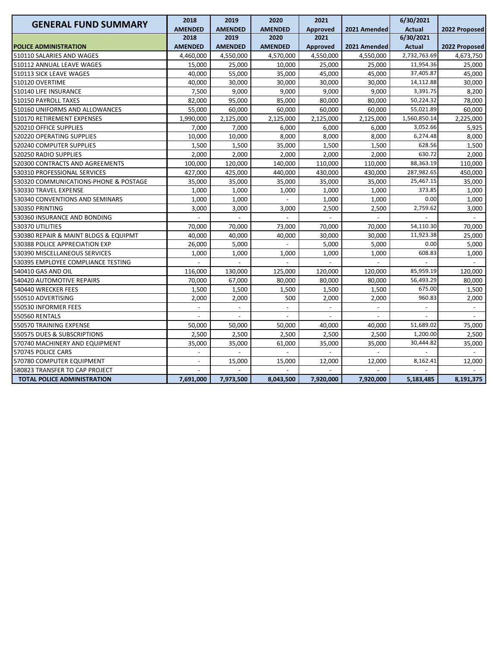| <b>GENERAL FUND SUMMARY</b>           | 2018                     | 2019                     | 2020           | 2021            |              | 6/30/2021                |                |
|---------------------------------------|--------------------------|--------------------------|----------------|-----------------|--------------|--------------------------|----------------|
|                                       | <b>AMENDED</b>           | <b>AMENDED</b>           | <b>AMENDED</b> | <b>Approved</b> | 2021 Amended | <b>Actual</b>            | 2022 Proposed  |
|                                       | 2018                     | 2019                     | 2020           | 2021            |              | 6/30/2021                |                |
| <b>POLICE ADMINISTRATION</b>          | <b>AMENDED</b>           | <b>AMENDED</b>           | <b>AMENDED</b> | <b>Approved</b> | 2021 Amended | <b>Actual</b>            | 2022 Proposed  |
| 510110 SALARIES AND WAGES             | 4,460,000                | 4,550,000                | 4,570,000      | 4,550,000       | 4,550,000    | 2,732,763.69             | 4,673,750      |
| 510112 ANNUAL LEAVE WAGES             | 15,000                   | 25,000                   | 10,000         | 25,000          | 25,000       | 11,954.36                | 25,000         |
| 510113 SICK LEAVE WAGES               | 40,000                   | 55,000                   | 35,000         | 45,000          | 45,000       | 37,405.87                | 45,000         |
| 510120 OVERTIME                       | 40,000                   | 30,000                   | 30,000         | 30,000          | 30,000       | 14,112.88                | 30,000         |
| 510140 LIFE INSURANCE                 | 7,500                    | 9,000                    | 9,000          | 9,000           | 9,000        | 3,391.75                 | 8,200          |
| 510150 PAYROLL TAXES                  | 82,000                   | 95,000                   | 85,000         | 80,000          | 80,000       | 50,224.32                | 78,000         |
| 510160 UNIFORMS AND ALLOWANCES        | 55,000                   | 60,000                   | 60,000         | 60,000          | 60,000       | 55,021.89                | 60,000         |
| 510170 RETIREMENT EXPENSES            | 1,990,000                | 2,125,000                | 2,125,000      | 2,125,000       | 2,125,000    | 1,560,850.14             | 2,225,000      |
| 520210 OFFICE SUPPLIES                | 7,000                    | 7,000                    | 6,000          | 6,000           | 6,000        | 3,052.66                 | 5,925          |
| 520220 OPERATING SUPPLIES             | 10,000                   | 10,000                   | 8,000          | 8,000           | 8,000        | 6,274.48                 | 8,000          |
| 520240 COMPUTER SUPPLIES              | 1,500                    | 1,500                    | 35,000         | 1,500           | 1,500        | 628.56                   | 1,500          |
| 520250 RADIO SUPPLIES                 | 2,000                    | 2,000                    | 2,000          | 2,000           | 2,000        | 630.72                   | 2,000          |
| 520300 CONTRACTS AND AGREEMENTS       | 100,000                  | 120,000                  | 140,000        | 110,000         | 110,000      | 88,363.19                | 110,000        |
| 530310 PROFESSIONAL SERVICES          | 427,000                  | 425,000                  | 440,000        | 430,000         | 430,000      | 287,982.65               | 450,000        |
| 530320 COMMUNICATIONS-PHONE & POSTAGE | 35,000                   | 35,000                   | 35,000         | 35,000          | 35,000       | 25,467.15                | 35,000         |
| 530330 TRAVEL EXPENSE                 | 1,000                    | 1,000                    | 1,000          | 1,000           | 1,000        | 373.85                   | 1,000          |
| 530340 CONVENTIONS AND SEMINARS       | 1,000                    | 1,000                    |                | 1,000           | 1,000        | 0.00                     | 1,000          |
| 530350 PRINTING                       | 3,000                    | 3,000                    | 3,000          | 2,500           | 2,500        | 2,759.62                 | 3,000          |
| 530360 INSURANCE AND BONDING          |                          |                          |                |                 |              |                          |                |
| 530370 UTILITIES                      | 70,000                   | 70,000                   | 73,000         | 70,000          | 70,000       | 54,110.30                | 70,000         |
| 530380 REPAIR & MAINT BLDGS & EQUIPMT | 40,000                   | 40,000                   | 40,000         | 30,000          | 30,000       | 11,923.38                | 25,000         |
| 530388 POLICE APPRECIATION EXP        | 26,000                   | 5,000                    |                | 5,000           | 5,000        | 0.00                     | 5,000          |
| 530390 MISCELLANEOUS SERVICES         | 1,000                    | 1,000                    | 1,000          | 1,000           | 1,000        | 608.83                   | 1,000          |
| 530395 EMPLOYEE COMPLIANCE TESTING    |                          |                          |                |                 |              |                          |                |
| 540410 GAS AND OIL                    | 116,000                  | 130,000                  | 125,000        | 120,000         | 120,000      | 85,959.19                | 120,000        |
| 540420 AUTOMOTIVE REPAIRS             | 70,000                   | 67,000                   | 80,000         | 80,000          | 80,000       | 56,493.29                | 80,000         |
| 540440 WRECKER FEES                   | 1,500                    | 1,500                    | 1,500          | 1,500           | 1,500        | 675.00                   | 1,500          |
| 550510 ADVERTISING                    | 2,000                    | 2,000                    | 500            | 2,000           | 2,000        | 960.83                   | 2,000          |
| 550530 INFORMER FEES                  | $\overline{\phantom{a}}$ | $\overline{\phantom{a}}$ |                | $\blacksquare$  |              | $\overline{\phantom{a}}$ | $\overline{a}$ |
| <b>550560 RENTALS</b>                 |                          |                          |                |                 |              |                          |                |
| 550570 TRAINING EXPENSE               | 50,000                   | 50,000                   | 50,000         | 40,000          | 40,000       | 51,689.02                | 75,000         |
| 550575 DUES & SUBSCRIPTIONS           | 2,500                    | 2,500                    | 2,500          | 2,500           | 2,500        | 1,200.00                 | 2,500          |
| 570740 MACHINERY AND EQUIPMENT        | 35,000                   | 35,000                   | 61,000         | 35,000          | 35,000       | 30,444.82                | 35,000         |
| 570745 POLICE CARS                    |                          |                          |                |                 |              |                          |                |
| 570780 COMPUTER EQUIPMENT             |                          | 15,000                   | 15,000         | 12,000          | 12,000       | 8,162.41                 | 12,000         |
| 580823 TRANSFER TO CAP PROJECT        |                          |                          |                |                 |              |                          |                |
| <b>TOTAL POLICE ADMINISTRATION</b>    | 7,691,000                | 7,973,500                | 8,043,500      | 7,920,000       | 7,920,000    | 5,183,485                | 8,191,375      |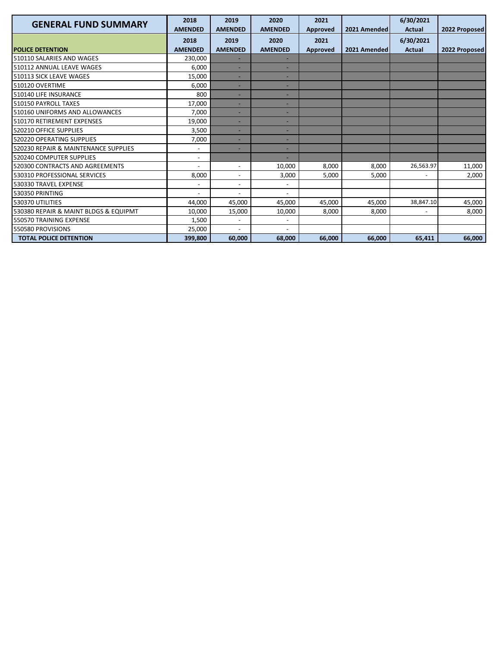| <b>GENERAL FUND SUMMARY</b>           | 2018<br><b>AMENDED</b>   | 2019<br><b>AMENDED</b>       | 2020<br><b>AMENDED</b>   | 2021<br>Approved        | 2021 Amended | 6/30/2021<br><b>Actual</b> | 2022 Proposed |
|---------------------------------------|--------------------------|------------------------------|--------------------------|-------------------------|--------------|----------------------------|---------------|
| <b>POLICE DETENTION</b>               | 2018<br><b>AMENDED</b>   | 2019<br><b>AMENDED</b>       | 2020<br><b>AMENDED</b>   | 2021<br><b>Approved</b> | 2021 Amended | 6/30/2021<br><b>Actual</b> | 2022 Proposed |
| 510110 SALARIES AND WAGES             | 230,000                  |                              |                          |                         |              |                            |               |
| 510112 ANNUAL LEAVE WAGES             | 6,000                    | ٠                            |                          |                         |              |                            |               |
| 510113 SICK LEAVE WAGES               | 15,000                   |                              |                          |                         |              |                            |               |
| 510120 OVERTIME                       | 6,000                    | ٠                            |                          |                         |              |                            |               |
| 510140 LIFE INSURANCE                 | 800                      | ٠                            | $\overline{\phantom{0}}$ |                         |              |                            |               |
| 510150 PAYROLL TAXES                  | 17.000                   | ٠                            |                          |                         |              |                            |               |
| 510160 UNIFORMS AND ALLOWANCES        | 7.000                    | ٠                            |                          |                         |              |                            |               |
| 510170 RETIREMENT EXPENSES            | 19,000                   | ٠                            |                          |                         |              |                            |               |
| 520210 OFFICE SUPPLIES                | 3,500                    | ۰                            |                          |                         |              |                            |               |
| 520220 OPERATING SUPPLIES             | 7,000                    |                              |                          |                         |              |                            |               |
| 520230 REPAIR & MAINTENANCE SUPPLIES  |                          |                              |                          |                         |              |                            |               |
| 520240 COMPUTER SUPPLIES              | $\overline{\phantom{a}}$ |                              |                          |                         |              |                            |               |
| 520300 CONTRACTS AND AGREEMENTS       |                          | $\overline{\phantom{a}}$     | 10,000                   | 8,000                   | 8,000        | 26,563.97                  | 11,000        |
| 530310 PROFESSIONAL SERVICES          | 8,000                    | $\overline{\phantom{a}}$     | 3,000                    | 5,000                   | 5.000        | $\overline{\phantom{a}}$   | 2,000         |
| 530330 TRAVEL EXPENSE                 |                          | $\overline{\phantom{a}}$     |                          |                         |              |                            |               |
| 530350 PRINTING                       |                          | $\overline{\phantom{0}}$     |                          |                         |              |                            |               |
| 530370 UTILITIES                      | 44,000                   | 45,000                       | 45,000                   | 45,000                  | 45,000       | 38,847.10                  | 45,000        |
| 530380 REPAIR & MAINT BLDGS & EQUIPMT | 10,000                   | 15,000                       | 10,000                   | 8,000                   | 8,000        | $\overline{a}$             | 8,000         |
| 550570 TRAINING EXPENSE               | 1,500                    | $\qquad \qquad \blacksquare$ |                          |                         |              |                            |               |
| 550580 PROVISIONS                     | 25,000                   | $\overline{\phantom{0}}$     |                          |                         |              |                            |               |
| <b>TOTAL POLICE DETENTION</b>         | 399.800                  | 60.000                       | 68.000                   | 66.000                  | 66.000       | 65.411                     | 66.000        |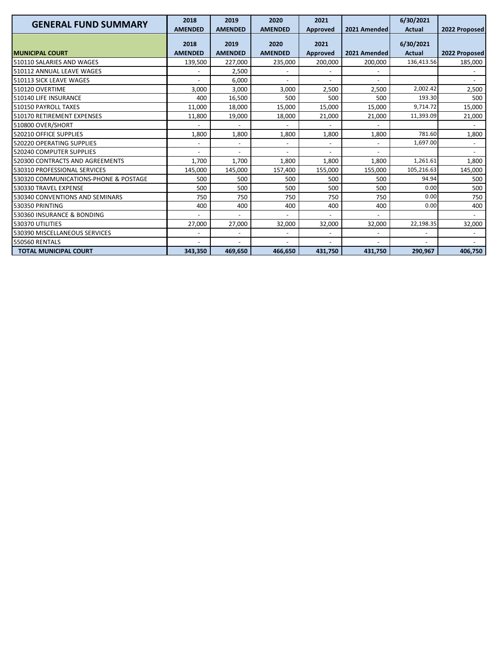| <b>GENERAL FUND SUMMARY</b>           | 2018           | 2019                     | 2020                     | 2021            |                          | 6/30/2021     |                          |
|---------------------------------------|----------------|--------------------------|--------------------------|-----------------|--------------------------|---------------|--------------------------|
|                                       | <b>AMENDED</b> | <b>AMENDED</b>           | <b>AMENDED</b>           | <b>Approved</b> | 2021 Amended             | <b>Actual</b> | 2022 Proposed            |
|                                       | 2018           | 2019                     | 2020                     | 2021            |                          | 6/30/2021     |                          |
| <b>MUNICIPAL COURT</b>                | <b>AMENDED</b> | <b>AMENDED</b>           | <b>AMENDED</b>           | Approved        | 2021 Amended             | <b>Actual</b> | 2022 Proposed            |
| 510110 SALARIES AND WAGES             | 139,500        | 227,000                  | 235,000                  | 200,000         | 200,000                  | 136,413.56    | 185,000                  |
| 510112 ANNUAL LEAVE WAGES             |                | 2,500                    |                          |                 |                          |               |                          |
| 510113 SICK LEAVE WAGES               |                | 6,000                    | $\overline{a}$           | $\blacksquare$  | $\overline{\phantom{a}}$ |               | $\blacksquare$           |
| 510120 OVERTIME                       | 3,000          | 3.000                    | 3,000                    | 2,500           | 2,500                    | 2,002.42      | 2,500                    |
| 510140 LIFE INSURANCE                 | 400            | 16,500                   | 500                      | 500             | 500                      | 193.30        | 500                      |
| 510150 PAYROLL TAXES                  | 11,000         | 18,000                   | 15,000                   | 15,000          | 15.000                   | 9,714.72      | 15,000                   |
| 510170 RETIREMENT EXPENSES            | 11,800         | 19,000                   | 18,000                   | 21,000          | 21,000                   | 11,393.09     | 21,000                   |
| 510800 OVER/SHORT                     |                | $\overline{\phantom{a}}$ | $\overline{\phantom{a}}$ |                 |                          |               | $\overline{\phantom{a}}$ |
| 520210 OFFICE SUPPLIES                | 1,800          | 1,800                    | 1,800                    | 1,800           | 1,800                    | 781.60        | 1,800                    |
| 520220 OPERATING SUPPLIES             |                | $\overline{\phantom{a}}$ |                          |                 |                          | 1,697.00      |                          |
| 520240 COMPUTER SUPPLIES              |                | $\overline{a}$           | $\overline{\phantom{a}}$ |                 |                          |               |                          |
| 520300 CONTRACTS AND AGREEMENTS       | 1,700          | 1,700                    | 1,800                    | 1,800           | 1,800                    | 1,261.61      | 1,800                    |
| 530310 PROFESSIONAL SERVICES          | 145,000        | 145,000                  | 157,400                  | 155,000         | 155,000                  | 105,216.63    | 145,000                  |
| 530320 COMMUNICATIONS-PHONE & POSTAGE | 500            | 500                      | 500                      | 500             | 500                      | 94.94         | 500                      |
| 530330 TRAVEL EXPENSE                 | 500            | 500                      | 500                      | 500             | 500                      | 0.00          | 500                      |
| 530340 CONVENTIONS AND SEMINARS       | 750            | 750                      | 750                      | 750             | 750                      | 0.00          | 750                      |
| 530350 PRINTING                       | 400            | 400                      | 400                      | 400             | 400                      | 0.00          | 400                      |
| 530360 INSURANCE & BONDING            |                |                          |                          |                 |                          |               |                          |
| 530370 UTILITIES                      | 27,000         | 27,000                   | 32,000                   | 32,000          | 32,000                   | 22,198.35     | 32,000                   |
| 530390 MISCELLANEOUS SERVICES         |                | $\overline{a}$           |                          |                 |                          |               |                          |
| <b>550560 RENTALS</b>                 |                | $\overline{\phantom{0}}$ |                          |                 |                          |               |                          |
| <b>TOTAL MUNICIPAL COURT</b>          | 343,350        | 469,650                  | 466,650                  | 431,750         | 431,750                  | 290,967       | 406,750                  |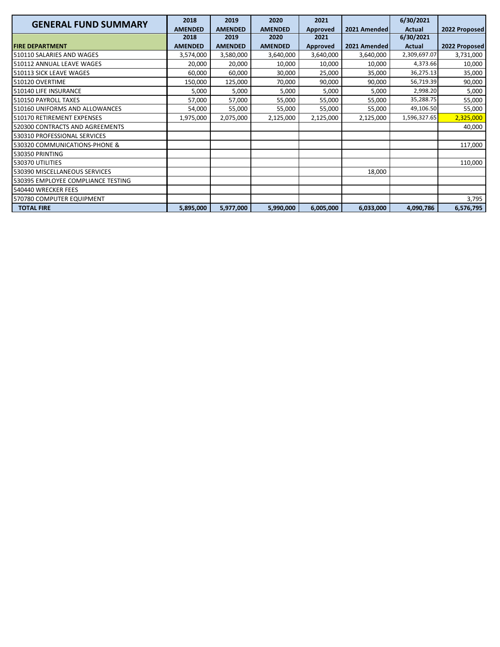| <b>GENERAL FUND SUMMARY</b>        | 2018           | 2019           | 2020           | 2021      |              | 6/30/2021     |               |
|------------------------------------|----------------|----------------|----------------|-----------|--------------|---------------|---------------|
|                                    | <b>AMENDED</b> | <b>AMENDED</b> | <b>AMENDED</b> | Approved  | 2021 Amended | Actual        | 2022 Proposed |
|                                    | 2018           | 2019           | 2020           | 2021      |              | 6/30/2021     |               |
| <b>FIRE DEPARTMENT</b>             | <b>AMENDED</b> | <b>AMENDED</b> | <b>AMENDED</b> | Approved  | 2021 Amended | <b>Actual</b> | 2022 Proposed |
| 510110 SALARIES AND WAGES          | 3,574,000      | 3,580,000      | 3,640,000      | 3,640,000 | 3,640,000    | 2,309,697.07  | 3,731,000     |
| 510112 ANNUAL LEAVE WAGES          | 20,000         | 20,000         | 10,000         | 10,000    | 10,000       | 4,373.66      | 10,000        |
| 510113 SICK LEAVE WAGES            | 60,000         | 60,000         | 30,000         | 25,000    | 35,000       | 36,275.13     | 35,000        |
| 510120 OVERTIME                    | 150,000        | 125,000        | 70,000         | 90,000    | 90,000       | 56,719.39     | 90,000        |
| 510140 LIFE INSURANCE              | 5,000          | 5,000          | 5,000          | 5,000     | 5,000        | 2,998.20      | 5,000         |
| 510150 PAYROLL TAXES               | 57,000         | 57,000         | 55,000         | 55,000    | 55,000       | 35,288.75     | 55,000        |
| 510160 UNIFORMS AND ALLOWANCES     | 54,000         | 55,000         | 55,000         | 55,000    | 55,000       | 49,106.50     | 55,000        |
| 510170 RETIREMENT EXPENSES         | 1,975,000      | 2,075,000      | 2,125,000      | 2,125,000 | 2,125,000    | 1,596,327.65  | 2,325,000     |
| 520300 CONTRACTS AND AGREEMENTS    |                |                |                |           |              |               | 40,000        |
| 530310 PROFESSIONAL SERVICES       |                |                |                |           |              |               |               |
| 530320 COMMUNICATIONS-PHONE &      |                |                |                |           |              |               | 117,000       |
| 530350 PRINTING                    |                |                |                |           |              |               |               |
| 530370 UTILITIES                   |                |                |                |           |              |               | 110,000       |
| 530390 MISCELLANEOUS SERVICES      |                |                |                |           | 18,000       |               |               |
| 530395 EMPLOYEE COMPLIANCE TESTING |                |                |                |           |              |               |               |
| 540440 WRECKER FEES                |                |                |                |           |              |               |               |
| 570780 COMPUTER EQUIPMENT          |                |                |                |           |              |               | 3,795         |
| <b>TOTAL FIRE</b>                  | 5,895,000      | 5,977,000      | 5,990,000      | 6,005,000 | 6,033,000    | 4,090,786     | 6,576,795     |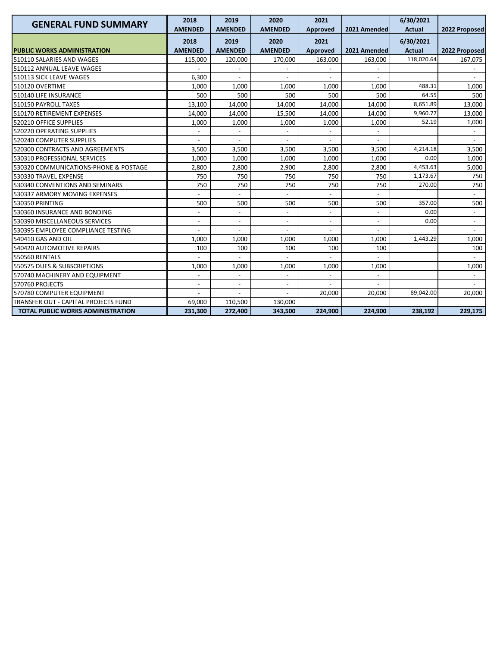| <b>GENERAL FUND SUMMARY</b>           | 2018<br><b>AMENDED</b>   | 2019<br><b>AMENDED</b>   | 2020<br><b>AMENDED</b>   | 2021<br>Approved         | 2021 Amended | 6/30/2021<br><b>Actual</b> | 2022 Proposed            |
|---------------------------------------|--------------------------|--------------------------|--------------------------|--------------------------|--------------|----------------------------|--------------------------|
| <b>PUBLIC WORKS ADMINISTRATION</b>    | 2018<br><b>AMENDED</b>   | 2019<br><b>AMENDED</b>   | 2020<br><b>AMENDED</b>   | 2021<br>Approved         | 2021 Amended | 6/30/2021<br><b>Actual</b> | 2022 Proposed            |
| 510110 SALARIES AND WAGES             | 115,000                  | 120,000                  | 170,000                  | 163,000                  | 163,000      | 118,020.64                 | 167,075                  |
| 510112 ANNUAL LEAVE WAGES             |                          |                          |                          |                          |              |                            |                          |
| 510113 SICK LEAVE WAGES               | 6,300                    | $\overline{a}$           |                          |                          |              |                            |                          |
| 510120 OVERTIME                       | 1,000                    | 1,000                    | 1,000                    | 1,000                    | 1,000        | 488.31                     | 1,000                    |
| 510140 LIFE INSURANCE                 | 500                      | 500                      | 500                      | 500                      | 500          | 64.55                      | 500                      |
| 510150 PAYROLL TAXES                  | 13,100                   | 14,000                   | 14,000                   | 14,000                   | 14,000       | 8,651.89                   | 13,000                   |
| 510170 RETIREMENT EXPENSES            | 14,000                   | 14,000                   | 15,500                   | 14,000                   | 14,000       | 9,960.77                   | 13,000                   |
| 520210 OFFICE SUPPLIES                | 1,000                    | 1,000                    | 1,000                    | 1,000                    | 1,000        | 52.19                      | 1,000                    |
| 520220 OPERATING SUPPLIES             |                          |                          |                          |                          |              |                            |                          |
| 520240 COMPUTER SUPPLIES              |                          |                          |                          |                          |              |                            |                          |
| 520300 CONTRACTS AND AGREEMENTS       | 3,500                    | 3,500                    | 3,500                    | 3,500                    | 3,500        | 4,214.18                   | 3,500                    |
| 530310 PROFESSIONAL SERVICES          | 1,000                    | 1,000                    | 1,000                    | 1,000                    | 1,000        | 0.00                       | 1,000                    |
| 530320 COMMUNICATIONS-PHONE & POSTAGE | 2,800                    | 2,800                    | 2,900                    | 2,800                    | 2,800        | 4,453.63                   | 5,000                    |
| 530330 TRAVEL EXPENSE                 | 750                      | 750                      | 750                      | 750                      | 750          | 1,173.67                   | 750                      |
| 530340 CONVENTIONS AND SEMINARS       | 750                      | 750                      | 750                      | 750                      | 750          | 270.00                     | 750                      |
| 530337 ARMORY MOVING EXPENSES         |                          | $\overline{\phantom{a}}$ | $\overline{\phantom{a}}$ | $\overline{\phantom{a}}$ |              |                            | $\overline{\phantom{a}}$ |
| 530350 PRINTING                       | 500                      | 500                      | 500                      | 500                      | 500          | 357.00                     | 500                      |
| 530360 INSURANCE AND BONDING          |                          |                          |                          |                          |              | 0.00                       |                          |
| 530390 MISCELLANEOUS SERVICES         | $\blacksquare$           | $\overline{a}$           | $\overline{a}$           | $\blacksquare$           |              | 0.00                       | $\overline{a}$           |
| 530395 EMPLOYEE COMPLIANCE TESTING    |                          |                          |                          |                          |              |                            |                          |
| 540410 GAS AND OIL                    | 1,000                    | 1,000                    | 1,000                    | 1,000                    | 1,000        | 1,443.29                   | 1,000                    |
| 540420 AUTOMOTIVE REPAIRS             | 100                      | 100                      | 100                      | 100                      | 100          |                            | 100                      |
| <b>550560 RENTALS</b>                 |                          |                          |                          |                          |              |                            |                          |
| 550575 DUES & SUBSCRIPTIONS           | 1,000                    | 1,000                    | 1,000                    | 1,000                    | 1,000        |                            | 1,000                    |
| 570740 MACHINERY AND EQUIPMENT        | $\overline{\phantom{m}}$ | $\overline{\phantom{a}}$ | $\overline{\phantom{a}}$ |                          |              |                            | $\overline{\phantom{a}}$ |
| 570760 PROJECTS                       | $\overline{a}$           | $\overline{a}$           | $\overline{\phantom{a}}$ |                          |              |                            |                          |
| 570780 COMPUTER EQUIPMENT             |                          |                          |                          | 20,000                   | 20,000       | 89,042.00                  | 20,000                   |
| TRANSFER OUT - CAPITAL PROJECTS FUND  | 69,000                   | 110,500                  | 130,000                  |                          |              |                            |                          |
| TOTAL PUBLIC WORKS ADMINISTRATION     | 231,300                  | 272,400                  | 343,500                  | 224,900                  | 224,900      | 238,192                    | 229,175                  |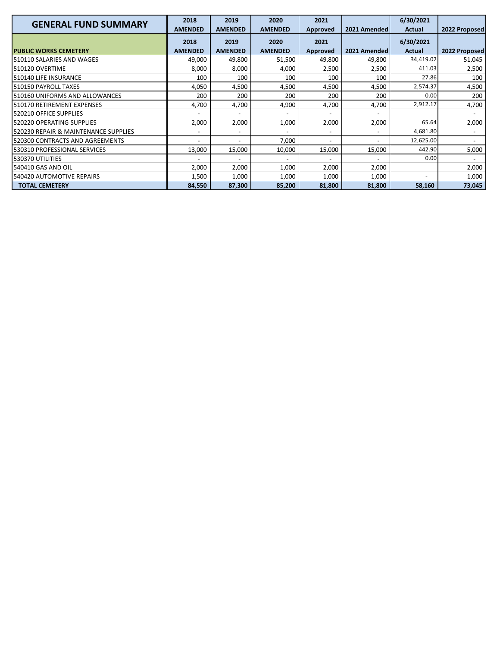| <b>GENERAL FUND SUMMARY</b>          | 2018                   | 2019                   | 2020                   | 2021             |              | 6/30/2021                  |               |
|--------------------------------------|------------------------|------------------------|------------------------|------------------|--------------|----------------------------|---------------|
|                                      | <b>AMENDED</b><br>2018 | <b>AMENDED</b><br>2019 | <b>AMENDED</b><br>2020 | Approved<br>2021 | 2021 Amended | <b>Actual</b><br>6/30/2021 | 2022 Proposed |
| <b>PUBLIC WORKS CEMETERY</b>         | <b>AMENDED</b>         | <b>AMENDED</b>         | <b>AMENDED</b>         | <b>Approved</b>  | 2021 Amended | <b>Actual</b>              | 2022 Proposed |
| 510110 SALARIES AND WAGES            | 49,000                 | 49,800                 | 51,500                 | 49,800           | 49,800       | 34,419.02                  | 51,045        |
| 510120 OVERTIME                      | 8,000                  | 8,000                  | 4,000                  | 2,500            | 2,500        | 411.03                     | 2,500         |
| 510140 LIFE INSURANCE                | 100                    | 100                    | 100                    | 100              | 100          | 27.86                      | 100           |
| 510150 PAYROLL TAXES                 | 4,050                  | 4,500                  | 4,500                  | 4,500            | 4,500        | 2,574.37                   | 4,500         |
| 510160 UNIFORMS AND ALLOWANCES       | 200                    | 200                    | 200                    | 200              | 200          | 0.00                       | 200           |
| 510170 RETIREMENT EXPENSES           | 4,700                  | 4,700                  | 4,900                  | 4,700            | 4,700        | 2,912.17                   | 4,700         |
| 520210 OFFICE SUPPLIES               |                        | $\overline{a}$         |                        |                  |              |                            |               |
| 520220 OPERATING SUPPLIES            | 2.000                  | 2,000                  | 1,000                  | 2,000            | 2,000        | 65.64                      | 2,000         |
| 520230 REPAIR & MAINTENANCE SUPPLIES |                        |                        |                        |                  |              | 4,681.80                   |               |
| 520300 CONTRACTS AND AGREEMENTS      |                        |                        | 7,000                  |                  |              | 12,625.00                  |               |
| 530310 PROFESSIONAL SERVICES         | 13,000                 | 15,000                 | 10,000                 | 15,000           | 15,000       | 442.90                     | 5,000         |
| 530370 UTILITIES                     |                        |                        |                        |                  |              | 0.00                       |               |
| 540410 GAS AND OIL                   | 2,000                  | 2,000                  | 1,000                  | 2,000            | 2,000        |                            | 2,000         |
| 540420 AUTOMOTIVE REPAIRS            | 1,500                  | 1,000                  | 1,000                  | 1,000            | 1,000        | ٠                          | 1,000         |
| <b>TOTAL CEMETERY</b>                | 84,550                 | 87,300                 | 85,200                 | 81,800           | 81,800       | 58,160                     | 73,045        |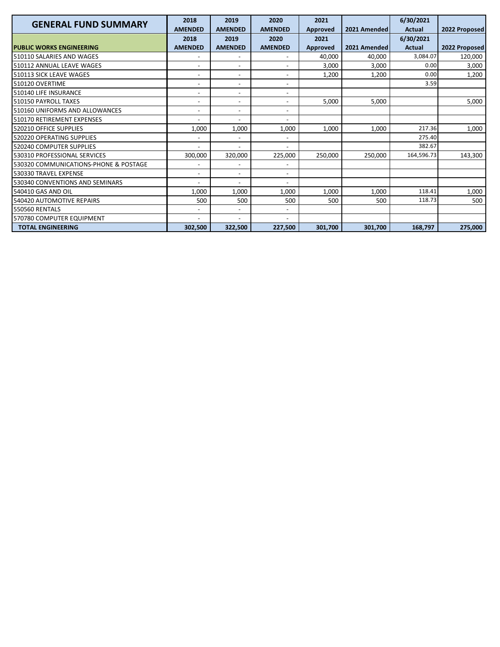| <b>GENERAL FUND SUMMARY</b>           | 2018                     | 2019                     | 2020                     | 2021            |              | 6/30/2021     |               |
|---------------------------------------|--------------------------|--------------------------|--------------------------|-----------------|--------------|---------------|---------------|
|                                       | <b>AMENDED</b>           | <b>AMENDED</b>           | <b>AMENDED</b>           | Approved        | 2021 Amended | Actual        | 2022 Proposed |
|                                       | 2018                     | 2019                     | 2020                     | 2021            |              | 6/30/2021     |               |
| <b>PUBLIC WORKS ENGINEERING</b>       | <b>AMENDED</b>           | <b>AMENDED</b>           | <b>AMENDED</b>           | <b>Approved</b> | 2021 Amended | <b>Actual</b> | 2022 Proposed |
| 510110 SALARIES AND WAGES             |                          |                          |                          | 40,000          | 40.000       | 3,084.07      | 120,000       |
| 510112 ANNUAL LEAVE WAGES             |                          | $\overline{\phantom{0}}$ |                          | 3,000           | 3,000        | 0.00          | 3,000         |
| 510113 SICK LEAVE WAGES               | $\overline{\phantom{a}}$ | $\overline{\phantom{a}}$ | $\overline{\phantom{a}}$ | 1,200           | 1,200        | 0.00          | 1,200         |
| 510120 OVERTIME                       |                          | $\overline{\phantom{a}}$ | $\overline{\phantom{a}}$ |                 |              | 3.59          |               |
| 510140 LIFE INSURANCE                 | $\overline{\phantom{a}}$ | $\overline{\phantom{0}}$ | $\overline{\phantom{a}}$ |                 |              |               |               |
| 510150 PAYROLL TAXES                  |                          | $\overline{\phantom{a}}$ | $\overline{a}$           | 5,000           | 5,000        |               | 5,000         |
| 510160 UNIFORMS AND ALLOWANCES        |                          | $\overline{\phantom{a}}$ | $\overline{\phantom{a}}$ |                 |              |               |               |
| 510170 RETIREMENT EXPENSES            |                          | $\overline{\phantom{a}}$ |                          |                 |              |               |               |
| 520210 OFFICE SUPPLIES                | 1,000                    | 1,000                    | 1,000                    | 1,000           | 1,000        | 217.36        | 1,000         |
| 520220 OPERATING SUPPLIES             | $\blacksquare$           | $\overline{\phantom{a}}$ | $\overline{\phantom{a}}$ |                 |              | 275.40        |               |
| 520240 COMPUTER SUPPLIES              |                          | $\overline{\phantom{0}}$ |                          |                 |              | 382.67        |               |
| 530310 PROFESSIONAL SERVICES          | 300,000                  | 320,000                  | 225,000                  | 250,000         | 250,000      | 164,596.73    | 143,300       |
| 530320 COMMUNICATIONS-PHONE & POSTAGE |                          | $\overline{\phantom{a}}$ |                          |                 |              |               |               |
| 530330 TRAVEL EXPENSE                 | $\overline{\phantom{a}}$ | $\overline{\phantom{a}}$ | $\overline{\phantom{a}}$ |                 |              |               |               |
| 530340 CONVENTIONS AND SEMINARS       |                          | $\overline{\phantom{a}}$ | $\overline{\phantom{a}}$ |                 |              |               |               |
| 540410 GAS AND OIL                    | 1,000                    | 1,000                    | 1,000                    | 1,000           | 1,000        | 118.41        | 1,000         |
| 540420 AUTOMOTIVE REPAIRS             | 500                      | 500                      | 500                      | 500             | 500          | 118.73        | 500           |
| 550560 RENTALS                        |                          | $\overline{\phantom{a}}$ |                          |                 |              |               |               |
| 570780 COMPUTER EQUIPMENT             | $\overline{\phantom{a}}$ | $\overline{\phantom{a}}$ | $\overline{\phantom{a}}$ |                 |              |               |               |
| <b>TOTAL ENGINEERING</b>              | 302,500                  | 322,500                  | 227,500                  | 301,700         | 301,700      | 168,797       | 275,000       |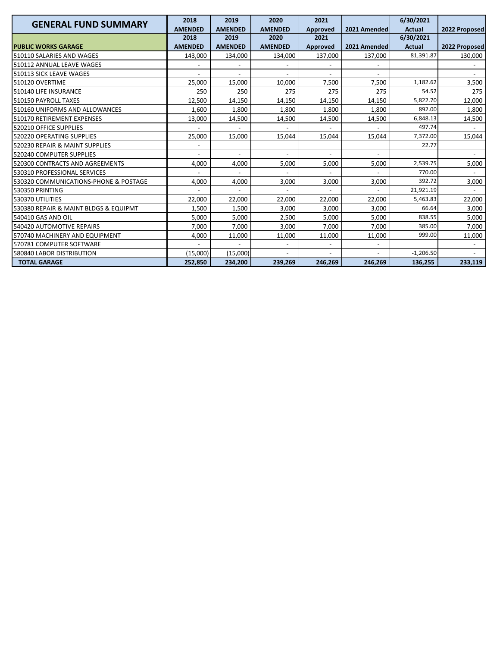| <b>GENERAL FUND SUMMARY</b>           | 2018           | 2019                     | 2020           | 2021     |              | 6/30/2021     |                          |
|---------------------------------------|----------------|--------------------------|----------------|----------|--------------|---------------|--------------------------|
|                                       | <b>AMENDED</b> | <b>AMENDED</b>           | <b>AMENDED</b> | Approved | 2021 Amended | <b>Actual</b> | 2022 Proposed            |
|                                       | 2018           | 2019                     | 2020           | 2021     |              | 6/30/2021     |                          |
| <b>PUBLIC WORKS GARAGE</b>            | <b>AMENDED</b> | <b>AMENDED</b>           | <b>AMENDED</b> | Approved | 2021 Amended | <b>Actual</b> | 2022 Proposed            |
| 510110 SALARIES AND WAGES             | 143,000        | 134,000                  | 134,000        | 137,000  | 137,000      | 81.391.87     | 130,000                  |
| 510112 ANNUAL LEAVE WAGES             |                |                          |                |          |              |               |                          |
| 510113 SICK LEAVE WAGES               |                |                          |                |          |              |               |                          |
| 510120 OVERTIME                       | 25,000         | 15,000                   | 10,000         | 7,500    | 7,500        | 1,182.62      | 3,500                    |
| 510140 LIFE INSURANCE                 | 250            | 250                      | 275            | 275      | 275          | 54.52         | 275                      |
| 510150 PAYROLL TAXES                  | 12,500         | 14,150                   | 14,150         | 14,150   | 14,150       | 5,822.70      | 12,000                   |
| 510160 UNIFORMS AND ALLOWANCES        | 1,600          | 1,800                    | 1,800          | 1,800    | 1,800        | 892.00        | 1,800                    |
| 510170 RETIREMENT EXPENSES            | 13,000         | 14,500                   | 14,500         | 14,500   | 14,500       | 6,848.13      | 14,500                   |
| 520210 OFFICE SUPPLIES                |                |                          |                |          |              | 497.74        |                          |
| 520220 OPERATING SUPPLIES             | 25,000         | 15.000                   | 15,044         | 15,044   | 15.044       | 7,372.00      | 15,044                   |
| 520230 REPAIR & MAINT SUPPLIES        |                |                          |                |          |              | 22.77         |                          |
| 520240 COMPUTER SUPPLIES              |                | $\overline{\phantom{a}}$ |                |          |              |               |                          |
| 520300 CONTRACTS AND AGREEMENTS       | 4,000          | 4,000                    | 5,000          | 5,000    | 5,000        | 2,539.75      | 5,000                    |
| 530310 PROFESSIONAL SERVICES          | $\blacksquare$ | $\overline{a}$           | $\overline{a}$ |          |              | 770.00        | $\overline{\phantom{a}}$ |
| 530320 COMMUNICATIONS-PHONE & POSTAGE | 4,000          | 4,000                    | 3,000          | 3,000    | 3,000        | 392.72        | 3,000                    |
| 530350 PRINTING                       |                |                          |                |          |              | 21,921.19     |                          |
| 530370 UTILITIES                      | 22,000         | 22,000                   | 22,000         | 22,000   | 22,000       | 5,463.83      | 22,000                   |
| 530380 REPAIR & MAINT BLDGS & EQUIPMT | 1,500          | 1,500                    | 3,000          | 3,000    | 3,000        | 66.64         | 3,000                    |
| 540410 GAS AND OIL                    | 5,000          | 5,000                    | 2,500          | 5,000    | 5,000        | 838.55        | 5,000                    |
| 540420 AUTOMOTIVE REPAIRS             | 7,000          | 7,000                    | 3,000          | 7,000    | 7,000        | 385.00        | 7,000                    |
| 570740 MACHINERY AND EQUIPMENT        | 4,000          | 11,000                   | 11,000         | 11,000   | 11,000       | 999.00        | 11,000                   |
| 570781 COMPUTER SOFTWARE              |                |                          |                |          |              |               |                          |
| 580840 LABOR DISTRIBUTION             | (15,000)       | (15,000)                 |                |          |              | $-1,206.50$   |                          |
| <b>TOTAL GARAGE</b>                   | 252,850        | 234,200                  | 239,269        | 246,269  | 246,269      | 136,255       | 233,119                  |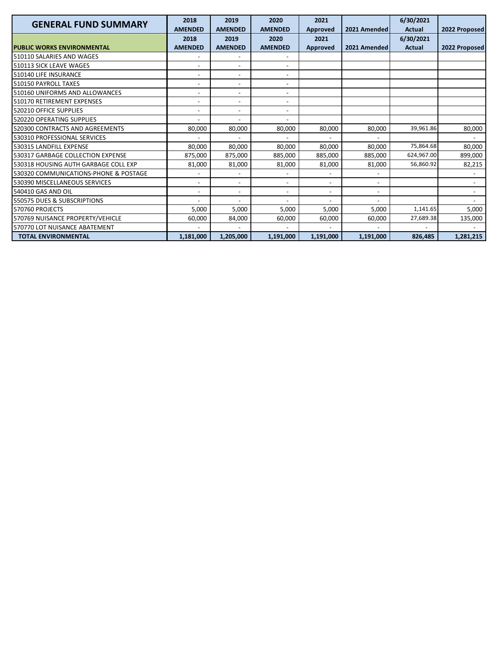| <b>GENERAL FUND SUMMARY</b>           | 2018                     | 2019                     | 2020                         | 2021                     |                          | 6/30/2021     |                          |
|---------------------------------------|--------------------------|--------------------------|------------------------------|--------------------------|--------------------------|---------------|--------------------------|
|                                       | <b>AMENDED</b>           | <b>AMENDED</b>           | <b>AMENDED</b>               | Approved                 | 2021 Amended             | <b>Actual</b> | 2022 Proposed            |
|                                       | 2018                     | 2019                     | 2020                         | 2021                     |                          | 6/30/2021     |                          |
| <b>PUBLIC WORKS ENVIRONMENTAL</b>     | <b>AMENDED</b>           | <b>AMENDED</b>           | <b>AMENDED</b>               | <b>Approved</b>          | 2021 Amended             | <b>Actual</b> | 2022 Proposed            |
| 510110 SALARIES AND WAGES             |                          |                          |                              |                          |                          |               |                          |
| 510113 SICK LEAVE WAGES               | $\overline{\phantom{a}}$ | $\overline{\phantom{a}}$ | $\overline{\phantom{a}}$     |                          |                          |               |                          |
| 510140 LIFE INSURANCE                 |                          | $\overline{\phantom{0}}$ |                              |                          |                          |               |                          |
| 510150 PAYROLL TAXES                  |                          | $\overline{\phantom{a}}$ | $\qquad \qquad \blacksquare$ |                          |                          |               |                          |
| 510160 UNIFORMS AND ALLOWANCES        |                          | $\overline{\phantom{a}}$ | $\overline{\phantom{a}}$     |                          |                          |               |                          |
| 510170 RETIREMENT EXPENSES            |                          | $\overline{\phantom{a}}$ | $\overline{\phantom{a}}$     |                          |                          |               |                          |
| 520210 OFFICE SUPPLIES                |                          | $\overline{\phantom{0}}$ |                              |                          |                          |               |                          |
| 520220 OPERATING SUPPLIES             |                          | $\overline{\phantom{a}}$ | $\overline{a}$               |                          |                          |               |                          |
| 520300 CONTRACTS AND AGREEMENTS       | 80,000                   | 80,000                   | 80,000                       | 80,000                   | 80,000                   | 39,961.86     | 80,000                   |
| 530310 PROFESSIONAL SERVICES          |                          |                          |                              |                          |                          |               |                          |
| 530315 LANDFILL EXPENSE               | 80,000                   | 80,000                   | 80,000                       | 80,000                   | 80,000                   | 75,864.68     | 80,000                   |
| 530317 GARBAGE COLLECTION EXPENSE     | 875,000                  | 875,000                  | 885,000                      | 885,000                  | 885,000                  | 624,967.00    | 899,000                  |
| 530318 HOUSING AUTH GARBAGE COLL EXP  | 81,000                   | 81,000                   | 81,000                       | 81,000                   | 81,000                   | 56,860.92     | 82,215                   |
| 530320 COMMUNICATIONS-PHONE & POSTAGE |                          | $\overline{\phantom{a}}$ | $\overline{\phantom{a}}$     |                          |                          |               | $\overline{\phantom{a}}$ |
| 530390 MISCELLANEOUS SERVICES         |                          | $\overline{\phantom{a}}$ |                              |                          |                          |               |                          |
| 540410 GAS AND OIL                    |                          | $\overline{\phantom{a}}$ | $\qquad \qquad \blacksquare$ | $\overline{\phantom{a}}$ | $\overline{\phantom{a}}$ |               |                          |
| 550575 DUES & SUBSCRIPTIONS           |                          |                          |                              |                          |                          |               |                          |
| 570760 PROJECTS                       | 5,000                    | 5,000                    | 5.000                        | 5,000                    | 5,000                    | 1,141.65      | 5,000                    |
| 570769 NUISANCE PROPERTY/VEHICLE      | 60,000                   | 84,000                   | 60,000                       | 60,000                   | 60,000                   | 27,689.38     | 135,000                  |
| 570770 LOT NUISANCE ABATEMENT         |                          |                          |                              | $\overline{\phantom{a}}$ |                          |               |                          |
| <b>TOTAL ENVIRONMENTAL</b>            | 1,181,000                | 1,205,000                | 1,191,000                    | 1,191,000                | 1,191,000                | 826,485       | 1,281,215                |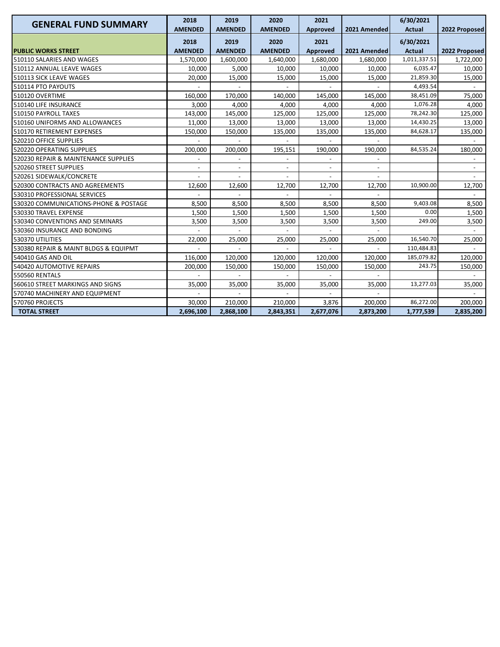| <b>GENERAL FUND SUMMARY</b>           | 2018<br><b>AMENDED</b> | 2019<br><b>AMENDED</b> | 2020<br><b>AMENDED</b> | 2021<br>Approved | 2021 Amended | 6/30/2021<br><b>Actual</b> | 2022 Proposed |
|---------------------------------------|------------------------|------------------------|------------------------|------------------|--------------|----------------------------|---------------|
| <b>PUBLIC WORKS STREET</b>            | 2018<br><b>AMENDED</b> | 2019<br><b>AMENDED</b> | 2020<br><b>AMENDED</b> | 2021<br>Approved | 2021 Amended | 6/30/2021<br><b>Actual</b> | 2022 Proposed |
| 510110 SALARIES AND WAGES             | 1,570,000              | 1,600,000              | 1,640,000              | 1,680,000        | 1,680,000    | 1,011,337.51               | 1,722,000     |
| 510112 ANNUAL LEAVE WAGES             | 10,000                 | 5,000                  | 10,000                 | 10,000           | 10,000       | 6,035.47                   | 10,000        |
| 510113 SICK LEAVE WAGES               | 20,000                 | 15,000                 | 15,000                 | 15,000           | 15,000       | 21,859.30                  | 15,000        |
| 510114 PTO PAYOUTS                    |                        |                        |                        |                  |              | 4,493.54                   |               |
| 510120 OVERTIME                       | 160,000                | 170,000                | 140,000                | 145,000          | 145,000      | 38,451.09                  | 75,000        |
| 510140 LIFE INSURANCE                 | 3,000                  | 4,000                  | 4,000                  | 4,000            | 4,000        | 1,076.28                   | 4,000         |
| 510150 PAYROLL TAXES                  | 143,000                | 145,000                | 125,000                | 125,000          | 125,000      | 78,242.30                  | 125,000       |
| 510160 UNIFORMS AND ALLOWANCES        | 11,000                 | 13,000                 | 13,000                 | 13,000           | 13,000       | 14,430.25                  | 13,000        |
| 510170 RETIREMENT EXPENSES            | 150,000                | 150,000                | 135,000                | 135,000          | 135,000      | 84,628.17                  | 135,000       |
| 520210 OFFICE SUPPLIES                |                        |                        |                        |                  |              |                            |               |
| 520220 OPERATING SUPPLIES             | 200,000                | 200,000                | 195,151                | 190,000          | 190,000      | 84,535.24                  | 180,000       |
| 520230 REPAIR & MAINTENANCE SUPPLIES  |                        | $\overline{a}$         |                        |                  |              |                            |               |
| 520260 STREET SUPPLIES                |                        | $\overline{a}$         |                        |                  |              |                            |               |
| 520261 SIDEWALK/CONCRETE              |                        |                        |                        |                  |              |                            |               |
| 520300 CONTRACTS AND AGREEMENTS       | 12,600                 | 12,600                 | 12,700                 | 12,700           | 12,700       | 10,900.00                  | 12,700        |
| 530310 PROFESSIONAL SERVICES          |                        |                        |                        |                  |              |                            |               |
| 530320 COMMUNICATIONS-PHONE & POSTAGE | 8,500                  | 8,500                  | 8,500                  | 8,500            | 8,500        | 9,403.08                   | 8,500         |
| 530330 TRAVEL EXPENSE                 | 1,500                  | 1,500                  | 1,500                  | 1,500            | 1,500        | 0.00                       | 1,500         |
| 530340 CONVENTIONS AND SEMINARS       | 3,500                  | 3,500                  | 3,500                  | 3,500            | 3,500        | 249.00                     | 3,500         |
| 530360 INSURANCE AND BONDING          |                        |                        |                        |                  |              |                            |               |
| 530370 UTILITIES                      | 22,000                 | 25,000                 | 25,000                 | 25,000           | 25,000       | 16,540.70                  | 25,000        |
| 530380 REPAIR & MAINT BLDGS & EQUIPMT |                        |                        |                        |                  |              | 110,484.83                 |               |
| 540410 GAS AND OIL                    | 116,000                | 120,000                | 120,000                | 120,000          | 120,000      | 185,079.82                 | 120,000       |
| 540420 AUTOMOTIVE REPAIRS             | 200,000                | 150,000                | 150,000                | 150,000          | 150,000      | 243.75                     | 150,000       |
| <b>550560 RENTALS</b>                 |                        |                        |                        |                  |              |                            |               |
| 560610 STREET MARKINGS AND SIGNS      | 35,000                 | 35,000                 | 35,000                 | 35,000           | 35,000       | 13,277.03                  | 35,000        |
| 570740 MACHINERY AND EQUIPMENT        |                        |                        |                        |                  |              |                            |               |
| 570760 PROJECTS                       | 30,000                 | 210,000                | 210,000                | 3,876            | 200,000      | 86,272.00                  | 200,000       |
| <b>TOTAL STREET</b>                   | 2,696,100              | 2,868,100              | 2,843,351              | 2,677,076        | 2,873,200    | 1,777,539                  | 2,835,200     |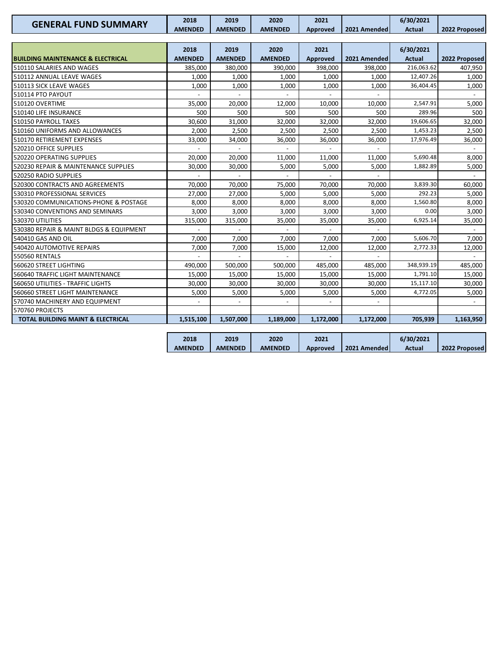| <b>GENERAL FUND SUMMARY</b>                  | 2018           | 2019           | 2020                     | 2021                     |              | 6/30/2021     |                          |
|----------------------------------------------|----------------|----------------|--------------------------|--------------------------|--------------|---------------|--------------------------|
|                                              | <b>AMENDED</b> | <b>AMENDED</b> | <b>AMENDED</b>           | Approved                 | 2021 Amended | <b>Actual</b> | 2022 Proposed            |
|                                              |                |                |                          |                          |              |               |                          |
|                                              | 2018           | 2019           | 2020                     | 2021                     |              | 6/30/2021     |                          |
| <b>BUILDING MAINTENANCE &amp; ELECTRICAL</b> | <b>AMENDED</b> | <b>AMENDED</b> | <b>AMENDED</b>           | Approved                 | 2021 Amended | <b>Actual</b> | 2022 Proposed            |
| 510110 SALARIES AND WAGES                    | 385,000        | 380,000        | 390,000                  | 398,000                  | 398,000      | 216,063.62    | 407,950                  |
| 510112 ANNUAL LEAVE WAGES                    | 1,000          | 1,000          | 1,000                    | 1,000                    | 1,000        | 12,407.26     | 1,000                    |
| 510113 SICK LEAVE WAGES                      | 1,000          | 1,000          | 1,000                    | 1,000                    | 1,000        | 36,404.45     | 1,000                    |
| 510114 PTO PAYOUT                            |                |                | $\overline{a}$           | $\overline{a}$           |              |               |                          |
| 510120 OVERTIME                              | 35,000         | 20,000         | 12,000                   | 10,000                   | 10,000       | 2,547.91      | 5,000                    |
| 510140 LIFE INSURANCE                        | 500            | 500            | 500                      | 500                      | 500          | 289.96        | 500                      |
| 510150 PAYROLL TAXES                         | 30,600         | 31,000         | 32,000                   | 32,000                   | 32,000       | 19,606.65     | 32,000                   |
| 510160 UNIFORMS AND ALLOWANCES               | 2,000          | 2,500          | 2,500                    | 2,500                    | 2,500        | 1,453.23      | 2,500                    |
| 510170 RETIREMENT EXPENSES                   | 33,000         | 34,000         | 36,000                   | 36,000                   | 36,000       | 17,976.49     | 36,000                   |
| 520210 OFFICE SUPPLIES                       |                |                |                          |                          |              |               |                          |
| 520220 OPERATING SUPPLIES                    | 20,000         | 20,000         | 11,000                   | 11,000                   | 11,000       | 5,690.48      | 8,000                    |
| 520230 REPAIR & MAINTENANCE SUPPLIES         | 30,000         | 30,000         | 5,000                    | 5,000                    | 5,000        | 1,882.89      | 5,000                    |
| 520250 RADIO SUPPLIES                        |                |                |                          |                          |              |               |                          |
| 520300 CONTRACTS AND AGREEMENTS              | 70.000         | 70,000         | 75,000                   | 70,000                   | 70,000       | 3,839.30      | 60.000                   |
| 530310 PROFESSIONAL SERVICES                 | 27,000         | 27,000         | 5.000                    | 5,000                    | 5,000        | 292.23        | 5,000                    |
| 530320 COMMUNICATIONS-PHONE & POSTAGE        | 8,000          | 8,000          | 8,000                    | 8,000                    | 8,000        | 1,560.80      | 8,000                    |
| 530340 CONVENTIONS AND SEMINARS              | 3,000          | 3,000          | 3,000                    | 3,000                    | 3,000        | 0.00          | 3,000                    |
| 530370 UTILITIES                             | 315,000        | 315,000        | 35,000                   | 35,000                   | 35,000       | 6,925.14      | 35,000                   |
| 530380 REPAIR & MAINT BLDGS & EQUIPMENT      |                |                |                          |                          |              |               |                          |
| 540410 GAS AND OIL                           | 7,000          | 7,000          | 7,000                    | 7,000                    | 7,000        | 5,606.70      | 7,000                    |
| 540420 AUTOMOTIVE REPAIRS                    | 7,000          | 7,000          | 15,000                   | 12,000                   | 12,000       | 2,772.33      | 12,000                   |
| <b>550560 RENTALS</b>                        |                |                |                          |                          |              |               |                          |
| 560620 STREET LIGHTING                       | 490.000        | 500.000        | 500.000                  | 485.000                  | 485.000      | 348,939.19    | 485.000                  |
| 560640 TRAFFIC LIGHT MAINTENANCE             | 15,000         | 15,000         | 15,000                   | 15,000                   | 15,000       | 1,791.10      | 15,000                   |
| 560650 UTILITIES - TRAFFIC LIGHTS            | 30,000         | 30,000         | 30,000                   | 30,000                   | 30,000       | 15,117.10     | 30,000                   |
| 560660 STREET LIGHT MAINTENANCE              | 5,000          | 5,000          | 5,000                    | 5,000                    | 5,000        | 4,772.05      | 5,000                    |
| 570740 MACHINERY AND EQUIPMENT               | $\overline{a}$ | $\overline{a}$ | $\overline{\phantom{a}}$ | $\overline{\phantom{a}}$ |              |               | $\overline{\phantom{a}}$ |
| 570760 PROJECTS                              |                |                |                          |                          |              |               |                          |
| <b>TOTAL BUILDING MAINT &amp; ELECTRICAL</b> | 1,515,100      | 1,507,000      | 1,189,000                | 1,172,000                | 1,172,000    | 705,939       | 1,163,950                |
|                                              |                |                |                          |                          |              |               |                          |
|                                              | 2018           | 2019           | 2020                     | 2021                     |              | 6/30/2021     |                          |

**AMENDED** 

**AMENDED** 

**AMENDED** 

**Approved 2021 Amended** 

**Actual 2022 Proposed**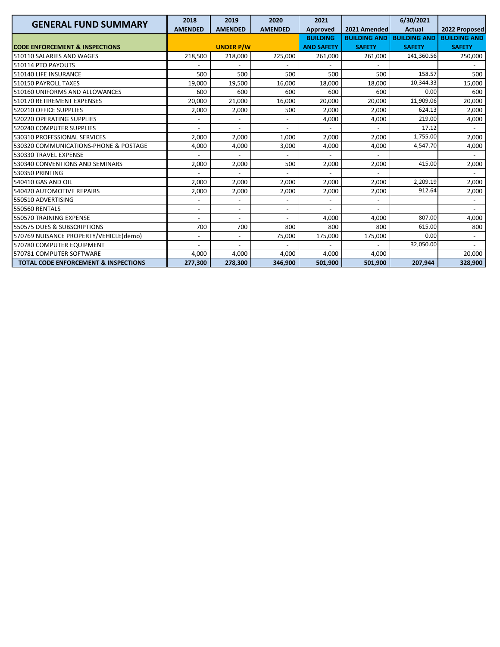| <b>GENERAL FUND SUMMARY</b>                     | 2018                     | 2019                     | 2020                     | 2021              |                     | 6/30/2021           |                          |
|-------------------------------------------------|--------------------------|--------------------------|--------------------------|-------------------|---------------------|---------------------|--------------------------|
|                                                 | <b>AMENDED</b>           | <b>AMENDED</b>           | <b>AMENDED</b>           | Approved          | 2021 Amended        | <b>Actual</b>       | 2022 Proposed            |
|                                                 |                          |                          |                          | <b>BUILDING</b>   | <b>BUILDING AND</b> | <b>BUILDING AND</b> | <b>BUILDING AND</b>      |
| <b>CODE ENFORCEMENT &amp; INSPECTIONS</b>       |                          | <b>UNDER P/W</b>         |                          | <b>AND SAFETY</b> | <b>SAFETY</b>       | <b>SAFETY</b>       | <b>SAFETY</b>            |
| 510110 SALARIES AND WAGES                       | 218,500                  | 218,000                  | 225,000                  | 261,000           | 261.000             | 141,360.56          | 250,000                  |
| 510114 PTO PAYOUTS                              |                          |                          |                          |                   |                     |                     |                          |
| 510140 LIFE INSURANCE                           | 500                      | 500                      | 500                      | 500               | 500                 | 158.57              | 500                      |
| 510150 PAYROLL TAXES                            | 19,000                   | 19,500                   | 16,000                   | 18,000            | 18.000              | 10,344.33           | 15,000                   |
| 510160 UNIFORMS AND ALLOWANCES                  | 600                      | 600                      | 600                      | 600               | 600                 | 0.00                | 600                      |
| 510170 RETIREMENT EXPENSES                      | 20,000                   | 21,000                   | 16,000                   | 20,000            | 20,000              | 11,909.06           | 20,000                   |
| 520210 OFFICE SUPPLIES                          | 2,000                    | 2,000                    | 500                      | 2,000             | 2,000               | 624.13              | 2,000                    |
| 520220 OPERATING SUPPLIES                       |                          | $\overline{a}$           | $\overline{a}$           | 4,000             | 4,000               | 219.00              | 4,000                    |
| 520240 COMPUTER SUPPLIES                        |                          | $\overline{\phantom{a}}$ |                          |                   |                     | 17.12               |                          |
| 530310 PROFESSIONAL SERVICES                    | 2,000                    | 2,000                    | 1,000                    | 2,000             | 2,000               | 1,755.00            | 2,000                    |
| 530320 COMMUNICATIONS-PHONE & POSTAGE           | 4,000                    | 4,000                    | 3,000                    | 4,000             | 4,000               | 4,547.70            | 4,000                    |
| 530330 TRAVEL EXPENSE                           |                          |                          |                          |                   |                     |                     |                          |
| 530340 CONVENTIONS AND SEMINARS                 | 2,000                    | 2,000                    | 500                      | 2,000             | 2,000               | 415.00              | 2,000                    |
| 530350 PRINTING                                 |                          | $\overline{a}$           | $\overline{\phantom{a}}$ |                   |                     |                     | $\sim$                   |
| 540410 GAS AND OIL                              | 2,000                    | 2,000                    | 2,000                    | 2,000             | 2,000               | 2,209.19            | 2,000                    |
| 540420 AUTOMOTIVE REPAIRS                       | 2,000                    | 2,000                    | 2,000                    | 2,000             | 2,000               | 912.64              | 2,000                    |
| 550510 ADVERTISING                              |                          |                          |                          |                   |                     |                     | $\overline{\phantom{0}}$ |
| <b>550560 RENTALS</b>                           | $\overline{\phantom{a}}$ | $\overline{\phantom{a}}$ | $\overline{a}$           |                   |                     |                     |                          |
| 550570 TRAINING EXPENSE                         |                          | $\overline{\phantom{0}}$ |                          | 4,000             | 4,000               | 807.00              | 4,000                    |
| 550575 DUES & SUBSCRIPTIONS                     | 700                      | 700                      | 800                      | 800               | 800                 | 615.00              | 800                      |
| 570769 NUISANCE PROPERTY/VEHICLE(demo)          |                          | $\overline{\phantom{0}}$ | 75,000                   | 175,000           | 175,000             | 0.00                |                          |
| 570780 COMPUTER EQUIPMENT                       |                          | $\overline{a}$           |                          |                   |                     | 32,050.00           | $\overline{a}$           |
| 570781 COMPUTER SOFTWARE                        | 4,000                    | 4,000                    | 4,000                    | 4,000             | 4,000               |                     | 20,000                   |
| <b>TOTAL CODE ENFORCEMENT &amp; INSPECTIONS</b> | 277,300                  | 278,300                  | 346,900                  | 501,900           | 501,900             | 207,944             | 328,900                  |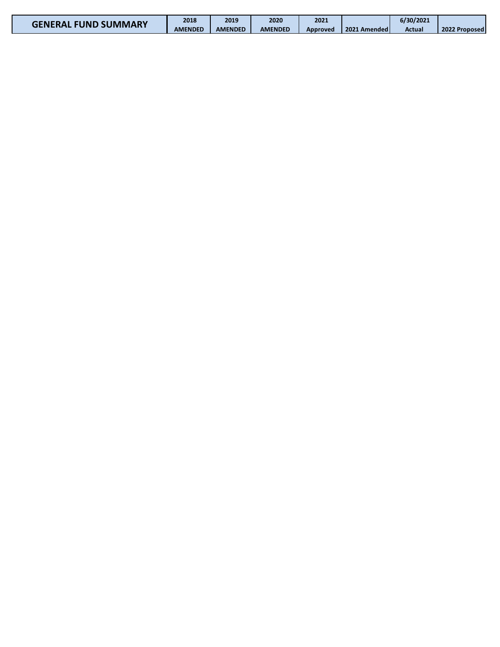| <b>GENERAL FUND SUMMARY</b> | 2018           | 2019           | 2020           | 2021     |              | 6/30/2021 |               |
|-----------------------------|----------------|----------------|----------------|----------|--------------|-----------|---------------|
|                             | <b>AMENDED</b> | <b>AMENDED</b> | <b>AMENDED</b> | Approved | 2021 Amended | Actual    | 2022 Proposed |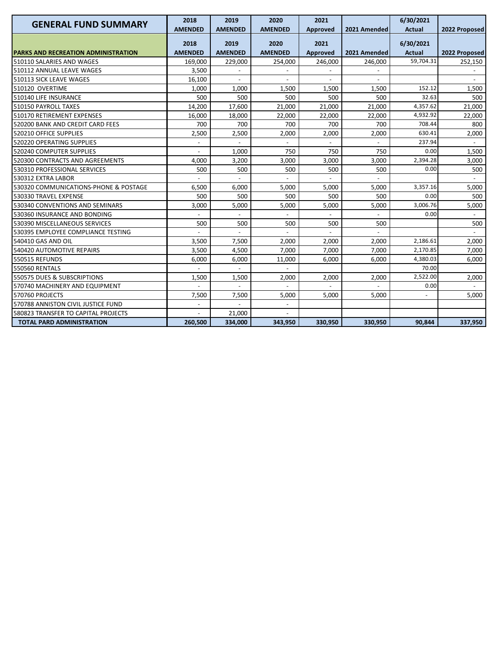| <b>GENERAL FUND SUMMARY</b>                | 2018           | 2019           | 2020                     | 2021     |              | 6/30/2021     |                |
|--------------------------------------------|----------------|----------------|--------------------------|----------|--------------|---------------|----------------|
|                                            | <b>AMENDED</b> | <b>AMENDED</b> | <b>AMENDED</b>           | Approved | 2021 Amended | <b>Actual</b> | 2022 Proposed  |
|                                            | 2018           | 2019           | 2020                     | 2021     |              | 6/30/2021     |                |
| <b>PARKS AND RECREATION ADMINISTRATION</b> | <b>AMENDED</b> | <b>AMENDED</b> | <b>AMENDED</b>           | Approved | 2021 Amended | <b>Actual</b> | 2022 Proposed  |
| 510110 SALARIES AND WAGES                  | 169.000        | 229,000        | 254,000                  | 246,000  | 246,000      | 59,704.31     | 252,150        |
| 510112 ANNUAL LEAVE WAGES                  | 3,500          |                |                          |          |              |               |                |
| 510113 SICK LEAVE WAGES                    | 16,100         | $\overline{a}$ |                          |          |              |               |                |
| 510120 OVERTIME                            | 1,000          | 1,000          | 1,500                    | 1,500    | 1,500        | 152.12        | 1,500          |
| 510140 LIFE INSURANCE                      | 500            | 500            | 500                      | 500      | 500          | 32.63         | 500            |
| 510150 PAYROLL TAXES                       | 14,200         | 17,600         | 21,000                   | 21,000   | 21,000       | 4,357.62      | 21,000         |
| 510170 RETIREMENT EXPENSES                 | 16,000         | 18,000         | 22,000                   | 22,000   | 22,000       | 4,932.92      | 22,000         |
| 520200 BANK AND CREDIT CARD FEES           | 700            | 700            | 700                      | 700      | 700          | 708.44        | 800            |
| 520210 OFFICE SUPPLIES                     | 2,500          | 2,500          | 2,000                    | 2,000    | 2,000        | 630.41        | 2,000          |
| 520220 OPERATING SUPPLIES                  | $\overline{a}$ | $\overline{a}$ | $\overline{a}$           |          |              | 237.94        | $\overline{a}$ |
| 520240 COMPUTER SUPPLIES                   |                | 1,000          | 750                      | 750      | 750          | 0.00          | 1,500          |
| 520300 CONTRACTS AND AGREEMENTS            | 4,000          | 3,200          | 3,000                    | 3,000    | 3,000        | 2,394.28      | 3,000          |
| 530310 PROFESSIONAL SERVICES               | 500            | 500            | 500                      | 500      | 500          | 0.00          | 500            |
| 530312 EXTRA LABOR                         |                |                |                          |          |              |               |                |
| 530320 COMMUNICATIONS-PHONE & POSTAGE      | 6,500          | 6.000          | 5,000                    | 5,000    | 5.000        | 3,357.16      | 5,000          |
| 530330 TRAVEL EXPENSE                      | 500            | 500            | 500                      | 500      | 500          | 0.00          | 500            |
| 530340 CONVENTIONS AND SEMINARS            | 3,000          | 5,000          | 5,000                    | 5,000    | 5,000        | 3,006.76      | 5,000          |
| 530360 INSURANCE AND BONDING               |                |                |                          |          |              | 0.00          |                |
| 530390 MISCELLANEOUS SERVICES              | 500            | 500            | 500                      | 500      | 500          |               | 500            |
| 530395 EMPLOYEE COMPLIANCE TESTING         |                |                |                          |          |              |               |                |
| 540410 GAS AND OIL                         | 3,500          | 7,500          | 2,000                    | 2,000    | 2,000        | 2,186.61      | 2,000          |
| 540420 AUTOMOTIVE REPAIRS                  | 3,500          | 4,500          | 7,000                    | 7.000    | 7.000        | 2,170.85      | 7,000          |
| 550515 REFUNDS                             | 6,000          | 6,000          | 11,000                   | 6,000    | 6.000        | 4,380.03      | 6,000          |
| 550560 RENTALS                             |                |                |                          |          |              | 70.00         |                |
| 550575 DUES & SUBSCRIPTIONS                | 1,500          | 1,500          | 2,000                    | 2,000    | 2,000        | 2,522.00      | 2,000          |
| 570740 MACHINERY AND EQUIPMENT             |                |                |                          |          |              | 0.00          |                |
| 570760 PROJECTS                            | 7,500          | 7,500          | 5,000                    | 5,000    | 5,000        |               | 5,000          |
| 570788 ANNISTON CIVIL JUSTICE FUND         | $\overline{a}$ |                | $\overline{\phantom{a}}$ |          |              |               |                |
| 580823 TRANSFER TO CAPITAL PROJECTS        |                | 21,000         |                          |          |              |               |                |
| <b>TOTAL PARD ADMINISTRATION</b>           | 260,500        | 334,000        | 343,950                  | 330,950  | 330,950      | 90,844        | 337,950        |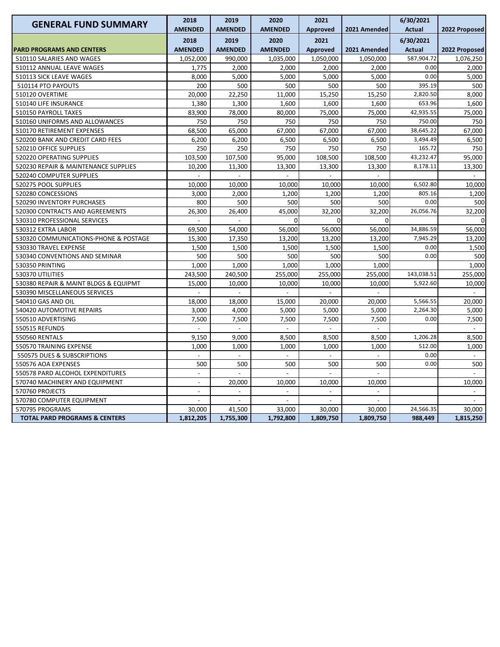| <b>GENERAL FUND SUMMARY</b>              | 2018<br><b>AMENDED</b>   | 2019<br><b>AMENDED</b>   | 2020<br><b>AMENDED</b>   | 2021<br><b>Approved</b>  | 2021 Amended             | 6/30/2021<br><b>Actual</b> | 2022 Proposed            |
|------------------------------------------|--------------------------|--------------------------|--------------------------|--------------------------|--------------------------|----------------------------|--------------------------|
|                                          |                          |                          |                          |                          |                          |                            |                          |
| <b>PARD PROGRAMS AND CENTERS</b>         | 2018<br><b>AMENDED</b>   | 2019<br><b>AMENDED</b>   | 2020<br><b>AMENDED</b>   | 2021<br><b>Approved</b>  | 2021 Amended             | 6/30/2021<br><b>Actual</b> | 2022 Proposed            |
| 510110 SALARIES AND WAGES                | 1,052,000                | 990,000                  | 1,035,000                | 1,050,000                | 1,050,000                | 587,904.72                 | 1,076,250                |
| 510112 ANNUAL LEAVE WAGES                | 1,775                    | 2,000                    | 2,000                    | 2,000                    | 2,000                    | 0.00                       | 2,000                    |
| 510113 SICK LEAVE WAGES                  | 8,000                    | 5,000                    | 5,000                    | 5,000                    | 5,000                    | 0.00                       | 5,000                    |
| 510114 PTO PAYOUTS                       | 200                      | 500                      | 500                      | 500                      | 500                      | 395.19                     | 500                      |
| 510120 OVERTIME                          | 20,000                   | 22,250                   | 11,000                   | 15,250                   | 15,250                   | 2,820.50                   | 8,000                    |
| 510140 LIFE INSURANCE                    | 1,380                    | 1,300                    | 1,600                    | 1,600                    | 1,600                    | 653.96                     | 1,600                    |
| 510150 PAYROLL TAXES                     | 83,900                   | 78,000                   | 80,000                   | 75,000                   | 75,000                   | 42,935.55                  | 75,000                   |
| 510160 UNIFORMS AND ALLOWANCES           | 750                      | 750                      | 750                      | 750                      | 750                      | 750.00                     | 750                      |
| 510170 RETIREMENT EXPENSES               | 68,500                   | 65,000                   | 67,000                   | 67,000                   | 67,000                   | 38,645.22                  | 67,000                   |
| 520200 BANK AND CREDIT CARD FEES         | 6,200                    | 6,200                    | 6,500                    | 6,500                    | 6,500                    | 3,494.49                   | 6,500                    |
| 520210 OFFICE SUPPLIES                   | 250                      | 250                      | 750                      | 750                      | 750                      | 165.72                     | 750                      |
| 520220 OPERATING SUPPLIES                | 103,500                  | 107,500                  | 95,000                   | 108,500                  | 108,500                  | 43,232.47                  | 95,000                   |
| 520230 REPAIR & MAINTENANCE SUPPLIES     | 10,200                   | 11,300                   | 13,300                   | 13,300                   | 13,300                   | 8,178.11                   | 13,300                   |
| 520240 COMPUTER SUPPLIES                 |                          |                          | $\overline{a}$           | $\overline{a}$           |                          |                            |                          |
| 520275 POOL SUPPLIES                     | 10,000                   | 10,000                   | 10,000                   | 10,000                   | 10,000                   | 6,502.80                   | 10,000                   |
| 520280 CONCESSIONS                       | 3,000                    | 2,000                    | 1,200                    | 1,200                    | 1,200                    | 805.16                     | 1,200                    |
| 520290 INVENTORY PURCHASES               | 800                      | 500                      | 500                      | 500                      | 500                      | 0.00                       | 500                      |
| 520300 CONTRACTS AND AGREEMENTS          | 26,300                   | 26,400                   | 45,000                   | 32,200                   | 32,200                   | 26,056.76                  | 32,200                   |
| 530310 PROFESSIONAL SERVICES             |                          |                          | $\Omega$                 | $\Omega$                 | $\mathbf 0$              |                            | $\Omega$                 |
| 530312 EXTRA LABOR                       | 69,500                   | 54,000                   | 56,000                   | 56,000                   | 56,000                   | 34,886.59                  | 56,000                   |
| 530320 COMMUNICATIONS-PHONE & POSTAGE    | 15,300                   | 17,350                   | 13,200                   | 13,200                   | 13,200                   | 7,945.29                   | 13,200                   |
| 530330 TRAVEL EXPENSE                    | 1,500                    | 1,500                    | 1,500                    | 1,500                    | 1,500                    | 0.00                       | 1,500                    |
| 530340 CONVENTIONS AND SEMINAR           | 500                      | 500                      | 500                      | 500                      | 500                      | 0.00                       | 500                      |
| 530350 PRINTING                          | 1,000                    | 1,000                    | 1,000                    | 1,000                    | 1,000                    |                            | 1,000                    |
| 530370 UTILITIES                         | 243,500                  | 240,500                  | 255,000                  | 255,000                  | 255,000                  | 143,038.51                 | 255,000                  |
| 530380 REPAIR & MAINT BLDGS & EQUIPMT    | 15,000                   | 10,000                   | 10,000                   | 10,000                   | 10,000                   | 5,922.60                   | 10,000                   |
| 530390 MISCELLANEOUS SERVICES            |                          |                          |                          |                          |                          |                            |                          |
| 540410 GAS AND OIL                       | 18,000                   | 18,000                   | 15,000                   | 20,000                   | 20,000                   | 5,566.55                   | 20,000                   |
| 540420 AUTOMOTIVE REPAIRS                | 3,000                    | 4,000                    | 5,000                    | 5,000                    | 5,000                    | 2,264.30                   | 5,000                    |
| 550510 ADVERTISING                       | 7,500                    | 7,500                    | 7,500                    | 7,500                    | 7,500                    | 0.00                       | 7,500                    |
| 550515 REFUNDS                           |                          |                          | $\overline{a}$           |                          |                          |                            |                          |
| 550560 RENTALS                           | 9,150                    | 9,000                    | 8,500                    | 8,500                    | 8,500                    | 1,206.28                   | 8,500                    |
| 550570 TRAINING EXPENSE                  | 1,000                    | 1,000                    | 1,000                    | 1,000                    | 1,000                    | 512.00                     | 1,000                    |
| 550575 DUES & SUBSCRIPTIONS              |                          | $\blacksquare$           | $\overline{\phantom{a}}$ | $\overline{\phantom{a}}$ | $\blacksquare$           | 0.00                       | $\overline{\phantom{a}}$ |
| 550576 AOA EXPENSES                      | 500                      | 500                      | 500                      | 500                      | 500                      | 0.00                       | 500                      |
| 550578 PARD ALCOHOL EXPENDITURES         | $\overline{a}$           | $\overline{\phantom{a}}$ | $\overline{a}$           | $\overline{a}$           | $\mathbf{r}$             |                            | $\overline{a}$           |
| 570740 MACHINERY AND EQUIPMENT           | $\overline{a}$           | 20,000                   | 10,000                   | 10,000                   | 10,000                   |                            | 10,000                   |
| 570760 PROJECTS                          |                          |                          |                          |                          |                          |                            |                          |
| 570780 COMPUTER EQUIPMENT                | $\overline{\phantom{a}}$ | $\overline{\phantom{a}}$ | $\overline{\phantom{a}}$ | $\overline{a}$           | $\overline{\phantom{a}}$ |                            |                          |
| 570795 PROGRAMS                          | 30,000                   | 41,500                   | 33,000                   | 30,000                   | 30,000                   | 24,566.35                  | 30,000                   |
| <b>TOTAL PARD PROGRAMS &amp; CENTERS</b> | 1,812,205                | 1,755,300                | 1,792,800                | 1,809,750                | 1,809,750                | 988,449                    | 1,815,250                |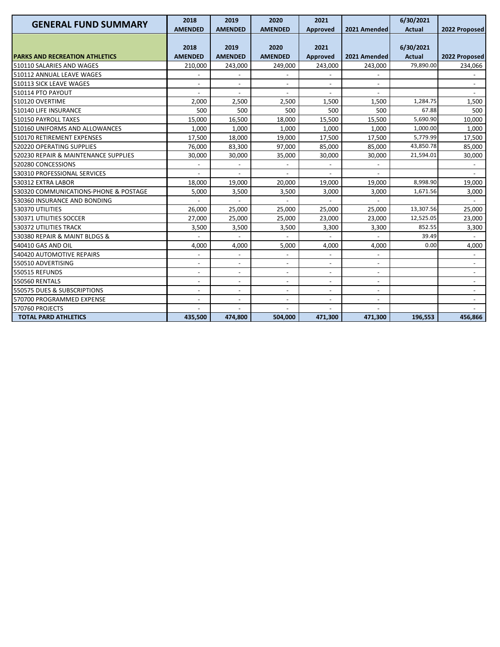| <b>GENERAL FUND SUMMARY</b>           | 2018                     | 2019                         | 2020                         | 2021                     |                          | 6/30/2021     |                          |
|---------------------------------------|--------------------------|------------------------------|------------------------------|--------------------------|--------------------------|---------------|--------------------------|
|                                       | <b>AMENDED</b>           | <b>AMENDED</b>               | <b>AMENDED</b>               | <b>Approved</b>          | 2021 Amended             | <b>Actual</b> | 2022 Proposed            |
|                                       | 2018                     | 2019                         | 2020                         | 2021                     |                          | 6/30/2021     |                          |
| <b>PARKS AND RECREATION ATHLETICS</b> | <b>AMENDED</b>           | <b>AMENDED</b>               | <b>AMENDED</b>               | Approved                 | 2021 Amended             | <b>Actual</b> | 2022 Proposed            |
| 510110 SALARIES AND WAGES             | 210,000                  | 243,000                      | 249,000                      | 243,000                  | 243,000                  | 79,890.00     | 234,066                  |
| 510112 ANNUAL LEAVE WAGES             |                          |                              |                              |                          |                          |               |                          |
| 510113 SICK LEAVE WAGES               |                          | $\overline{\phantom{a}}$     |                              |                          |                          |               |                          |
| <b>510114 PTO PAYOUT</b>              |                          |                              |                              |                          |                          |               |                          |
| 510120 OVERTIME                       | 2,000                    | 2,500                        | 2,500                        | 1,500                    | 1,500                    | 1,284.75      | 1,500                    |
| 510140 LIFE INSURANCE                 | 500                      | 500                          | 500                          | 500                      | 500                      | 67.88         | 500                      |
| 510150 PAYROLL TAXES                  | 15,000                   | 16,500                       | 18,000                       | 15,500                   | 15,500                   | 5,690.90      | 10,000                   |
| 510160 UNIFORMS AND ALLOWANCES        | 1,000                    | 1,000                        | 1,000                        | 1,000                    | 1,000                    | 1,000.00      | 1,000                    |
| 510170 RETIREMENT EXPENSES            | 17,500                   | 18,000                       | 19,000                       | 17,500                   | 17,500                   | 5,779.99      | 17,500                   |
| 520220 OPERATING SUPPLIES             | 76,000                   | 83,300                       | 97,000                       | 85,000                   | 85,000                   | 43,850.78     | 85,000                   |
| 520230 REPAIR & MAINTENANCE SUPPLIES  | 30,000                   | 30,000                       | 35,000                       | 30,000                   | 30,000                   | 21,594.01     | 30,000                   |
| 520280 CONCESSIONS                    |                          |                              |                              |                          |                          |               |                          |
| 530310 PROFESSIONAL SERVICES          |                          |                              |                              |                          |                          |               |                          |
| 530312 EXTRA LABOR                    | 18,000                   | 19,000                       | 20,000                       | 19,000                   | 19,000                   | 8,998.90      | 19,000                   |
| 530320 COMMUNICATIONS-PHONE & POSTAGE | 5,000                    | 3,500                        | 3,500                        | 3,000                    | 3,000                    | 1,671.56      | 3,000                    |
| 530360 INSURANCE AND BONDING          |                          |                              |                              |                          |                          |               |                          |
| 530370 UTILITIES                      | 26,000                   | 25.000                       | 25,000                       | 25,000                   | 25.000                   | 13,307.56     | 25.000                   |
| 530371 UTILITIES SOCCER               | 27,000                   | 25,000                       | 25,000                       | 23,000                   | 23,000                   | 12,525.05     | 23,000                   |
| 530372 UTILITIES TRACK                | 3,500                    | 3,500                        | 3,500                        | 3,300                    | 3,300                    | 852.55        | 3,300                    |
| 530380 REPAIR & MAINT BLDGS &         |                          |                              |                              |                          |                          | 39.49         |                          |
| 540410 GAS AND OIL                    | 4,000                    | 4,000                        | 5,000                        | 4,000                    | 4,000                    | 0.00          | 4,000                    |
| 540420 AUTOMOTIVE REPAIRS             | $\overline{\phantom{a}}$ | $\qquad \qquad \blacksquare$ | $\qquad \qquad \blacksquare$ |                          | $\overline{\phantom{a}}$ |               | $\blacksquare$           |
| 550510 ADVERTISING                    | $\overline{\phantom{a}}$ | $\overline{\phantom{a}}$     | $\overline{\phantom{a}}$     | $\overline{\phantom{a}}$ | $\overline{\phantom{a}}$ |               | $\overline{\phantom{a}}$ |
| <b>550515 REFUNDS</b>                 |                          | $\overline{a}$               | $\overline{\phantom{a}}$     | $\overline{\phantom{a}}$ | $\overline{a}$           |               |                          |
| <b>550560 RENTALS</b>                 |                          | $\overline{\phantom{a}}$     | $\overline{\phantom{a}}$     | $\blacksquare$           |                          |               |                          |
| 550575 DUES & SUBSCRIPTIONS           |                          | $\overline{a}$               |                              |                          |                          |               |                          |
| 570700 PROGRAMMED EXPENSE             |                          | $\overline{\phantom{a}}$     | $\overline{\phantom{a}}$     |                          |                          |               |                          |
| 570760 PROJECTS                       |                          |                              |                              |                          |                          |               |                          |
| <b>TOTAL PARD ATHLETICS</b>           | 435,500                  | 474,800                      | 504,000                      | 471,300                  | 471,300                  | 196,553       | 456,866                  |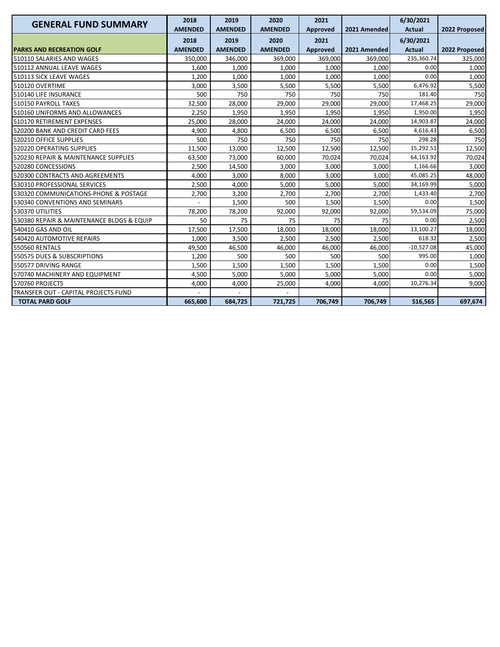| <b>GENERAL FUND SUMMARY</b>               | 2018<br><b>AMENDED</b> | 2019<br><b>AMENDED</b> | 2020<br><b>AMENDED</b> | 2021<br>Approved | 2021 Amended | 6/30/2021<br><b>Actual</b> | 2022 Proposed |
|-------------------------------------------|------------------------|------------------------|------------------------|------------------|--------------|----------------------------|---------------|
|                                           | 2018                   | 2019                   | 2020                   | 2021             |              | 6/30/2021                  |               |
| <b>PARKS AND RECREATION GOLF</b>          | <b>AMENDED</b>         | <b>AMENDED</b>         | <b>AMENDED</b>         | Approved         | 2021 Amended | <b>Actual</b>              | 2022 Proposed |
| 510110 SALARIES AND WAGES                 | 350.000                | 346,000                | 369.000                | 369.000          | 369.000      | 235,360.74                 | 325,000       |
| 510112 ANNUAL LEAVE WAGES                 | 1,600                  | 1,000                  | 1,000                  | 1,000            | 1,000        | 0.00                       | 1,000         |
| 510113 SICK LEAVE WAGES                   | 1,200                  | 1,000                  | 1,000                  | 1,000            | 1,000        | 0.00                       | 1,000         |
| 510120 OVERTIME                           | 3,000                  | 3,500                  | 5,500                  | 5,500            | 5,500        | 6,476.92                   | 5,500         |
| 510140 LIFE INSURANCE                     | 500                    | 750                    | 750                    | 750              | 750          | 181.40                     | 750           |
| 510150 PAYROLL TAXES                      | 32,500                 | 28,000                 | 29,000                 | 29,000           | 29,000       | 17,468.25                  | 29,000        |
| 510160 UNIFORMS AND ALLOWANCES            | 2,250                  | 1,950                  | 1,950                  | 1,950            | 1,950        | 1,950.00                   | 1,950         |
| 510170 RETIREMENT EXPENSES                | 25.000                 | 28.000                 | 24,000                 | 24,000           | 24.000       | 14,903.87                  | 24,000        |
| 520200 BANK AND CREDIT CARD FEES          | 4,900                  | 4.800                  | 6,500                  | 6,500            | 6,500        | 4,616.43                   | 6,500         |
| 520210 OFFICE SUPPLIES                    | 500                    | 750                    | 750                    | 750              | 750          | 298.28                     | 750           |
| 520220 OPERATING SUPPLIES                 | 11,500                 | 13,000                 | 12,500                 | 12,500           | 12,500       | 15,292.51                  | 12,500        |
| 520230 REPAIR & MAINTENANCE SUPPLIES      | 63,500                 | 73,000                 | 60,000                 | 70.024           | 70.024       | 64,163.92                  | 70,024        |
| 520280 CONCESSIONS                        | 2,500                  | 14,500                 | 3,000                  | 3,000            | 3,000        | 1,166.66                   | 3,000         |
| 520300 CONTRACTS AND AGREEMENTS           | 4,000                  | 3,000                  | 8,000                  | 3,000            | 3,000        | 45,085.25                  | 48,000        |
| 530310 PROFESSIONAL SERVICES              | 2,500                  | 4,000                  | 5,000                  | 5,000            | 5,000        | 34,169.99                  | 5,000         |
| 530320 COMMUNICATIONS-PHONE & POSTAGE     | 2,700                  | 3,200                  | 2,700                  | 2,700            | 2,700        | 1,433.40                   | 2,700         |
| 530340 CONVENTIONS AND SEMINARS           |                        | 1,500                  | 500                    | 1,500            | 1,500        | 0.00                       | 1,500         |
| 530370 UTILITIES                          | 78,200                 | 78,200                 | 92,000                 | 92,000           | 92,000       | 59,534.09                  | 75,000        |
| 530380 REPAIR & MAINTENANCE BLDGS & EQUIP | 50                     | 75                     | 75                     | 75               | 75           | 0.00                       | 2,500         |
| 540410 GAS AND OIL                        | 17,500                 | 17,500                 | 18,000                 | 18.000           | 18,000       | 13,100.27                  | 18,000        |
| 540420 AUTOMOTIVE REPAIRS                 | 1,000                  | 3,500                  | 2,500                  | 2,500            | 2,500        | 618.32                     | 2,500         |
| <b>550560 RENTALS</b>                     | 49,500                 | 46,500                 | 46,000                 | 46,000           | 46,000       | $-10,527.08$               | 45,000        |
| 550575 DUES & SUBSCRIPTIONS               | 1,200                  | 500                    | 500                    | 500              | 500          | 995.00                     | 1,000         |
| 550577 DRIVING RANGE                      | 1,500                  | 1,500                  | 1,500                  | 1,500            | 1,500        | 0.00                       | 1,500         |
| 570740 MACHINERY AND EQUIPMENT            | 4,500                  | 5,000                  | 5,000                  | 5,000            | 5,000        | 0.00                       | 5,000         |
| 570760 PROJECTS                           | 4,000                  | 4,000                  | 25,000                 | 4,000            | 4,000        | 10,276.34                  | 9,000         |
| TRANSFER OUT - CAPITAL PROJECTS FUND      |                        |                        |                        |                  |              |                            |               |
| <b>TOTAL PARD GOLF</b>                    | 665,600                | 684,725                | 721,725                | 706,749          | 706,749      | 516,565                    | 697,674       |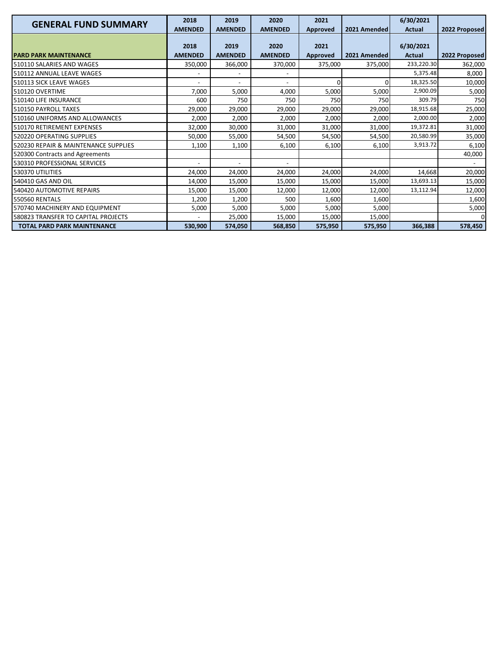| <b>GENERAL FUND SUMMARY</b>          | 2018           | 2019                     | 2020           | 2021            |              | 6/30/2021     |               |
|--------------------------------------|----------------|--------------------------|----------------|-----------------|--------------|---------------|---------------|
|                                      | <b>AMENDED</b> | <b>AMENDED</b>           | <b>AMENDED</b> | <b>Approved</b> | 2021 Amended | <b>Actual</b> | 2022 Proposed |
|                                      | 2018           | 2019                     | 2020           | 2021            |              | 6/30/2021     |               |
| <b>PARD PARK MAINTENANCE</b>         | <b>AMENDED</b> | <b>AMENDED</b>           | <b>AMENDED</b> | Approved        | 2021 Amended | Actual        | 2022 Proposed |
| 510110 SALARIES AND WAGES            | 350,000        | 366,000                  | 370,000        | 375,000         | 375,000      | 233,220.30    | 362,000       |
| 510112 ANNUAL LEAVE WAGES            |                |                          |                |                 |              | 5,375.48      | 8,000         |
| 510113 SICK LEAVE WAGES              |                | $\overline{\phantom{0}}$ |                | U               |              | 18,325.50     | 10,000        |
| 510120 OVERTIME                      | 7,000          | 5,000                    | 4,000          | 5,000           | 5,000        | 2,900.09      | 5,000         |
| 510140 LIFE INSURANCE                | 600            | 750                      | 750            | 750             | 750          | 309.79        | 750           |
| 510150 PAYROLL TAXES                 | 29,000         | 29,000                   | 29,000         | 29,000          | 29,000       | 18,915.68     | 25,000        |
| 510160 UNIFORMS AND ALLOWANCES       | 2,000          | 2,000                    | 2,000          | 2,000           | 2,000        | 2,000.00      | 2,000         |
| 510170 RETIREMENT EXPENSES           | 32,000         | 30,000                   | 31,000         | 31,000          | 31,000       | 19,372.81     | 31,000        |
| 520220 OPERATING SUPPLIES            | 50,000         | 55,000                   | 54,500         | 54,500          | 54,500       | 20,580.99     | 35,000        |
| 520230 REPAIR & MAINTENANCE SUPPLIES | 1,100          | 1,100                    | 6,100          | 6,100           | 6,100        | 3,913.72      | 6,100         |
| 520300 Contracts and Agreements      |                |                          |                |                 |              |               | 40,000        |
| 530310 PROFESSIONAL SERVICES         |                | $\overline{\phantom{a}}$ |                |                 |              |               |               |
| 530370 UTILITIES                     | 24,000         | 24,000                   | 24,000         | 24,000          | 24,000       | 14,668        | 20,000        |
| 540410 GAS AND OIL                   | 14,000         | 15,000                   | 15,000         | 15,000          | 15,000       | 13,693.13     | 15,000        |
| 540420 AUTOMOTIVE REPAIRS            | 15,000         | 15,000                   | 12,000         | 12,000          | 12,000       | 13,112.94     | 12,000        |
| <b>550560 RENTALS</b>                | 1,200          | 1,200                    | 500            | 1,600           | 1,600        |               | 1,600         |
| 570740 MACHINERY AND EQUIPMENT       | 5,000          | 5,000                    | 5,000          | 5,000           | 5,000        |               | 5,000         |
| 580823 TRANSFER TO CAPITAL PROJECTS  |                | 25,000                   | 15,000         | 15,000          | 15,000       |               | 0             |
| <b>TOTAL PARD PARK MAINTENANCE</b>   | 530,900        | 574,050                  | 568,850        | 575,950         | 575,950      | 366,388       | 578,450       |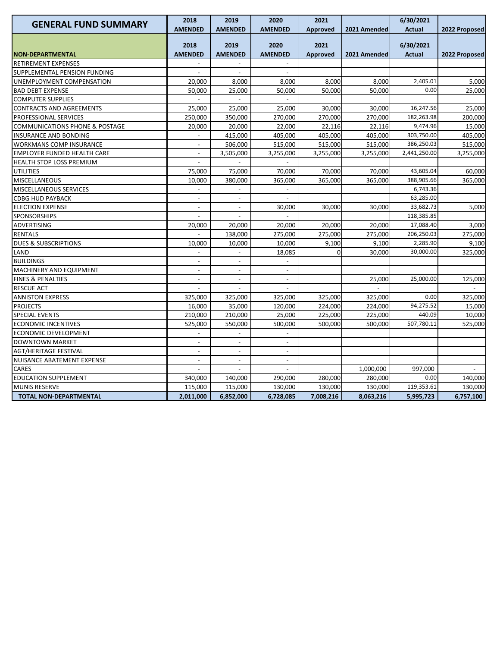| <b>GENERAL FUND SUMMARY</b>               | 2018                     | 2019                     | 2020                     | 2021            |              | 6/30/2021     |                |
|-------------------------------------------|--------------------------|--------------------------|--------------------------|-----------------|--------------|---------------|----------------|
|                                           | <b>AMENDED</b>           | <b>AMENDED</b>           | <b>AMENDED</b>           | <b>Approved</b> | 2021 Amended | <b>Actual</b> | 2022 Proposed  |
|                                           | 2018                     | 2019                     | 2020                     | 2021            |              | 6/30/2021     |                |
| <b>NON-DEPARTMENTAL</b>                   | <b>AMENDED</b>           | <b>AMENDED</b>           | <b>AMENDED</b>           | <b>Approved</b> | 2021 Amended | <b>Actual</b> | 2022 Proposed  |
| RETIREMENT EXPENSES                       |                          |                          |                          |                 |              |               |                |
| SUPPLEMENTAL PENSION FUNDING              | $\overline{a}$           | $\sim$                   | $\overline{\phantom{a}}$ |                 |              |               |                |
| UNEMPLOYMENT COMPENSATION                 | 20,000                   | 8,000                    | 8,000                    | 8,000           | 8,000        | 2,405.01      | 5,000          |
| <b>BAD DEBT EXPENSE</b>                   | 50,000                   | 25,000                   | 50,000                   | 50,000          | 50,000       | 0.00          | 25,000         |
| <b>COMPUTER SUPPLIES</b>                  |                          |                          |                          |                 |              |               |                |
| CONTRACTS AND AGREEMENTS                  | 25,000                   | 25,000                   | 25,000                   | 30,000          | 30,000       | 16,247.56     | 25,000         |
| PROFESSIONAL SERVICES                     | 250,000                  | 350,000                  | 270,000                  | 270,000         | 270,000      | 182,263.98    | 200,000        |
| <b>COMMUNICATIONS PHONE &amp; POSTAGE</b> | 20,000                   | 20,000                   | 22,000                   | 22,116          | 22,116       | 9,474.96      | 15,000         |
| <b>INSURANCE AND BONDING</b>              |                          | 415,000                  | 405,000                  | 405,000         | 405,000      | 303,750.00    | 405,000        |
| <b>WORKMANS COMP INSURANCE</b>            |                          | 506,000                  | 515,000                  | 515,000         | 515,000      | 386,250.03    | 515,000        |
| <b>EMPLOYER FUNDED HEALTH CARE</b>        |                          | 3,505,000                | 3,255,000                | 3,255,000       | 3,255,000    | 2,441,250.00  | 3,255,000      |
| HEALTH STOP LOSS PREMIUM                  | $\overline{\phantom{a}}$ |                          | $\overline{\phantom{a}}$ |                 |              |               |                |
| <b>UTILITIES</b>                          | 75,000                   | 75,000                   | 70,000                   | 70,000          | 70,000       | 43,605.04     | 60,000         |
| MISCELLANEOUS                             | 10,000                   | 380,000                  | 365,000                  | 365,000         | 365,000      | 388,905.66    | 365,000        |
| <b>MISCELLANEOUS SERVICES</b>             |                          |                          |                          |                 |              | 6,743.36      |                |
| <b>CDBG HUD PAYBACK</b>                   | $\overline{\phantom{a}}$ | $\overline{\phantom{a}}$ | $\overline{\phantom{a}}$ |                 |              | 63,285.00     |                |
| <b>ELECTION EXPENSE</b>                   | $\overline{a}$           | $\overline{\phantom{a}}$ | 30,000                   | 30,000          | 30,000       | 33,682.73     | 5,000          |
| <b>SPONSORSHIPS</b>                       |                          |                          |                          |                 |              | 118,385.85    |                |
| ADVERTISING                               | 20,000                   | 20,000                   | 20,000                   | 20,000          | 20,000       | 17,088.40     | 3,000          |
| <b>RENTALS</b>                            |                          | 138,000                  | 275,000                  | 275,000         | 275,000      | 206,250.03    | 275,000        |
| <b>DUES &amp; SUBSCRIPTIONS</b>           | 10,000                   | 10,000                   | 10,000                   | 9,100           | 9,100        | 2,285.90      | 9,100          |
| LAND                                      |                          |                          | 18,085                   | 0               | 30,000       | 30,000.00     | 325,000        |
| <b>BUILDINGS</b>                          |                          | $\overline{a}$           |                          |                 |              |               |                |
| MACHINERY AND EQUIPMENT                   | $\overline{\phantom{a}}$ | $\overline{a}$           | $\overline{a}$           |                 |              |               |                |
| <b>FINES &amp; PENALTIES</b>              | $\overline{a}$           | $\overline{\phantom{a}}$ | $\overline{\phantom{a}}$ |                 | 25,000       | 25,000.00     | 125,000        |
| RESCUE ACT                                |                          |                          |                          |                 |              |               |                |
| <b>ANNISTON EXPRESS</b>                   | 325,000                  | 325,000                  | 325,000                  | 325,000         | 325,000      | 0.00          | 325,000        |
| <b>PROJECTS</b>                           | 16,000                   | 35,000                   | 120,000                  | 224,000         | 224,000      | 94,275.52     | 15,000         |
| <b>SPECIAL EVENTS</b>                     | 210,000                  | 210,000                  | 25,000                   | 225,000         | 225,000      | 440.09        | 10,000         |
| <b>ECONOMIC INCENTIVES</b>                | 525,000                  | 550,000                  | 500,000                  | 500,000         | 500,000      | 507,780.11    | 525,000        |
| ECONOMIC DEVELOPMENT                      |                          | $\overline{\phantom{0}}$ |                          |                 |              |               |                |
| <b>DOWNTOWN MARKET</b>                    | $\frac{1}{2}$            | $\overline{\phantom{a}}$ | $\overline{\phantom{a}}$ |                 |              |               |                |
| AGT/HERITAGE FESTIVAL                     | $\overline{a}$           | $\blacksquare$           | $\overline{\phantom{a}}$ |                 |              |               |                |
| NUISANCE ABATEMENT EXPENSE                |                          | $\overline{a}$           |                          |                 |              |               |                |
| CARES                                     |                          | $\overline{a}$           | $\overline{a}$           |                 | 1,000,000    | 997,000       | $\overline{a}$ |
| <b>EDUCATION SUPPLEMENT</b>               | 340,000                  | 140,000                  | 290,000                  | 280,000         | 280,000      | 0.00          | 140,000        |
| <b>MUNIS RESERVE</b>                      | 115,000                  | 115,000                  | 130,000                  | 130,000         | 130,000      | 119,353.61    | 130,000        |
| <b>TOTAL NON-DEPARTMENTAL</b>             | 2,011,000                | 6,852,000                | 6,728,085                | 7,008,216       | 8,063,216    | 5,995,723     | 6,757,100      |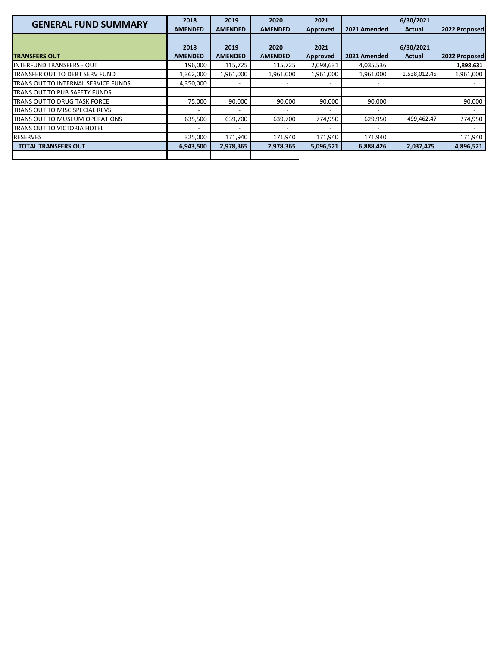| <b>GENERAL FUND SUMMARY</b>                 | 2018<br><b>AMENDED</b> | 2019<br><b>AMENDED</b> | 2020<br><b>AMENDED</b> | 2021<br><b>Approved</b>  | 2021 Amended | 6/30/2021<br>Actual | 2022 Proposed |
|---------------------------------------------|------------------------|------------------------|------------------------|--------------------------|--------------|---------------------|---------------|
| <b>TRANSFERS OUT</b>                        | 2018<br><b>AMENDED</b> | 2019<br><b>AMENDED</b> | 2020<br><b>AMENDED</b> | 2021<br>Approved         | 2021 Amended | 6/30/2021<br>Actual | 2022 Proposed |
| <b>INTERFUND TRANSFERS - OUT</b>            | 196,000                | 115,725                | 115,725                | 2,098,631                | 4,035,536    |                     | 1,898,631     |
| <b>ITRANSFER OUT TO DEBT SERV FUND</b>      | 1,362,000              | 1,961,000              | 1,961,000              | 1,961,000                | 1,961,000    | 1,538,012.45        | 1,961,000     |
| <b>ITRANS OUT TO INTERNAL SERVICE FUNDS</b> | 4,350,000              |                        |                        | $\overline{\phantom{a}}$ |              |                     |               |
| <b>ITRANS OUT TO PUB SAFETY FUNDS</b>       |                        |                        |                        |                          |              |                     |               |
| <b>ITRANS OUT TO DRUG TASK FORCE</b>        | 75,000                 | 90,000                 | 90,000                 | 90,000                   | 90,000       |                     | 90,000        |
| <b>ITRANS OUT TO MISC SPECIAL REVS</b>      |                        |                        |                        |                          |              |                     |               |
| <b>ITRANS OUT TO MUSEUM OPERATIONS</b>      | 635,500                | 639,700                | 639,700                | 774,950                  | 629,950      | 499,462.47          | 774,950       |
| <b>ITRANS OUT TO VICTORIA HOTEL</b>         |                        |                        |                        | ۰                        |              |                     |               |
| <b>RESERVES</b>                             | 325,000                | 171,940                | 171,940                | 171,940                  | 171,940      |                     | 171,940       |
| <b>TOTAL TRANSFERS OUT</b>                  | 6,943,500              | 2,978,365              | 2,978,365              | 5,096,521                | 6,888,426    | 2,037,475           | 4,896,521     |
|                                             |                        |                        |                        |                          |              |                     |               |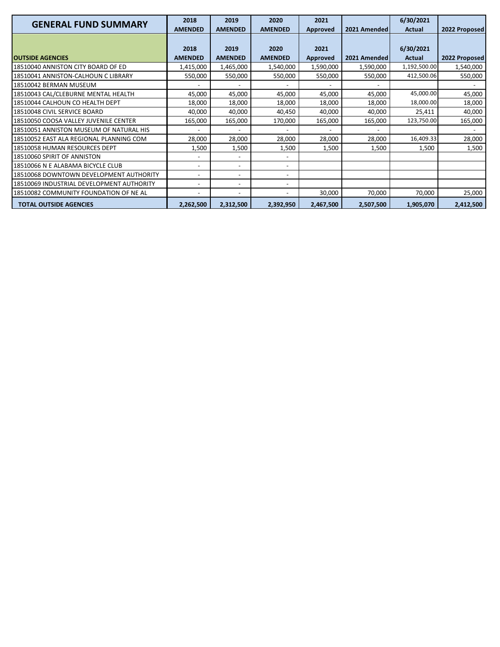| <b>GENERAL FUND SUMMARY</b>               | 2018                     | 2019                     | 2020                     | 2021            |              | 6/30/2021    |               |
|-------------------------------------------|--------------------------|--------------------------|--------------------------|-----------------|--------------|--------------|---------------|
|                                           | <b>AMENDED</b>           | <b>AMENDED</b>           | <b>AMENDED</b>           | <b>Approved</b> | 2021 Amended | Actual       | 2022 Proposed |
|                                           |                          |                          |                          |                 |              |              |               |
|                                           | 2018                     | 2019                     | 2020                     | 2021            |              | 6/30/2021    |               |
| <b>OUTSIDE AGENCIES</b>                   | <b>AMENDED</b>           | <b>AMENDED</b>           | <b>AMENDED</b>           | <b>Approved</b> | 2021 Amended | Actual       | 2022 Proposed |
| 18510040 ANNISTON CITY BOARD OF ED        | 1,415,000                | 1,465,000                | 1,540,000                | 1,590,000       | 1,590,000    | 1,192,500.00 | 1,540,000     |
| 18510041 ANNISTON-CALHOUN C LIBRARY       | 550,000                  | 550,000                  | 550,000                  | 550,000         | 550,000      | 412,500.06   | 550,000       |
| 18510042 BERMAN MUSEUM                    |                          |                          |                          |                 |              |              |               |
| 18510043 CAL/CLEBURNE MENTAL HEALTH       | 45,000                   | 45,000                   | 45,000                   | 45,000          | 45,000       | 45,000.00    | 45,000        |
| 18510044 CALHOUN CO HEALTH DEPT           | 18,000                   | 18,000                   | 18,000                   | 18,000          | 18,000       | 18,000.00    | 18,000        |
| 18510048 CIVIL SERVICE BOARD              | 40,000                   | 40,000                   | 40,450                   | 40,000          | 40,000       | 25,411       | 40,000        |
| 18510050 COOSA VALLEY JUVENILE CENTER     | 165,000                  | 165,000                  | 170,000                  | 165,000         | 165,000      | 123,750.00   | 165,000       |
| 18510051 ANNISTON MUSEUM OF NATURAL HIS   |                          |                          |                          |                 |              |              |               |
| 18510052 EAST ALA REGIONAL PLANNING COM   | 28,000                   | 28,000                   | 28,000                   | 28,000          | 28,000       | 16,409.33    | 28,000        |
| 18510058 HUMAN RESOURCES DEPT             | 1,500                    | 1,500                    | 1,500                    | 1,500           | 1,500        | 1,500        | 1,500         |
| 18510060 SPIRIT OF ANNISTON               |                          | $\overline{\phantom{a}}$ |                          |                 |              |              |               |
| 18510066 N E ALABAMA BICYCLE CLUB         | $\overline{\phantom{a}}$ | $\overline{\phantom{0}}$ | $\overline{\phantom{a}}$ |                 |              |              |               |
| 18510068 DOWNTOWN DEVELOPMENT AUTHORITY   | $\overline{\phantom{a}}$ | $\overline{\phantom{a}}$ |                          |                 |              |              |               |
| 18510069 INDUSTRIAL DEVELOPMENT AUTHORITY | $\overline{\phantom{a}}$ | $\overline{\phantom{0}}$ | $\overline{\phantom{a}}$ |                 |              |              |               |
| 18510082 COMMUNITY FOUNDATION OF NE AL    | $\overline{\phantom{a}}$ | $\overline{\phantom{0}}$ |                          | 30,000          | 70,000       | 70,000       | 25,000        |
| <b>TOTAL OUTSIDE AGENCIES</b>             | 2,262,500                | 2,312,500                | 2,392,950                | 2,467,500       | 2,507,500    | 1,905,070    | 2,412,500     |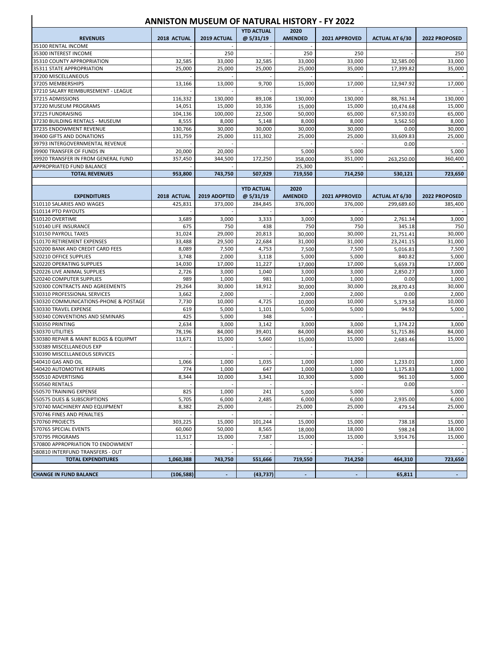#### **ANNISTON MUSEUM OF NATURAL HISTORY - FY 2022**

 $\overline{\phantom{a}}$ 

|                                       |                |                | <b>YTD ACTUAL</b> | 2020           |                |                       |               |
|---------------------------------------|----------------|----------------|-------------------|----------------|----------------|-----------------------|---------------|
| <b>REVENUES</b>                       | 2018 ACTUAL    | 2019 ACTUAL    | @ 5/31/19         | <b>AMENDED</b> | 2021 APPROVED  | <b>ACTUAL AT 6/30</b> | 2022 PROPOSED |
| 35100 RENTAL INCOME                   |                |                |                   |                |                |                       |               |
| 35300 INTEREST INCOME                 | $\overline{a}$ | 250            |                   | 250            | 250            |                       | 250           |
| 35310 COUNTY APPROPRIATION            | 32,585         | 33,000         | 32,585            | 33,000         | 33,000         | 32,585.00             | 33,000        |
| 35311 STATE APPROPRIATION             | 25,000         | 25,000         | 25,000            | 25,000         | 35,000         | 17,399.82             | 35,000        |
| 37200 MISCELLANEOUS                   |                |                |                   |                |                |                       |               |
| 37205 MEMBERSHIPS                     | 13,166         | 13,000         | 9,700             | 15,000         | 17,000         | 12,947.92             | 17,000        |
| 37210 SALARY REIMBURSEMENT - LEAGUE   |                |                |                   |                |                |                       |               |
| 37215 ADMISSIONS                      | 116,332        | 130,000        | 89,108            | 130,000        | 130,000        | 88,761.34             | 130,000       |
| 37220 MUSEUM PROGRAMS                 | 14,051         | 15,000         | 10,336            | 15,000         | 15,000         | 10,474.68             | 15,000        |
| 37225 FUNDRAISING                     | 104,136        | 100,000        | 22,500            | 50,000         | 65,000         | 67,530.03             | 65,000        |
| 37230 BUILDING RENTALS - MUSEUM       | 8,555          | 8,000          | 5,148             | 8,000          | 8,000          | 3,562.50              | 8,000         |
| 37235 ENDOWMENT REVENUE               | 130,766        | 30,000         | 30,000            | 30,000         | 30,000         | 0.00                  | 30,000        |
| 39400 GIFTS AND DONATIONS             | 131,759        | 25,000         | 111,302           | 25,000         | 25,000         | 33,609.83             | 25,000        |
| 39793 INTERGOVERNMENTAL REVENUE       |                |                |                   |                |                | 0.00                  |               |
| 39900 TRANSFER OF FUNDS IN            | 20,000         | 20,000         |                   | 5,000          | 5,000          |                       | 5,000         |
| 39920 TRANSFER IN FROM GENERAL FUND   | 357,450        | 344,500        | 172,250           | 358,000        | 351,000        | 263,250.00            | 360,400       |
| APPROPRIATED FUND BALANCE             |                |                |                   | 25,300         |                |                       |               |
| <b>TOTAL REVENUES</b>                 | 953,800        | 743,750        | 507,929           | 719,550        | 714,250        | 530,121               | 723,650       |
|                                       |                |                |                   |                |                |                       |               |
|                                       |                |                | <b>YTD ACTUAL</b> | 2020           |                |                       |               |
| <b>EXPENDITURES</b>                   | 2018 ACTUAL    | 2019 ADOPTED   | @ 5/31/19         | <b>AMENDED</b> | 2021 APPROVED  | <b>ACTUAL AT 6/30</b> | 2022 PROPOSED |
| 510110 SALARIES AND WAGES             | 425,831        | 373,000        | 284,845           | 376.000        | 376.000        | 299,689.60            | 385,400       |
| 510114 PTO PAYOUTS                    |                |                |                   |                |                |                       |               |
| 510120 OVERTIME                       | 3,689          | 3,000          | 3,333             | 3,000          | 3,000          | 2,761.34              | 3,000         |
| 510140 LIFE INSURANCE                 | 675            | 750            | 438               | 750            | 750            | 345.18                | 750           |
| 510150 PAYROLL TAXES                  | 31,024         | 29,000         | 20,813            | 30,000         | 30,000         | 21,751.41             | 30,000        |
| 510170 RETIREMENT EXPENSES            | 33,488         | 29,500         | 22,684            | 31,000         | 31,000         | 23,241.15             | 31,000        |
| 520200 BANK AND CREDIT CARD FEES      | 8,089          | 7,500          | 4,753             | 7,500          | 7,500          | 5,016.81              | 7,500         |
| 520210 OFFICE SUPPLIES                | 3,748          | 2,000          | 3,118             | 5,000          | 5,000          | 840.82                | 5,000         |
| 520220 OPERATING SUPPLIES             | 14,030         | 17,000         | 11,227            | 17,000         | 17,000         | 5,659.73              | 17,000        |
| 520226 LIVE ANIMAL SUPPLIES           | 2,726          | 3,000          | 1,040             | 3,000          | 3,000          | 2,850.27              | 3,000         |
| 520240 COMPUTER SUPPLIES              | 989            | 1,000          | 981               | 1,000          | 1,000          | 0.00                  | 1,000         |
| 520300 CONTRACTS AND AGREEMENTS       | 29,264         | 30,000         | 18,912            | 30,000         | 30,000         | 28,870.43             | 30,000        |
| 530310 PROFESSIONAL SERVICES          | 3,662          | 2,000          |                   | 2,000          | 2,000          | 0.00                  | 2,000         |
| 530320 COMMUNICATIONS-PHONE & POSTAGE | 7,730          | 10,000         | 4,725             | 10,000         | 10,000         | 5,379.58              | 10,000        |
| 530330 TRAVEL EXPENSE                 | 619            | 5,000          | 1,101             | 5,000          | 5,000          | 94.92                 | 5,000         |
| 530340 CONVENTIONS AND SEMINARS       | 425            | 5,000          | 348               |                |                |                       |               |
| 530350 PRINTING                       | 2,634          | 3,000          | 3,142             | 3,000          | 3,000          | 1,374.22              | 3,000         |
| 530370 UTILITIES                      | 78,196         | 84,000         | 39,401            | 84,000         | 84,000         | 51,715.86             | 84,000        |
| 530380 REPAIR & MAINT BLDGS & EQUIPMT | 13,671         | 15,000         | 5,660             | 15,000         | 15,000         | 2,683.46              | 15,000        |
| 530389 MISCELLANEOUS EXP              | $\overline{a}$ |                |                   |                |                |                       |               |
| 530390 MISCELLANEOUS SERVICES         |                |                |                   |                |                |                       |               |
| 540410 GAS AND OIL                    | 1,066          | 1,000          | 1,035             | 1,000          | 1,000          | 1,233.01              | 1,000         |
| 540420 AUTOMOTIVE REPAIRS             | 774            | 1,000          | 647               | 1,000          | 1,000          | 1,175.83              | 1,000         |
| 550510 ADVERTISING                    | 8,344          | 10.000         | 3,341             | 10,300         | 5,000          | 961.10                | 5,000         |
| 550560 RENTALS                        |                |                |                   |                |                | 0.00                  |               |
| 550570 TRAINING EXPENSE               | 825            | 1,000          | 241               | 5,000          | 5,000          |                       | 5,000         |
| 550575 DUES & SUBSCRIPTIONS           | 5,705          | 6,000          | 2,485             | 6,000          | 6,000          | 2,935.00              | 6,000         |
| 570740 MACHINERY AND EQUIPMENT        | 8,382          | 25,000         |                   | 25,000         | 25,000         | 479.54                | 25,000        |
| 570746 FINES AND PENALTIES            |                |                |                   |                |                |                       |               |
| 570760 PROJECTS                       | 303,225        | 15,000         | 101,244           | 15,000         | 15,000         | 738.18                | 15,000        |
| 570765 SPECIAL EVENTS                 | 60,060         | 50,000         | 8,565             | 18,000         | 18,000         | 598.24                | 18,000        |
| 570795 PROGRAMS                       | 11,517         | 15,000         | 7,587             | 15,000         | 15,000         | 3,914.76              | 15,000        |
| 570800 APPROPRIATION TO ENDOWMENT     |                |                |                   |                |                |                       |               |
| 580810 INTERFUND TRANSFERS - OUT      |                |                |                   |                |                |                       |               |
| <b>TOTAL EXPENDITURES</b>             | 1,060,388      | 743,750        | 551,666           | 719,550        | 714,250        | 464,310               | 723,650       |
|                                       |                |                |                   |                |                |                       |               |
| <b>CHANGE IN FUND BALANCE</b>         | (106, 588)     | $\blacksquare$ | (43, 737)         | $\blacksquare$ | $\blacksquare$ | 65,811                | $\sim$        |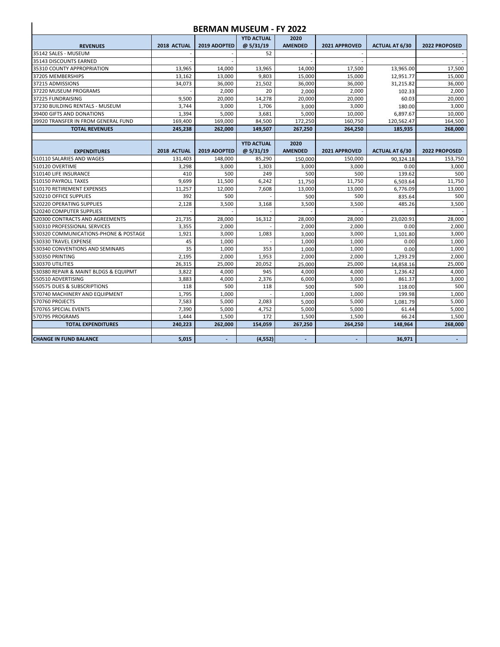| <b>BERMAN MUSEUM - FY 2022</b>        |                          |              |                   |                |                          |                       |               |  |  |  |
|---------------------------------------|--------------------------|--------------|-------------------|----------------|--------------------------|-----------------------|---------------|--|--|--|
|                                       |                          |              | <b>YTD ACTUAL</b> | 2020           |                          |                       |               |  |  |  |
| <b>REVENUES</b>                       | 2018 ACTUAL              | 2019 ADOPTED | @ 5/31/19         | <b>AMENDED</b> | 2021 APPROVED            | <b>ACTUAL AT 6/30</b> | 2022 PROPOSED |  |  |  |
| 35142 SALES - MUSEUM                  |                          |              | 52                |                |                          |                       |               |  |  |  |
| 35143 DISCOUNTS EARNED                |                          |              |                   |                |                          |                       |               |  |  |  |
| 35310 COUNTY APPROPRIATION            | 13,965                   | 14.000       | 13,965            | 14,000         | 17,500                   | 13,965.00             | 17,500        |  |  |  |
| 37205 MEMBERSHIPS                     | 13,162                   | 13,000       | 9,803             | 15,000         | 15,000                   | 12,951.77             | 15,000        |  |  |  |
| 37215 ADMISSIONS                      | 34.073                   | 36.000       | 21,502            | 36,000         | 36,000                   | 31,215.82             | 36,000        |  |  |  |
| 37220 MUSEUM PROGRAMS                 | $\overline{\phantom{a}}$ | 2.000        | 20                | 2,000          | 2,000                    | 102.33                | 2,000         |  |  |  |
| 37225 FUNDRAISING                     | 9,500                    | 20,000       | 14,278            | 20,000         | 20,000                   | 60.03                 | 20,000        |  |  |  |
| 37230 BUILDING RENTALS - MUSEUM       | 3.744                    | 3.000        | 1,706             | 3,000          | 3,000                    | 180.00                | 3,000         |  |  |  |
| 39400 GIFTS AND DONATIONS             | 1,394                    | 5.000        | 3.681             | 5.000          | 10.000                   | 6,897.67              | 10.000        |  |  |  |
| 39920 TRANSFER IN FROM GENERAL FUND   | 169,400                  | 169.000      | 84.500            | 172.250        | 160.750                  | 120,562.47            | 164.500       |  |  |  |
| <b>TOTAL REVENUES</b>                 | 245,238                  | 262,000      | 149,507           | 267,250        | 264,250                  | 185,935               | 268,000       |  |  |  |
|                                       |                          |              |                   |                |                          |                       |               |  |  |  |
|                                       |                          |              | <b>YTD ACTUAL</b> | 2020           |                          |                       |               |  |  |  |
| <b>EXPENDITURES</b>                   | 2018 ACTUAL              | 2019 ADOPTED | @5/31/19          | <b>AMENDED</b> | 2021 APPROVED            | <b>ACTUAL AT 6/30</b> | 2022 PROPOSED |  |  |  |
| 510110 SALARIES AND WAGES             | 131,403                  | 148,000      | 85,290            | 150,000        | 150,000                  | 90,324.18             | 153,750       |  |  |  |
| 510120 OVERTIME                       | 3.298                    | 3.000        | 1,303             | 3.000          | 3.000                    | 0.00                  | 3.000         |  |  |  |
| 510140 LIFE INSURANCE                 | 410                      | 500          | 249               | 500            | 500                      | 139.62                | 500           |  |  |  |
| 510150 PAYROLL TAXES                  | 9,699                    | 11,500       | 6,242             | 11.750         | 11,750                   | 6,503.64              | 11.750        |  |  |  |
| 510170 RETIREMENT EXPENSES            | 11,257                   | 12,000       | 7,608             | 13,000         | 13,000                   | 6,776.09              | 13,000        |  |  |  |
| 520210 OFFICE SUPPLIES                | 392                      | 500          |                   | 500            | 500                      | 835.64                | 500           |  |  |  |
| 520220 OPERATING SUPPLIES             | 2.128                    | 3.500        | 3.168             | 3,500          | 3.500                    | 485.26                | 3.500         |  |  |  |
| 520240 COMPUTER SUPPLIES              |                          |              |                   |                |                          |                       |               |  |  |  |
| 520300 CONTRACTS AND AGREEMENTS       | 21,735                   | 28,000       | 16,312            | 28.000         | 28,000                   | 23.020.91             | 28,000        |  |  |  |
| 530310 PROFESSIONAL SERVICES          | 3,355                    | 2.000        |                   | 2.000          | 2,000                    | 0.00                  | 2,000         |  |  |  |
| 530320 COMMUNICATIONS-PHONE & POSTAGE | 1.921                    | 3.000        | 1.083             | 3,000          | 3.000                    | 1,101.80              | 3,000         |  |  |  |
| 530330 TRAVEL EXPENSE                 | 45                       | 1,000        |                   | 1,000          | 1,000                    | 0.00                  | 1,000         |  |  |  |
| 530340 CONVENTIONS AND SEMINARS       | 35                       | 1,000        | 353               | 1,000          | 1,000                    | 0.00                  | 1,000         |  |  |  |
| 530350 PRINTING                       | 2.195                    | 2,000        | 1,953             | 2,000          | 2,000                    | 1.293.29              | 2,000         |  |  |  |
| 530370 UTILITIES                      | 26,315                   | 25,000       | 20,052            | 25,000         | 25,000                   | 14,858.16             | 25,000        |  |  |  |
| 530380 REPAIR & MAINT BLDGS & EQUIPMT | 3,822                    | 4,000        | 945               | 4,000          | 4,000                    | 1,236.42              | 4,000         |  |  |  |
| 550510 ADVERTISING                    | 3.883                    | 4.000        | 2.376             | 6.000          | 3.000                    | 861.37                | 3,000         |  |  |  |
| 550575 DUES & SUBSCRIPTIONS           | 118                      | 500          | 118               | 500            | 500                      | 118.00                | 500           |  |  |  |
| 570740 MACHINERY AND EQUIPMENT        | 1,795                    | 1.000        |                   | 1.000          | 1.000                    | 199.98                | 1.000         |  |  |  |
| 570760 PROJECTS                       | 7,583                    | 5,000        | 2,083             | 5,000          | 5,000                    | 1,081.79              | 5,000         |  |  |  |
| 570765 SPECIAL EVENTS                 | 7.390                    | 5.000        | 4.752             | 5.000          | 5.000                    | 61.44                 | 5.000         |  |  |  |
| 570795 PROGRAMS                       | 1.444                    | 1,500        | 172               | 1.500          | 1,500                    | 66.24                 | 1,500         |  |  |  |
| <b>TOTAL EXPENDITURES</b>             | 240.223                  | 262,000      | 154,059           | 267.250        | 264,250                  | 148,964               | 268,000       |  |  |  |
| <b>CHANGE IN FUND BALANCE</b>         | 5.015                    |              | (4.552)           |                | $\overline{\phantom{a}}$ | 36.971                |               |  |  |  |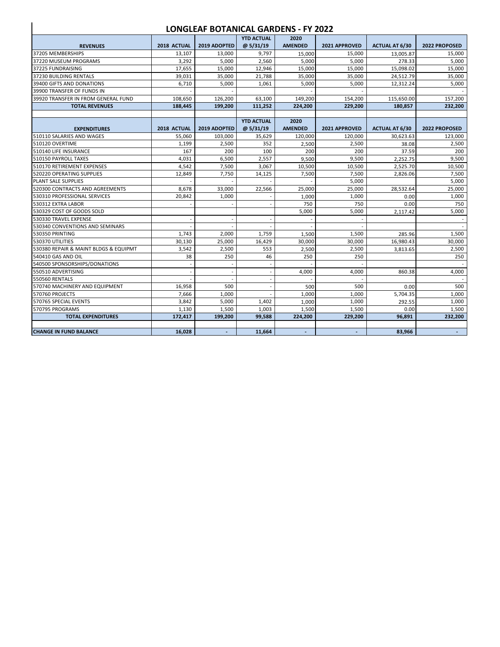#### **LONGLEAF BOTANICAL GARDENS - FY 2022**

 $\overline{\phantom{a}}$ 

|                                       |             |              | <b>YTD ACTUAL</b> | 2020           |               |                       |               |
|---------------------------------------|-------------|--------------|-------------------|----------------|---------------|-----------------------|---------------|
| <b>REVENUES</b>                       | 2018 ACTUAL | 2019 ADOPTED | @5/31/19          | <b>AMENDED</b> | 2021 APPROVED | <b>ACTUAL AT 6/30</b> | 2022 PROPOSED |
| 37205 MEMBERSHIPS                     | 13,107      | 13,000       | 9,797             | 15,000         | 15,000        | 13,005.87             | 15,000        |
| 37220 MUSEUM PROGRAMS                 | 3,292       | 5,000        | 2,560             | 5,000          | 5,000         | 278.33                | 5,000         |
| 37225 FUNDRAISING                     | 17,655      | 15,000       | 12,946            | 15,000         | 15,000        | 15,098.02             | 15.000        |
| 37230 BUILDING RENTALS                | 39,031      | 35,000       | 21,788            | 35,000         | 35,000        | 24,512.79             | 35,000        |
| 39400 GIFTS AND DONATIONS             | 6,710       | 5,000        | 1,061             | 5,000          | 5,000         | 12,312.24             | 5,000         |
| 39900 TRANSFER OF FUNDS IN            |             |              |                   |                |               |                       |               |
| 39920 TRANSFER IN FROM GENERAL FUND   | 108,650     | 126,200      | 63,100            | 149,200        | 154,200       | 115,650.00            | 157,200       |
| <b>TOTAL REVENUES</b>                 | 188,445     | 199,200      | 111,252           | 224.200        | 229,200       | 180,857               | 232,200       |
|                                       |             |              |                   |                |               |                       |               |
|                                       |             |              | <b>YTD ACTUAL</b> | 2020           |               |                       |               |
| <b>EXPENDITURES</b>                   | 2018 ACTUAL | 2019 ADOPTED | @ 5/31/19         | <b>AMENDED</b> | 2021 APPROVED | <b>ACTUAL AT 6/30</b> | 2022 PROPOSED |
| 510110 SALARIES AND WAGES             | 55.060      | 103,000      | 35,629            | 120.000        | 120,000       | 30,623.63             | 123,000       |
| 510120 OVERTIME                       | 1,199       | 2,500        | 352               | 2,500          | 2,500         | 38.08                 | 2,500         |
| 510140 LIFE INSURANCE                 | 167         | 200          | 100               | 200            | 200           | 37.59                 | 200           |
| 510150 PAYROLL TAXES                  | 4,031       | 6,500        | 2,557             | 9.500          | 9,500         | 2.252.75              | 9,500         |
| 510170 RETIREMENT EXPENSES            | 4,542       | 7,500        | 3,067             | 10,500         | 10,500        | 2,525.70              | 10,500        |
| 520220 OPERATING SUPPLIES             | 12,849      | 7,750        | 14,125            | 7,500          | 7,500         | 2.826.06              | 7,500         |
| PLANT SALE SUPPLIES                   |             |              |                   |                | 5,000         |                       | 5,000         |
| 520300 CONTRACTS AND AGREEMENTS       | 8,678       | 33,000       | 22,566            | 25.000         | 25,000        | 28.532.64             | 25,000        |
| 530310 PROFESSIONAL SERVICES          | 20,842      | 1,000        |                   | 1,000          | 1,000         | 0.00                  | 1,000         |
| 530312 EXTRA LABOR                    |             |              |                   | 750            | 750           | 0.00                  | 750           |
| 530329 COST OF GOODS SOLD             |             |              |                   | 5,000          | 5,000         | 2,117.42              | 5,000         |
| 530330 TRAVEL EXPENSE                 |             |              |                   |                |               |                       |               |
| 530340 CONVENTIONS AND SEMINARS       |             |              |                   |                |               |                       |               |
| 530350 PRINTING                       | 1,743       | 2,000        | 1,759             | 1,500          | 1,500         | 285.96                | 1,500         |
| 530370 UTILITIES                      | 30,130      | 25,000       | 16,429            | 30,000         | 30,000        | 16,980.43             | 30,000        |
| 530380 REPAIR & MAINT BLDGS & EQUIPMT | 3,542       | 2,500        | 553               | 2,500          | 2,500         | 3,813.65              | 2,500         |
| 540410 GAS AND OIL                    | 38          | 250          | 46                | 250            | 250           |                       | 250           |
| 540500 SPONSORSHIPS/DONATIONS         |             |              |                   |                |               |                       |               |
| 550510 ADVERTISING                    |             | L,           |                   | 4,000          | 4,000         | 860.38                | 4,000         |
| <b>550560 RENTALS</b>                 |             |              |                   |                |               |                       |               |
| 570740 MACHINERY AND EQUIPMENT        | 16,958      | 500          |                   | 500            | 500           | 0.00                  | 500           |
| 570760 PROJECTS                       | 7.666       | 1,000        |                   | 1,000          | 1,000         | 5.704.35              | 1.000         |
| 570765 SPECIAL EVENTS                 | 3,842       | 5,000        | 1,402             | 1,000          | 1,000         | 292.55                | 1,000         |
| 570795 PROGRAMS                       | 1,130       | 1,500        | 1,003             | 1,500          | 1,500         | 0.00                  | 1,500         |
| <b>TOTAL EXPENDITURES</b>             | 172,417     | 199,200      | 99,588            | 224,200        | 229,200       | 96,891                | 232,200       |
|                                       |             |              |                   |                |               |                       |               |
| <b>CHANGE IN FUND BALANCE</b>         | 16,028      |              | 11,664            |                |               | 83,966                |               |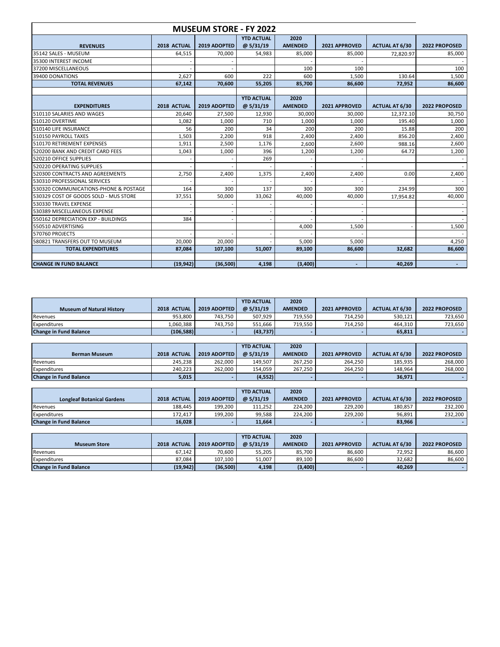| <b>MUSEUM STORE - FY 2022</b>         |             |              |                               |                        |               |                       |               |  |  |  |  |
|---------------------------------------|-------------|--------------|-------------------------------|------------------------|---------------|-----------------------|---------------|--|--|--|--|
| <b>REVENUES</b>                       | 2018 ACTUAL | 2019 ADOPTED | <b>YTD ACTUAL</b><br>@5/31/19 | 2020<br><b>AMENDED</b> | 2021 APPROVED | <b>ACTUAL AT 6/30</b> | 2022 PROPOSED |  |  |  |  |
| 35142 SALES - MUSEUM                  | 64,515      | 70.000       | 54,983                        | 85,000                 | 85,000        | 72,820.97             | 85,000        |  |  |  |  |
| 35300 INTEREST INCOME                 |             |              |                               |                        |               |                       |               |  |  |  |  |
| 37200 MISCELLANEOUS                   |             |              |                               | 100                    | 100           |                       | 100           |  |  |  |  |
| 39400 DONATIONS                       | 2,627       | 600          | 222                           | 600                    | 1,500         | 130.64                | 1,500         |  |  |  |  |
| <b>TOTAL REVENUES</b>                 | 67,142      | 70,600       | 55,205                        | 85,700                 | 86,600        | 72,952                | 86,600        |  |  |  |  |
|                                       |             |              |                               |                        |               |                       |               |  |  |  |  |
|                                       |             |              | <b>YTD ACTUAL</b>             | 2020                   |               |                       |               |  |  |  |  |
| <b>EXPENDITURES</b>                   | 2018 ACTUAL | 2019 ADOPTED | @5/31/19                      | <b>AMENDED</b>         | 2021 APPROVED | <b>ACTUAL AT 6/30</b> | 2022 PROPOSED |  |  |  |  |
| 510110 SALARIES AND WAGES             | 20,640      | 27,500       | 12,930                        | 30,000                 | 30,000        | 12,372.10             | 30,750        |  |  |  |  |
| 510120 OVERTIME                       | 1,082       | 1.000        | 710                           | 1,000                  | 1,000         | 195.40                | 1,000         |  |  |  |  |
| 510140 LIFE INSURANCE                 | 56          | 200          | 34                            | 200                    | 200           | 15.88                 | 200           |  |  |  |  |
| 510150 PAYROLL TAXES                  | 1,503       | 2,200        | 918                           | 2,400                  | 2,400         | 856.20                | 2,400         |  |  |  |  |
| 510170 RETIREMENT EXPENSES            | 1,911       | 2.500        | 1.176                         | 2.600                  | 2.600         | 988.16                | 2,600         |  |  |  |  |
| 520200 BANK AND CREDIT CARD FEES      | 1,043       | 1.000        | 396                           | 1,200                  | 1.200         | 64.72                 | 1,200         |  |  |  |  |
| 520210 OFFICE SUPPLIES                |             |              | 269                           |                        |               |                       |               |  |  |  |  |
| 520220 OPERATING SUPPLIES             |             |              |                               |                        |               |                       |               |  |  |  |  |
| 520300 CONTRACTS AND AGREEMENTS       | 2,750       | 2,400        | 1,375                         | 2,400                  | 2,400         | 0.00                  | 2,400         |  |  |  |  |
| 530310 PROFESSIONAL SERVICES          |             |              |                               |                        |               |                       |               |  |  |  |  |
| 530320 COMMUNICATIONS-PHONE & POSTAGE | 164         | 300          | 137                           | 300                    | 300           | 234.99                | 300           |  |  |  |  |
| 530329 COST OF GOODS SOLD - MUS STORE | 37,551      | 50,000       | 33,062                        | 40,000                 | 40,000        | 17,954.82             | 40,000        |  |  |  |  |
| 530330 TRAVEL EXPENSE                 |             |              |                               |                        |               |                       |               |  |  |  |  |
| 530389 MISCELLANEOUS EXPENSE          |             |              |                               |                        |               |                       |               |  |  |  |  |
| 550162 DEPRECIATION EXP - BUILDINGS   | 384         |              |                               |                        |               |                       |               |  |  |  |  |
| 550510 ADVERTISING                    |             |              |                               | 4,000                  | 1,500         |                       | 1,500         |  |  |  |  |
| 570760 PROJECTS                       |             |              |                               |                        |               |                       |               |  |  |  |  |
| 580821 TRANSFERS OUT TO MUSEUM        | 20,000      | 20,000       |                               | 5,000                  | 5,000         |                       | 4,250         |  |  |  |  |
| <b>TOTAL EXPENDITURES</b>             | 87,084      | 107,100      | 51,007                        | 89,100                 | 86,600        | 32,682                | 86,600        |  |  |  |  |
|                                       |             |              |                               |                        |               |                       |               |  |  |  |  |
| <b>CHANGE IN FUND BALANCE</b>         | (19, 942)   | (36,500)     | 4,198                         | (3,400)                |               | 40,269                |               |  |  |  |  |

|                                  |             |              | <b>YTD ACTUAL</b> | 2020           |               |                       |               |
|----------------------------------|-------------|--------------|-------------------|----------------|---------------|-----------------------|---------------|
| <b>Museum of Natural History</b> | 2018 ACTUAL | 2019 ADOPTED | @5/31/19          | <b>AMENDED</b> | 2021 APPROVED | <b>ACTUAL AT 6/30</b> | 2022 PROPOSED |
| Revenues                         | 953.800     | 743.750      | 507.929           | 719.550        | 714.250       | 530.121               | 723.650       |
| Expenditures                     | L.060.388   | 743.750      | 551,666           | 719.550        | 714.250       | 464.310               | 723.650       |
| <b>Change in Fund Balance</b>    | (106, 588)  |              | (43, 737)         |                |               | 65.811                |               |

|                               |             |              | <b>YTD ACTUAL</b> | 2020           |               |                       |               |
|-------------------------------|-------------|--------------|-------------------|----------------|---------------|-----------------------|---------------|
| <b>Berman Museum</b>          | 2018 ACTUAL | 2019 ADOPTED | $\omega$ 5/31/19  | <b>AMENDED</b> | 2021 APPROVED | <b>ACTUAL AT 6/30</b> | 2022 PROPOSED |
| Revenues                      | 245.238     | 262.000      | 149.507           | 267,250        | 264.250       | 185,935               | 268.000       |
| Expenditures                  | 240.223     | 262.000      | 154.059           | 267.250        | 264.250       | 148.964               | 268.000       |
| <b>Change in Fund Balance</b> | 5,015       |              | (4, 552)          |                |               | 36.971                |               |

|                                   |             |              | <b>YTD ACTUAL</b> | 2020           |               |                       |               |
|-----------------------------------|-------------|--------------|-------------------|----------------|---------------|-----------------------|---------------|
| <b>Longleaf Botanical Gardens</b> | 2018 ACTUAL | 2019 ADOPTED | $\omega$ 5/31/19  | <b>AMENDED</b> | 2021 APPROVED | <b>ACTUAL AT 6/30</b> | 2022 PROPOSED |
| Revenues                          | 188.445     | 199.200      | 111.252           | 224.200        | 229.200       | 180.857               | 232.200       |
| Expenditures                      | 172.417     | 199.200      | 99.588            | 224.200        | 229.200       | 96.891                | 232,200       |
| <b>Change in Fund Balance</b>     | 16,028      |              | 11.664            |                |               | 83,966                |               |

| <b>Museum Store</b>           | 2018 ACTUAL | 2019 ADOPTED | <b>YTD ACTUAL</b><br>@5/31/19 | 2020<br><b>AMENDED</b> | 2021 APPROVED | <b>ACTUAL AT 6/30</b> | 2022 PROPOSED |
|-------------------------------|-------------|--------------|-------------------------------|------------------------|---------------|-----------------------|---------------|
|                               |             |              |                               |                        |               |                       |               |
| Revenues                      | 67.142      | 70.600       | 55.205                        | 85.700                 | 86.600        | 72.952                | 86.600        |
| Expenditures                  | 87.084      | 107.100      | 51.007                        | 89.100                 | 86.600        | 32.682                | 86.600        |
| <b>Change in Fund Balance</b> | (19, 942)   | (36,500)     | 4,198                         | (3,400)                |               | 40,269                |               |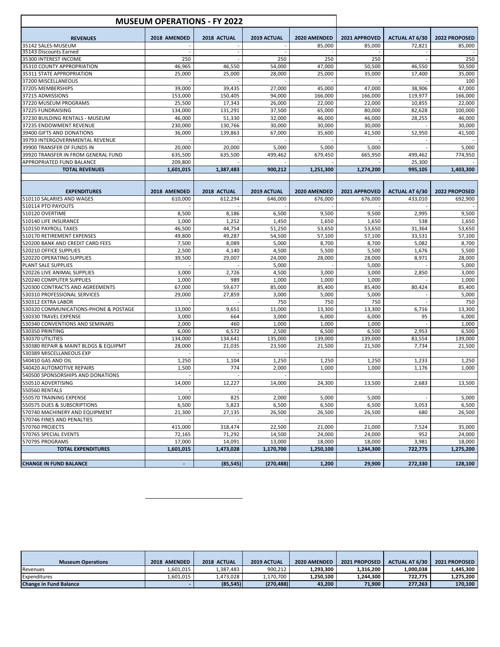|                                       | <b>MUSEUM OPERATIONS - FY 2022</b> |             |             |              |               |                       |               |
|---------------------------------------|------------------------------------|-------------|-------------|--------------|---------------|-----------------------|---------------|
| <b>REVENUES</b>                       | 2018 AMENDED                       | 2018 ACTUAL | 2019 ACTUAL | 2020 AMENDED | 2021 APPROVED | <b>ACTUAL AT 6/30</b> | 2022 PROPOSED |
| 35142 SALES-MUSEUM                    |                                    |             |             | 85,000       | 85,000        | 72,821                | 85,000        |
| 35143 Discounts Earned                |                                    |             |             |              |               |                       |               |
| 35300 INTEREST INCOME                 | 250                                |             | 250         | 250          | 250           |                       | 250           |
| 35310 COUNTY APPROPRIATION            | 46,965                             | 46,550      | 54,000      | 47,000       | 50,500        | 46,550                | 50,500        |
| 35311 STATE APPROPRIATION             | 25,000                             | 25,000      | 28,000      | 25,000       | 35,000        | 17,400                | 35,000        |
| 37200 MISCELLANEOUS                   |                                    |             |             |              |               |                       | 100           |
| 37205 MEMBERSHIPS                     | 39,000                             | 39,435      | 27,000      | 45,000       | 47,000        | 38,906                | 47,000        |
| 37215 ADMISSIONS                      | 153,000                            | 150,405     | 94,000      | 166,000      | 166,000       | 119,977               | 166,000       |
| 37220 MUSEUM PROGRAMS                 | 25,500                             | 17,343      | 26,000      | 22,000       | 22,000        | 10,855                | 22,000        |
| 37225 FUNDRAISING                     | 134,000                            | 131,291     | 37,500      | 65,000       | 80,000        | 82,628                | 100,000       |
| 37230 BUILDING RENTALS - MUSEUM       | 46,000                             | 51,330      | 32,000      | 46,000       | 46,000        | 28,255                | 46,000        |
| 37235 ENDOWMENT REVENUE               | 230,000                            | 130,766     | 30,000      | 30,000       | 30,000        |                       | 30,000        |
| 39400 GIFTS AND DONATIONS             | 36.000                             | 139,863     | 67,000      | 35,600       | 41,500        | 52,950                | 41,500        |
| 39793 INTERGOVERNMENTAL REVENUE       |                                    |             |             |              |               |                       |               |
| 39900 TRANSFER OF FUNDS IN            | 20,000                             | 20,000      | 5,000       | 5,000        | 5,000         |                       | 5,000         |
| 39920 TRANSFER IN FROM GENERAL FUND   | 635,500                            | 635,500     | 499,462     | 679,450      | 665,950       | 499,462               | 774,950       |
| APPROPRIATED FUND BALANCE             | 209,800                            |             |             |              |               | 25,300                |               |
| <b>TOTAL REVENUES</b>                 | 1,601,015                          | 1,387,483   | 900,212     | 1,251,300    | 1,274,200     | 995,105               | 1,403,300     |
|                                       |                                    |             |             |              |               |                       |               |
|                                       |                                    |             |             |              |               |                       |               |
| <b>EXPENDITURES</b>                   | 2018 AMENDED                       | 2018 ACTUAL | 2019 ACTUAL | 2020 AMENDED | 2021 APPROVED | <b>ACTUAL AT 6/30</b> | 2022 PROPOSED |
| 510110 SALARIES AND WAGES             | 610,000                            | 612,294     | 646,000     | 676,000      | 676,000       | 433,010               | 692,900       |
| 510114 PTO PAYOUTS                    |                                    |             |             |              |               |                       |               |
| 510120 OVERTIME                       | 8,500                              | 8,186       | 6,500       | 9,500        | 9,500         | 2,995                 | 9,500         |
| 510140 LIFE INSURANCE                 | 1,000                              | 1,252       | 1,450       | 1,650        | 1,650         | 538                   | 1,650         |
| 510150 PAYROLL TAXES                  | 46,500                             | 44,754      | 51,250      | 53,650       | 53,650        | 31,364                | 53,650        |
| 510170 RETIREMENT EXPENSES            | 49,800                             | 49,287      | 54,500      | 57,100       | 57,100        | 33,531                | 57,100        |
| 520200 BANK AND CREDIT CARD FEES      | 7,500                              | 8,089       | 5,000       | 8,700        | 8,700         | 5,082                 | 8,700         |
| 520210 OFFICE SUPPLIES                | 2,500                              | 4,140       | 4,500       | 5,500        | 5,500         | 1,676                 | 5,500         |
| 520220 OPERATING SUPPLIES             | 39,500                             | 29,007      | 24,000      | 28,000       | 28,000        | 8,971                 | 28,000        |
| PLANT SALE SUPPLIES                   |                                    |             | 5,000       |              | 5,000         |                       | 5,000         |
| 520226 LIVE ANIMAL SUPPLIES           | 3,000                              | 2,726       | 4,500       | 3,000        | 3,000         | 2,850                 | 3,000         |
| 520240 COMPUTER SUPPLIES              | 1,000                              | 989         | 1,000       | 1,000        | 1,000         |                       | 1,000         |
| 520300 CONTRACTS AND AGREEMENTS       | 67,000                             | 59,677      | 85,000      | 85,400       | 85,400        | 80,424                | 85,400        |
| 530310 PROFESSIONAL SERVICES          | 29,000                             | 27,859      | 3,000       | 5,000        | 5,000         |                       | 5,000         |
| 530312 EXTRA LABOR                    |                                    |             | 750         | 750          | 750           |                       | 750           |
| 530320 COMMUNICATIONS-PHONE & POSTAGE | 13,000                             | 9,651       | 11,000      | 13,300       | 13,300        | 6,716                 | 13,300        |
| 530330 TRAVEL EXPENSE                 | 3,000                              | 664         | 3,000       | 6,000        | 6,000         | 95                    | 6,000         |
| 530340 CONVENTIONS AND SEMINARS       | 2,000                              | 460         | 1,000       | 1,000        | 1,000         |                       | 1,000         |
| 530350 PRINTING                       | 6,000                              | 6,572       | 2,500       | 6,500        | 6,500         | 2,953                 | 6,500         |
| 530370 UTILITIES                      | 134,000                            | 134,641     | 135,000     | 139,000      | 139,000       | 83,554                | 139,000       |
| 530380 REPAIR & MAINT BLDGS & EQUIPMT | 28,000                             | 21,035      | 23,500      | 21,500       | 21,500        | 7,734                 | 21,500        |
| 530389 MISCELLANEOUS EXP              |                                    |             |             |              |               |                       |               |
| 540410 GAS AND OIL                    | 1,250                              | 1,104       | 1,250       | 1,250        | 1,250         | 1,233                 | 1,250         |
| 540420 AUTOMOTIVE REPAIRS             | 1,500                              | 774         | 2,000       | 1,000        | 1,000         | 1,176                 | 1,000         |
| 540500 SPONSORSHIPS AND DONATIONS     |                                    |             |             |              |               |                       |               |
| 550510 ADVERTISING                    | 14,000                             | 12,227      | 14,000      | 24,300       | 13,500        | 2,683                 | 13,500        |
| <b>550560 RENTALS</b>                 |                                    |             |             |              |               |                       |               |
| 550570 TRAINING EXPENSE               | 1,000                              | 825         | 2,000       | 5,000        | 5,000         |                       | 5,000         |
| 550575 DUES & SUBSCRIPTIONS           | 6,500                              | 5,823       | 6,500       | 6,500        | 6,500         | 3,053                 | 6,500         |
| 570740 MACHINERY AND EQUIPMENT        | 21,300                             | 27,135      | 26,500      | 26,500       | 26,500        | 680                   | 26,500        |
| 570746 FINES AND PENALTIES            |                                    |             |             |              |               |                       |               |
| 570760 PROJECTS                       | 415,000                            | 318,474     | 22,500      | 21,000       | 21,000        | 7,524                 | 35,000        |
| 570765 SPECIAL EVENTS                 | 72,165                             | 71.292      | 14,500      | 24,000       | 24,000        | 952                   | 24,000        |
| 570795 PROGRAMS                       | 17,000                             | 14,091      | 13,000      | 18,000       | 18,000        | 3,981                 | 18,000        |
| <b>TOTAL EXPENDITURES</b>             | 1,601,015                          | 1,473,028   | 1,170,700   | 1,250,100    | 1,244,300     | 722,775               | 1,275,200     |
| <b>CHANGE IN FUND BALANCE</b>         |                                    | (85, 545)   | (270, 488)  | 1,200        | 29,900        | 272,330               | 128,100       |
|                                       |                                    |             |             |              |               |                       |               |

| <b>Museum Operations</b>      | 2018 AMENDED | 2018 ACTUAL | 2019 ACTUAL | 2020 AMENDED | 2021 PROPOSED | <b>ACTUAL AT 6/30</b> | 2021 PROPOSED |
|-------------------------------|--------------|-------------|-------------|--------------|---------------|-----------------------|---------------|
|                               |              |             |             |              |               |                       |               |
| Revenues                      | .601.015     | L.387.483   | 900.212     | 1,293,300    | 1.316.200     | 1.000.038             | 1.445.300     |
| Expenditures                  | .601.015     | 1.473.028   | 1.170.700   | 1.250.100    | 1.244.300     | 722.775               | 1.275.200     |
| <b>Change in Fund Balance</b> |              | (85, 545)   | (270, 488)  | 43.200       | 71.900        | 277,263               | 170.100       |

 $\overline{\phantom{a}}$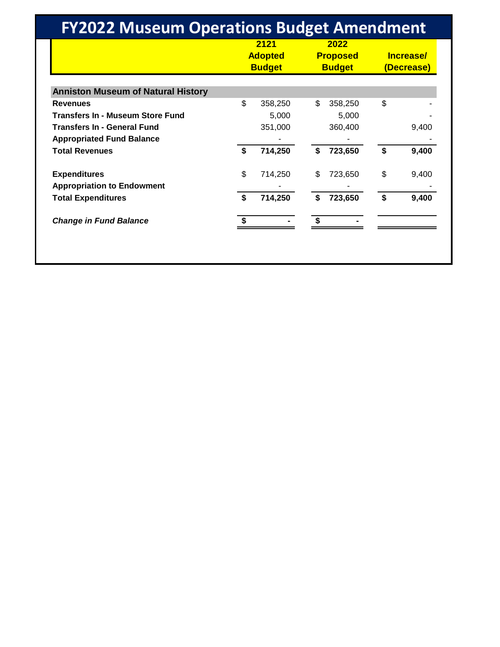| <b>FY2022 Museum Operations Budget Amendment</b> |                                         |         |                                          |         |    |                         |  |  |  |  |
|--------------------------------------------------|-----------------------------------------|---------|------------------------------------------|---------|----|-------------------------|--|--|--|--|
|                                                  | 2121<br><b>Adopted</b><br><b>Budget</b> |         | 2022<br><b>Proposed</b><br><b>Budget</b> |         |    | Increase/<br>(Decrease) |  |  |  |  |
| <b>Anniston Museum of Natural History</b>        |                                         |         |                                          |         |    |                         |  |  |  |  |
| <b>Revenues</b>                                  | \$.                                     | 358,250 | \$.                                      | 358,250 | \$ |                         |  |  |  |  |
| <b>Transfers In - Museum Store Fund</b>          |                                         | 5,000   |                                          | 5,000   |    |                         |  |  |  |  |
| <b>Transfers In - General Fund</b>               |                                         | 351,000 |                                          | 360,400 |    | 9,400                   |  |  |  |  |
| <b>Appropriated Fund Balance</b>                 |                                         |         |                                          |         |    |                         |  |  |  |  |
| <b>Total Revenues</b>                            | \$                                      | 714,250 | \$                                       | 723,650 | \$ | 9,400                   |  |  |  |  |
| <b>Expenditures</b>                              | \$                                      | 714,250 | \$                                       | 723,650 | \$ | 9,400                   |  |  |  |  |
| <b>Appropriation to Endowment</b>                |                                         |         |                                          |         |    |                         |  |  |  |  |
| <b>Total Expenditures</b>                        | \$                                      | 714,250 | \$                                       | 723,650 | \$ | 9,400                   |  |  |  |  |
| <b>Change in Fund Balance</b>                    |                                         |         |                                          |         |    |                         |  |  |  |  |
|                                                  |                                         |         |                                          |         |    |                         |  |  |  |  |
|                                                  |                                         |         |                                          |         |    |                         |  |  |  |  |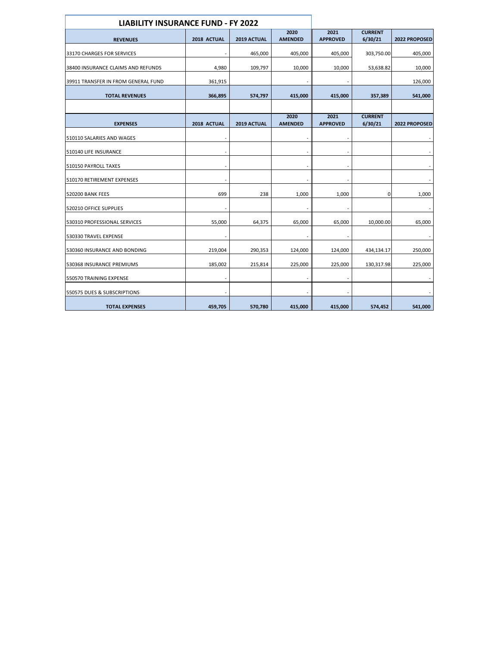|                                     | <b>LIABILITY INSURANCE FUND - FY 2022</b> |             |                        |                         |                           |               |
|-------------------------------------|-------------------------------------------|-------------|------------------------|-------------------------|---------------------------|---------------|
|                                     |                                           |             | 2020                   | 2021                    | <b>CURRENT</b>            |               |
| <b>REVENUES</b>                     | 2018 ACTUAL                               | 2019 ACTUAL | <b>AMENDED</b>         | <b>APPROVED</b>         | 6/30/21                   | 2022 PROPOSED |
| 33170 CHARGES FOR SERVICES          |                                           | 465,000     | 405,000                | 405,000                 | 303,750.00                | 405,000       |
| 38400 INSURANCE CLAIMS AND REFUNDS  | 4,980                                     | 109,797     | 10,000                 | 10,000                  | 53,638.82                 | 10,000        |
| 39911 TRANSFER IN FROM GENERAL FUND | 361,915                                   |             |                        |                         |                           | 126,000       |
| <b>TOTAL REVENUES</b>               | 366,895                                   | 574,797     | 415,000                | 415,000                 | 357,389                   | 541,000       |
|                                     |                                           |             |                        |                         |                           |               |
| <b>EXPENSES</b>                     | 2018 ACTUAL                               | 2019 ACTUAL | 2020<br><b>AMENDED</b> | 2021<br><b>APPROVED</b> | <b>CURRENT</b><br>6/30/21 | 2022 PROPOSED |
| 510110 SALARIES AND WAGES           |                                           |             |                        |                         |                           |               |
| 510140 LIFE INSURANCE               |                                           |             |                        |                         |                           |               |
| 510150 PAYROLL TAXES                |                                           |             |                        |                         |                           |               |
| 510170 RETIREMENT EXPENSES          |                                           |             |                        |                         |                           |               |
| <b>520200 BANK FEES</b>             | 699                                       | 238         | 1,000                  | 1,000                   | 0                         | 1,000         |
| 520210 OFFICE SUPPLIES              |                                           |             |                        |                         |                           |               |
| 530310 PROFESSIONAL SERVICES        | 55,000                                    | 64,375      | 65,000                 | 65,000                  | 10,000.00                 | 65,000        |
| 530330 TRAVEL EXPENSE               |                                           |             |                        |                         |                           |               |
| 530360 INSURANCE AND BONDING        | 219,004                                   | 290,353     | 124,000                | 124,000                 | 434,134.17                | 250,000       |
| 530368 INSURANCE PREMIUMS           | 185,002                                   | 215,814     | 225,000                | 225,000                 | 130,317.98                | 225,000       |
| 550570 TRAINING EXPENSE             |                                           |             |                        |                         |                           |               |
| 550575 DUES & SUBSCRIPTIONS         |                                           |             |                        |                         |                           |               |
| <b>TOTAL EXPENSES</b>               | 459,705                                   | 570,780     | 415,000                | 415,000                 | 574,452                   | 541,000       |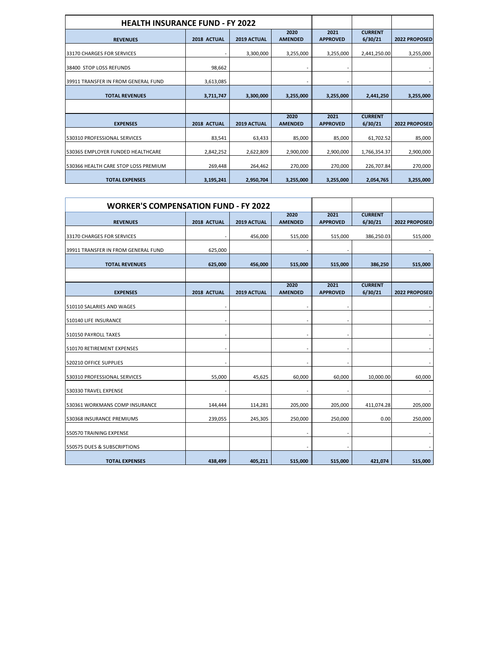| <b>HEALTH INSURANCE FUND - FY 2022</b> |             |             |                        |                         |                           |               |
|----------------------------------------|-------------|-------------|------------------------|-------------------------|---------------------------|---------------|
| <b>REVENUES</b>                        | 2018 ACTUAL | 2019 ACTUAL | 2020<br><b>AMENDED</b> | 2021<br><b>APPROVED</b> | <b>CURRENT</b><br>6/30/21 | 2022 PROPOSED |
| 33170 CHARGES FOR SERVICES             |             | 3,300,000   | 3,255,000              | 3,255,000               | 2,441,250.00              | 3,255,000     |
| 38400 STOP LOSS REFUNDS                | 98,662      |             |                        |                         |                           |               |
| 39911 TRANSFER IN FROM GENERAL FUND    | 3,613,085   |             |                        |                         |                           |               |
| <b>TOTAL REVENUES</b>                  | 3,711,747   | 3,300,000   | 3,255,000              | 3,255,000               | 2,441,250                 | 3,255,000     |
|                                        |             |             |                        |                         |                           |               |
| <b>EXPENSES</b>                        | 2018 ACTUAL | 2019 ACTUAL | 2020<br><b>AMENDED</b> | 2021<br><b>APPROVED</b> | <b>CURRENT</b><br>6/30/21 | 2022 PROPOSED |
| 530310 PROFESSIONAL SERVICES           | 83,541      | 63,433      | 85,000                 | 85,000                  | 61,702.52                 | 85,000        |
| 530365 EMPLOYER FUNDED HEALTHCARE      | 2,842,252   | 2,622,809   | 2,900,000              | 2,900,000               | 1,766,354.37              | 2,900,000     |
| 530366 HEALTH CARE STOP LOSS PREMIUM   | 269,448     | 264,462     | 270,000                | 270,000                 | 226,707.84                | 270,000       |
| <b>TOTAL EXPENSES</b>                  | 3,195,241   | 2,950,704   | 3,255,000              | 3,255,000               | 2,054,765                 | 3,255,000     |

|                                     | <b>WORKER'S COMPENSATION FUND - FY 2022</b> |             |                        |                         |                           |               |
|-------------------------------------|---------------------------------------------|-------------|------------------------|-------------------------|---------------------------|---------------|
| <b>REVENUES</b>                     | 2018 ACTUAL                                 | 2019 ACTUAL | 2020<br><b>AMENDED</b> | 2021<br><b>APPROVED</b> | <b>CURRENT</b><br>6/30/21 | 2022 PROPOSED |
| 33170 CHARGES FOR SERVICES          |                                             | 456,000     | 515,000                | 515,000                 | 386,250.03                | 515,000       |
| 39911 TRANSFER IN FROM GENERAL FUND | 625,000                                     |             |                        |                         |                           |               |
| <b>TOTAL REVENUES</b>               | 625,000                                     | 456,000     | 515,000                | 515,000                 | 386,250                   | 515,000       |
|                                     |                                             |             |                        |                         |                           |               |
| <b>EXPENSES</b>                     | 2018 ACTUAL                                 | 2019 ACTUAL | 2020<br><b>AMENDED</b> | 2021<br><b>APPROVED</b> | <b>CURRENT</b><br>6/30/21 | 2022 PROPOSED |
| 510110 SALARIES AND WAGES           |                                             |             |                        |                         |                           |               |
| 510140 LIFE INSURANCE               |                                             |             |                        |                         |                           |               |
| 510150 PAYROLL TAXES                |                                             |             |                        |                         |                           |               |
| 510170 RETIREMENT EXPENSES          |                                             |             |                        |                         |                           |               |
| 520210 OFFICE SUPPLIES              |                                             |             |                        |                         |                           |               |
| 530310 PROFESSIONAL SERVICES        | 55,000                                      | 45,625      | 60,000                 | 60,000                  | 10,000.00                 | 60,000        |
| 530330 TRAVEL EXPENSE               |                                             |             |                        |                         |                           |               |
| 530361 WORKMANS COMP INSURANCE      | 144,444                                     | 114,281     | 205,000                | 205,000                 | 411,074.28                | 205,000       |
| 530368 INSURANCE PREMIUMS           | 239,055                                     | 245,305     | 250,000                | 250,000                 | 0.00                      | 250,000       |
| 550570 TRAINING EXPENSE             |                                             |             |                        |                         |                           |               |
| 550575 DUES & SUBSCRIPTIONS         |                                             |             |                        |                         |                           |               |
| <b>TOTAL EXPENSES</b>               | 438,499                                     | 405,211     | 515,000                | 515,000                 | 421,074                   | 515,000       |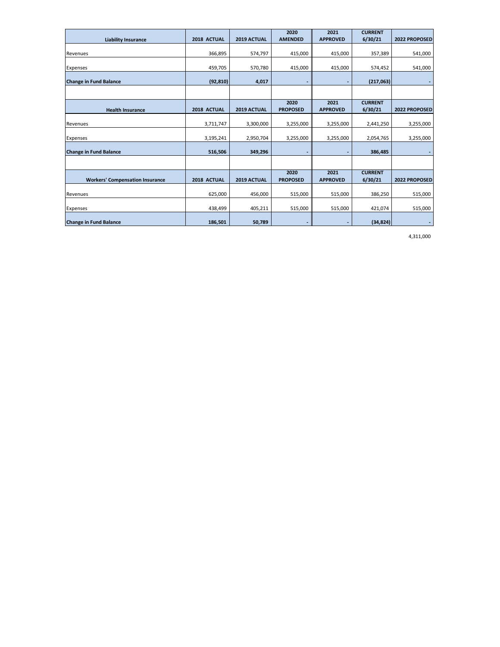|                                        |             |             | 2020            | 2021            | <b>CURRENT</b> |               |
|----------------------------------------|-------------|-------------|-----------------|-----------------|----------------|---------------|
| <b>Liability Insurance</b>             | 2018 ACTUAL | 2019 ACTUAL | <b>AMENDED</b>  | <b>APPROVED</b> | 6/30/21        | 2022 PROPOSED |
| Revenues                               | 366,895     | 574,797     | 415,000         | 415,000         | 357,389        | 541,000       |
|                                        |             |             |                 |                 |                |               |
| Expenses                               | 459,705     | 570,780     | 415,000         | 415,000         | 574,452        | 541,000       |
| <b>Change in Fund Balance</b>          | (92, 810)   | 4,017       |                 | ٠               | (217,063)      | ٠             |
|                                        |             |             |                 |                 |                |               |
|                                        |             |             | 2020            | 2021            | <b>CURRENT</b> |               |
| <b>Health Insurance</b>                | 2018 ACTUAL | 2019 ACTUAL | <b>PROPOSED</b> | <b>APPROVED</b> | 6/30/21        | 2022 PROPOSED |
| Revenues                               | 3,711,747   | 3,300,000   | 3,255,000       | 3,255,000       | 2,441,250      | 3,255,000     |
|                                        |             |             |                 |                 |                |               |
| Expenses                               | 3,195,241   | 2,950,704   | 3,255,000       | 3,255,000       | 2,054,765      | 3,255,000     |
| <b>Change in Fund Balance</b>          | 516,506     | 349,296     |                 |                 | 386,485        |               |
|                                        |             |             |                 |                 |                |               |
|                                        |             |             | 2020            | 2021            | <b>CURRENT</b> |               |
| <b>Workers' Compensation Insurance</b> | 2018 ACTUAL | 2019 ACTUAL | <b>PROPOSED</b> | <b>APPROVED</b> | 6/30/21        | 2022 PROPOSED |
|                                        |             |             |                 |                 |                |               |
| Revenues                               | 625,000     | 456,000     | 515,000         | 515,000         | 386,250        | 515,000       |
| Expenses                               | 438,499     | 405,211     | 515,000         | 515,000         | 421,074        | 515,000       |
| <b>Change in Fund Balance</b>          | 186,501     | 50,789      |                 |                 | (34, 824)      | ٠             |

4,311,000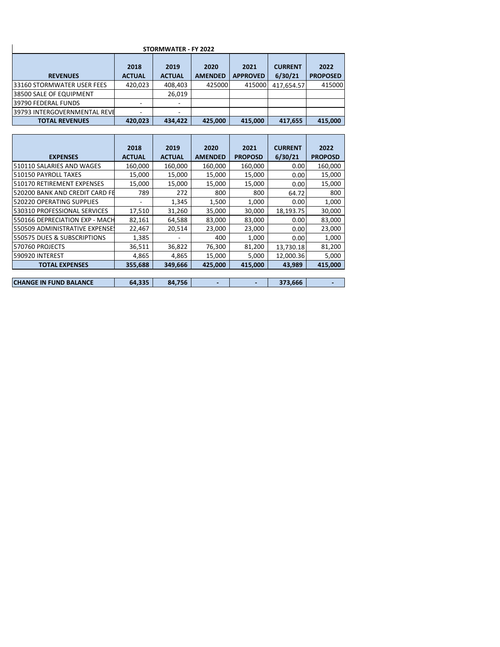| STORMWATER - FY 2022         |                       |                       |                        |                         |                           |                         |  |  |  |
|------------------------------|-----------------------|-----------------------|------------------------|-------------------------|---------------------------|-------------------------|--|--|--|
| <b>REVENUES</b>              | 2018<br><b>ACTUAL</b> | 2019<br><b>ACTUAL</b> | 2020<br><b>AMENDED</b> | 2021<br><b>APPROVED</b> | <b>CURRENT</b><br>6/30/21 | 2022<br><b>PROPOSED</b> |  |  |  |
| 33160 STORMWATER USER FEES   | 420,023               | 408,403               | 425000                 | 415000                  | 417,654.57                | 415000                  |  |  |  |
| 38500 SALE OF EQUIPMENT      |                       | 26,019                |                        |                         |                           |                         |  |  |  |
| 39790 FEDERAL FUNDS          |                       |                       |                        |                         |                           |                         |  |  |  |
| 39793 INTERGOVERNMENTAL REVE |                       |                       |                        |                         |                           |                         |  |  |  |
| <b>TOTAL REVENUES</b>        | 420.023               | 434,422               | 425,000                | 415,000                 | 417,655                   | 415,000                 |  |  |  |

|                                | 2018          | 2019          | 2020           | 2021           | <b>CURRENT</b> | 2022           |
|--------------------------------|---------------|---------------|----------------|----------------|----------------|----------------|
| <b>EXPENSES</b>                | <b>ACTUAL</b> | <b>ACTUAL</b> | <b>AMENDED</b> | <b>PROPOSD</b> | 6/30/21        | <b>PROPOSD</b> |
| 510110 SALARIES AND WAGES      | 160,000       | 160,000       | 160,000        | 160,000        | 0.00           | 160,000        |
| 510150 PAYROLL TAXES           | 15,000        | 15,000        | 15,000         | 15,000         | 0.00           | 15,000         |
| 510170 RETIREMENT EXPENSES     | 15,000        | 15,000        | 15,000         | 15,000         | 0.00           | 15,000         |
| 520200 BANK AND CREDIT CARD FE | 789           | 272           | 800            | 800            | 64.72          | 800            |
| 520220 OPERATING SUPPLIES      |               | 1,345         | 1,500          | 1,000          | 0.00           | 1,000          |
| 530310 PROFESSIONAL SERVICES   | 17,510        | 31,260        | 35,000         | 30,000         | 18,193.75      | 30,000         |
| 550166 DEPRECIATION EXP - MACH | 82,161        | 64,588        | 83,000         | 83,000         | 0.00           | 83,000         |
| 550509 ADMINISTRATIVE EXPENSE! | 22,467        | 20,514        | 23,000         | 23,000         | 0.00           | 23,000         |
| 550575 DUES & SUBSCRIPTIONS    | 1,385         |               | 400            | 1,000          | 0.00           | 1,000          |
| 570760 PROJECTS                | 36,511        | 36,822        | 76,300         | 81,200         | 13,730.18      | 81,200         |
| 590920 INTEREST                | 4,865         | 4,865         | 15,000         | 5,000          | 12.000.36      | 5,000          |
| <b>TOTAL EXPENSES</b>          | 355,688       | 349,666       | 425,000        | 415,000        | 43,989         | 415,000        |
|                                |               |               |                |                |                |                |
| <b>CHANGE IN FUND BALANCE</b>  | 64,335        | 84,756        |                |                | 373,666        |                |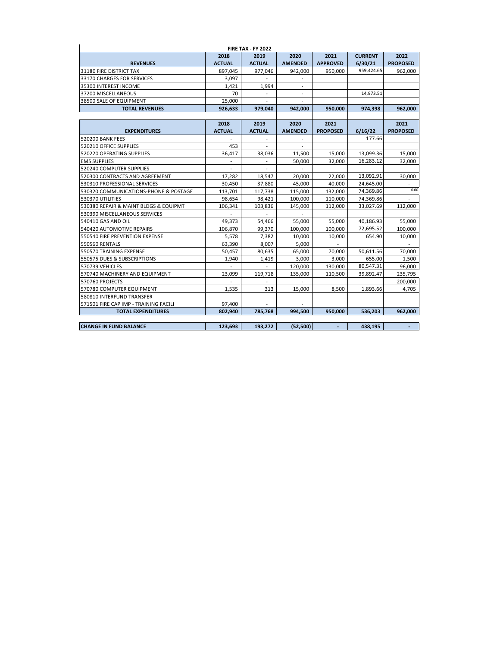| <b>FIRE TAX - FY 2022</b>             |                |                |                |                 |                |                          |  |  |  |
|---------------------------------------|----------------|----------------|----------------|-----------------|----------------|--------------------------|--|--|--|
|                                       | 2018           | 2019           | 2020           | 2021            | <b>CURRENT</b> | 2022                     |  |  |  |
| <b>REVENUES</b>                       | <b>ACTUAL</b>  | <b>ACTUAL</b>  | <b>AMENDED</b> | <b>APPROVED</b> | 6/30/21        | <b>PROPOSED</b>          |  |  |  |
| 31180 FIRE DISTRICT TAX               | 897,045        | 977,046        | 942,000        | 950,000         | 959,424.65     | 962,000                  |  |  |  |
| 33170 CHARGES FOR SERVICES            | 3.097          |                |                |                 |                |                          |  |  |  |
| 35300 INTEREST INCOME                 | 1.421          | 1.994          |                |                 |                |                          |  |  |  |
| 37200 MISCELLANEOUS                   | 70             |                |                |                 | 14,973.51      |                          |  |  |  |
| 38500 SALE OF EQUIPMENT               | 25,000         |                |                |                 |                |                          |  |  |  |
| <b>TOTAL REVENUES</b>                 | 926,633        | 979,040        | 942,000        | 950,000         | 974,398        | 962,000                  |  |  |  |
|                                       |                |                |                |                 |                |                          |  |  |  |
|                                       | 2018           | 2019           | 2020           | 2021            |                | 2021                     |  |  |  |
| <b>EXPENDITURES</b>                   | <b>ACTUAL</b>  | <b>ACTUAL</b>  | <b>AMENDED</b> | <b>PROPOSED</b> | 6/16/22        | <b>PROPOSED</b>          |  |  |  |
| <b>520200 BANK FEES</b>               |                |                |                |                 | 177.66         |                          |  |  |  |
| 520210 OFFICE SUPPLIES                | 453            | ÷.             | ÷.             |                 |                |                          |  |  |  |
| 520220 OPERATING SUPPLIES             | 36,417         | 38,036         | 11,500         | 15,000          | 13,099.36      | 15,000                   |  |  |  |
| <b>EMS SUPPLIES</b>                   | $\overline{a}$ | ÷.             | 50,000         | 32,000          | 16,283.12      | 32,000                   |  |  |  |
| 520240 COMPUTER SUPPLIES              | $\overline{a}$ | $\overline{a}$ | ÷.             |                 |                |                          |  |  |  |
| 520300 CONTRACTS AND AGREEMENT        | 17,282         | 18,547         | 20,000         | 22,000          | 13,092.91      | 30,000                   |  |  |  |
| 530310 PROFESSIONAL SERVICES          | 30,450         | 37.880         | 45,000         | 40.000          | 24,645.00      | $\sim$                   |  |  |  |
| 530320 COMMUNICATIONS-PHONE & POSTAGE | 113.701        | 117,738        | 115,000        | 132,000         | 74,369.86      | 0.00                     |  |  |  |
| 530370 UTILITIES                      | 98.654         | 98.421         | 100,000        | 110,000         | 74,369.86      | $\overline{\phantom{a}}$ |  |  |  |
| 530380 REPAIR & MAINT BLDGS & EQUIPMT | 106,341        | 103,836        | 145,000        | 112,000         | 33,027.69      | 112.000                  |  |  |  |
| 530390 MISCELLANEOUS SERVICES         |                | $\overline{a}$ |                |                 |                |                          |  |  |  |
| 540410 GAS AND OIL                    | 49.373         | 54,466         | 55,000         | 55.000          | 40,186.93      | 55,000                   |  |  |  |
| 540420 AUTOMOTIVE REPAIRS             | 106.870        | 99.370         | 100,000        | 100.000         | 72,695.52      | 100,000                  |  |  |  |
| 550540 FIRE PREVENTION EXPENSE        | 5,578          | 7,382          | 10,000         | 10,000          | 654.90         | 10,000                   |  |  |  |
| 550560 RENTALS                        | 63.390         | 8.007          | 5.000          |                 |                |                          |  |  |  |
| 550570 TRAINING EXPENSE               | 50.457         | 80.635         | 65,000         | 70.000          | 50,611.56      | 70.000                   |  |  |  |
| 550575 DUES & SUBSCRIPTIONS           | 1,940          | 1,419          | 3,000          | 3,000           | 655.00         | 1,500                    |  |  |  |
| 570739 VEHICLES                       |                |                | 120,000        | 130,000         | 80,547.31      | 96,000                   |  |  |  |
| 570740 MACHINERY AND EQUIPMENT        | 23,099         | 119,718        | 135,000        | 110,500         | 39,892.47      | 235,795                  |  |  |  |
| 570760 PROJECTS                       |                |                |                |                 |                | 200,000                  |  |  |  |
| 570780 COMPUTER EQUIPMENT             | 1,535          | 313            | 15,000         | 8,500           | 1,893.66       | 4,705                    |  |  |  |
| 580810 INTERFUND TRANSFER             |                |                |                |                 |                |                          |  |  |  |
| 571501 FIRE CAP IMP - TRAINING FACILI | 97,400         |                |                |                 |                |                          |  |  |  |
| <b>TOTAL EXPENDITURES</b>             | 802,940        | 785,768        | 994,500        | 950,000         | 536,203        | 962,000                  |  |  |  |
|                                       |                |                |                |                 |                |                          |  |  |  |
| <b>CHANGE IN FUND BALANCE</b>         | 123.693        | 193.272        | (52,500)       |                 | 438,195        |                          |  |  |  |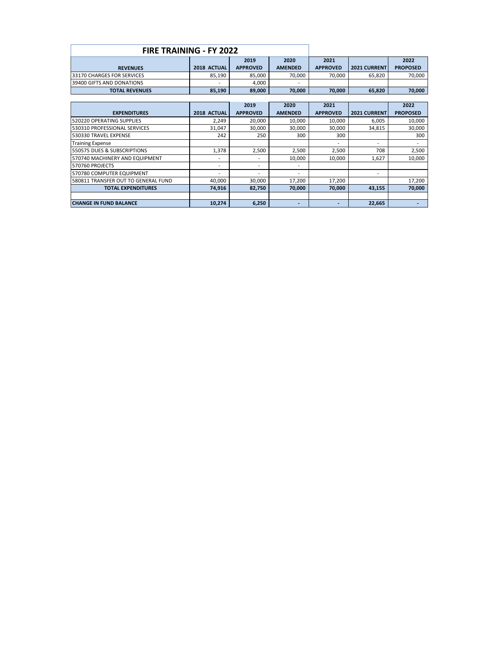| <b>FIRE TRAINING - FY 2022</b> |                 |                          |                 |                      |                 |  |  |  |
|--------------------------------|-----------------|--------------------------|-----------------|----------------------|-----------------|--|--|--|
|                                | 2019            | 2020                     | 2021            |                      | 2022            |  |  |  |
| 2018 ACTUAL                    | <b>APPROVED</b> | <b>AMENDED</b>           | <b>APPROVED</b> | <b>2021 CURRENTI</b> | <b>PROPOSED</b> |  |  |  |
| 85.190                         | 85.000          | 70.000                   | 70,000          | 65,820               | 70,000          |  |  |  |
|                                | 4.000           | $\overline{\phantom{a}}$ |                 |                      |                 |  |  |  |
| 85.190                         | 89.000          | 70.000                   | 70,000          | 65,820               | 70,000          |  |  |  |
|                                |                 |                          |                 |                      |                 |  |  |  |

|                                     |             | 2019            | 2020                     | 2021                     |              | 2022            |
|-------------------------------------|-------------|-----------------|--------------------------|--------------------------|--------------|-----------------|
| <b>EXPENDITURES</b>                 | 2018 ACTUAL | <b>APPROVED</b> | <b>AMENDED</b>           | <b>APPROVED</b>          | 2021 CURRENT | <b>PROPOSED</b> |
| 520220 OPERATING SUPPLIES           | 2.249       | 20.000          | 10,000                   | 10.000                   | 6,005        | 10.000          |
| 530310 PROFESSIONAL SERVICES        | 31.047      | 30.000          | 30.000                   | 30,000                   | 34,815       | 30,000          |
| 530330 TRAVEL EXPENSE               | 242         | 250             | 300                      | 300                      |              | 300             |
| <b>Training Expense</b>             |             |                 |                          | $\overline{\phantom{0}}$ | ۰            |                 |
| 550575 DUES & SUBSCRIPTIONS         | 1.378       | 2.500           | 2.500                    | 2.500                    | 708          | 2,500           |
| 570740 MACHINERY AND EQUIPMENT      |             | -               | 10,000                   | 10.000                   | 1,627        | 10,000          |
| 570760 PROJECTS                     |             | -               | $\overline{\phantom{0}}$ |                          |              |                 |
| 570780 COMPUTER EQUIPMENT           |             | -               | $\overline{\phantom{0}}$ |                          |              |                 |
| 580811 TRANSFER OUT TO GENERAL FUND | 40,000      | 30,000          | 17,200                   | 17,200                   |              | 17,200          |
| <b>TOTAL EXPENDITURES</b>           | 74.916      | 82,750          | 70.000                   | 70.000                   | 43,155       | 70,000          |
|                                     |             |                 |                          |                          |              |                 |
| <b>CHANGE IN FUND BALANCE</b>       | 10.274      | 6.250           |                          |                          | 22.665       |                 |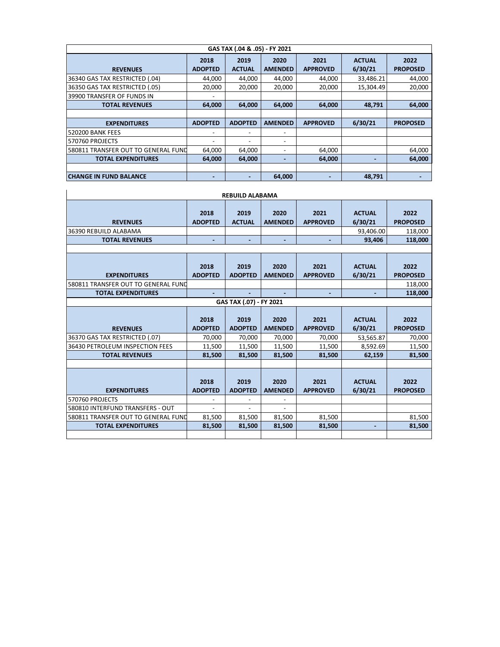| GAS TAX (.04 & .05) - FY 2021                                                                                                                       |                          |                          |                          |                 |           |                 |  |  |  |  |  |
|-----------------------------------------------------------------------------------------------------------------------------------------------------|--------------------------|--------------------------|--------------------------|-----------------|-----------|-----------------|--|--|--|--|--|
| 2021<br>2020<br><b>ACTUAL</b><br>2018<br>2019<br>6/30/21<br><b>APPROVED</b><br><b>ADOPTED</b><br><b>ACTUAL</b><br><b>AMENDED</b><br><b>REVENUES</b> |                          |                          |                          |                 |           |                 |  |  |  |  |  |
|                                                                                                                                                     |                          |                          |                          |                 |           | <b>PROPOSED</b> |  |  |  |  |  |
| 36340 GAS TAX RESTRICTED (.04)                                                                                                                      | 44,000                   | 44,000                   | 44,000                   | 44,000          | 33,486.21 | 44,000          |  |  |  |  |  |
| 36350 GAS TAX RESTRICTED (.05)                                                                                                                      | 20,000                   | 20.000                   | 20,000                   | 20,000          | 15.304.49 | 20,000          |  |  |  |  |  |
| 39900 TRANSFER OF FUNDS IN                                                                                                                          | ٠                        |                          |                          |                 |           |                 |  |  |  |  |  |
| <b>TOTAL REVENUES</b>                                                                                                                               | 64,000                   | 64,000                   | 64,000                   | 64,000          | 48,791    | 64,000          |  |  |  |  |  |
|                                                                                                                                                     |                          |                          |                          |                 |           |                 |  |  |  |  |  |
| <b>EXPENDITURES</b>                                                                                                                                 | <b>ADOPTED</b>           | <b>ADOPTED</b>           | <b>AMENDED</b>           | <b>APPROVED</b> | 6/30/21   | <b>PROPOSED</b> |  |  |  |  |  |
| <b>520200 BANK FEES</b>                                                                                                                             | $\overline{\phantom{a}}$ | $\overline{\phantom{0}}$ | $\overline{\phantom{a}}$ |                 |           |                 |  |  |  |  |  |
| 570760 PROJECTS                                                                                                                                     | ٠                        |                          |                          |                 |           |                 |  |  |  |  |  |
| 580811 TRANSFER OUT TO GENERAL FUND                                                                                                                 | 64,000                   | 64,000                   |                          | 64,000          |           | 64,000          |  |  |  |  |  |
| <b>TOTAL EXPENDITURES</b>                                                                                                                           | 64.000                   | 64.000                   |                          | 64.000          |           | 64.000          |  |  |  |  |  |
|                                                                                                                                                     |                          |                          |                          |                 |           |                 |  |  |  |  |  |
| <b>CHANGE IN FUND BALANCE</b>                                                                                                                       |                          |                          | 64,000                   |                 | 48.791    |                 |  |  |  |  |  |

| <b>REBUILD ALABAMA</b>                                                      |                          |                        |                        |                         |                          |                         |  |  |  |  |  |  |
|-----------------------------------------------------------------------------|--------------------------|------------------------|------------------------|-------------------------|--------------------------|-------------------------|--|--|--|--|--|--|
| <b>REVENUES</b>                                                             | 2018<br><b>ADOPTED</b>   | 2019<br><b>ACTUAL</b>  | 2020<br><b>AMENDED</b> | 2021<br><b>APPROVED</b> | <b>ACTUAL</b><br>6/30/21 | 2022<br><b>PROPOSED</b> |  |  |  |  |  |  |
| 36390 REBUILD ALABAMA                                                       |                          |                        |                        |                         | 93,406.00                | 118,000                 |  |  |  |  |  |  |
| <b>TOTAL REVENUES</b>                                                       | $\overline{\phantom{0}}$ |                        | $\blacksquare$         |                         | 93,406                   | 118,000                 |  |  |  |  |  |  |
|                                                                             |                          |                        |                        |                         |                          |                         |  |  |  |  |  |  |
| <b>EXPENDITURES</b>                                                         | 2018<br><b>ADOPTED</b>   | 2019<br><b>ADOPTED</b> | 2020<br><b>AMENDED</b> | 2021<br><b>APPROVED</b> | <b>ACTUAL</b><br>6/30/21 | 2022<br><b>PROPOSED</b> |  |  |  |  |  |  |
| 580811 TRANSFER OUT TO GENERAL FUND                                         |                          |                        |                        |                         |                          | 118,000                 |  |  |  |  |  |  |
| <b>TOTAL EXPENDITURES</b>                                                   | $\blacksquare$           |                        |                        | $\blacksquare$          | $\overline{a}$           | 118,000                 |  |  |  |  |  |  |
| GAS TAX (.07) - FY 2021                                                     |                          |                        |                        |                         |                          |                         |  |  |  |  |  |  |
|                                                                             | 2018                     | 2019                   | 2020                   | 2021                    | <b>ACTUAL</b>            | 2022                    |  |  |  |  |  |  |
| <b>REVENUES</b>                                                             | <b>ADOPTED</b>           | <b>ADOPTED</b>         | <b>AMENDED</b>         | <b>APPROVED</b>         | 6/30/21                  | <b>PROPOSED</b>         |  |  |  |  |  |  |
| 36370 GAS TAX RESTRICTED (.07)                                              | 70,000                   | 70,000                 | 70,000                 | 70,000                  | 53,565.87                | 70,000                  |  |  |  |  |  |  |
| 36430 PETROLEUM INSPECTION FEES                                             | 11,500                   | 11,500                 | 11,500                 | 11,500                  | 8,592.69                 | 11,500                  |  |  |  |  |  |  |
| <b>TOTAL REVENUES</b>                                                       | 81,500                   | 81,500                 | 81,500                 | 81,500                  | 62,159                   | 81,500                  |  |  |  |  |  |  |
| <b>EXPENDITURES</b>                                                         | 2018<br><b>ADOPTED</b>   | 2019<br><b>ADOPTED</b> | 2020<br><b>AMENDED</b> | 2021<br><b>APPROVED</b> | <b>ACTUAL</b><br>6/30/21 | 2022<br><b>PROPOSED</b> |  |  |  |  |  |  |
| 570760 PROJECTS                                                             | $\overline{\phantom{a}}$ |                        |                        |                         |                          |                         |  |  |  |  |  |  |
| 580810 INTERFUND TRANSFERS - OUT                                            |                          |                        |                        |                         |                          |                         |  |  |  |  |  |  |
| 81,500<br>580811 TRANSFER OUT TO GENERAL FUND<br>81,500<br>81,500<br>81,500 |                          |                        |                        |                         |                          |                         |  |  |  |  |  |  |
|                                                                             |                          |                        |                        |                         |                          | 81,500                  |  |  |  |  |  |  |
| <b>TOTAL EXPENDITURES</b>                                                   | 81,500                   | 81.500                 | 81,500                 | 81.500                  |                          | 81,500                  |  |  |  |  |  |  |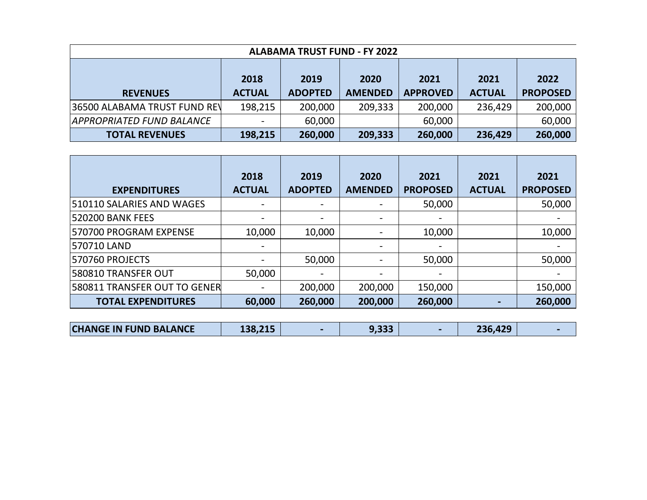| <b>ALABAMA TRUST FUND - FY 2022</b> |                              |                |                |                 |               |                 |  |  |  |  |
|-------------------------------------|------------------------------|----------------|----------------|-----------------|---------------|-----------------|--|--|--|--|
|                                     | 2021                         |                |                |                 |               |                 |  |  |  |  |
|                                     | 2018<br>2020<br>2021<br>2019 |                |                |                 |               |                 |  |  |  |  |
| <b>REVENUES</b>                     | <b>ACTUAL</b>                | <b>ADOPTED</b> | <b>AMENDED</b> | <b>APPROVED</b> | <b>ACTUAL</b> | <b>PROPOSED</b> |  |  |  |  |
| 36500 ALABAMA TRUST FUND REV        | 198,215                      | 200,000        | 209,333        | 200,000         | 236,429       | 200,000         |  |  |  |  |
| APPROPRIATED FUND BALANCE           | $\overline{\phantom{a}}$     | 60,000         |                | 60,000          |               | 60,000          |  |  |  |  |
| <b>TOTAL REVENUES</b>               | 198,215                      | 260,000        | 209,333        | 260,000         | 236,429       | 260,000         |  |  |  |  |

|                              | 2018                     | 2019           | 2020           | 2021            | 2021          | 2021            |
|------------------------------|--------------------------|----------------|----------------|-----------------|---------------|-----------------|
| <b>EXPENDITURES</b>          | <b>ACTUAL</b>            | <b>ADOPTED</b> | <b>AMENDED</b> | <b>PROPOSED</b> | <b>ACTUAL</b> | <b>PROPOSED</b> |
| 510110 SALARIES AND WAGES    | $\hbox{--}$              |                |                | 50,000          |               | 50,000          |
| <b>520200 BANK FEES</b>      | ٠                        |                |                |                 |               |                 |
| 570700 PROGRAM EXPENSE       | 10,000                   | 10,000         |                | 10,000          |               | 10,000          |
| 570710 LAND                  | $\overline{\phantom{0}}$ |                |                |                 |               |                 |
| 570760 PROJECTS              | ٠                        | 50,000         |                | 50,000          |               | 50,000          |
| 580810 TRANSFER OUT          | 50,000                   |                |                |                 |               |                 |
| 580811 TRANSFER OUT TO GENER | $\overline{\phantom{0}}$ | 200,000        | 200,000        | 150,000         |               | 150,000         |
| <b>TOTAL EXPENDITURES</b>    | 60,000                   | 260,000        | 200,000        | 260,000         |               | 260,000         |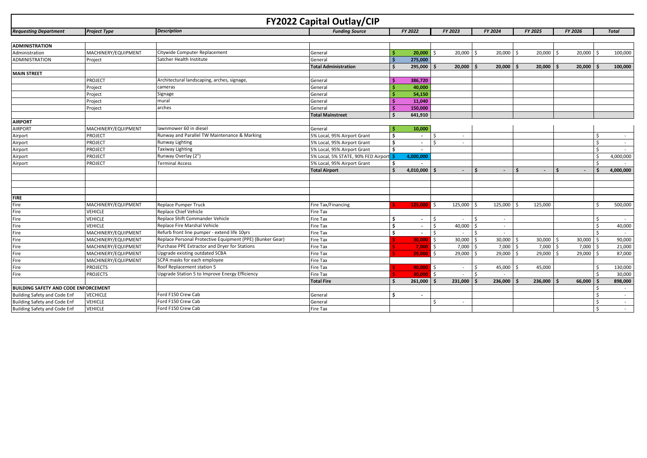|                                             |                     |                                                           | <b>FY2022 Capital Outlay/CIP</b>   |     |                          |                              |    |         |         |         |                 |               |                |
|---------------------------------------------|---------------------|-----------------------------------------------------------|------------------------------------|-----|--------------------------|------------------------------|----|---------|---------|---------|-----------------|---------------|----------------|
| <b>Requesting Department</b>                | <b>Project Type</b> | <b>Description</b>                                        | <b>Fundina Source</b>              |     | FY 2022                  | FY 2023                      |    | FY 2024 | FY 2025 |         | <b>FY 2026</b>  |               | <b>Total</b>   |
|                                             |                     |                                                           |                                    |     |                          |                              |    |         |         |         |                 |               |                |
| <b>ADMINISTRATION</b>                       |                     |                                                           |                                    |     |                          |                              |    |         |         |         |                 |               |                |
| Administration                              | MACHINERY/EQUIPMENT | Citywide Computer Replacement                             | General                            |     | 20,000                   | 20,000                       |    | 20,000  |         | 20,000  | 20,000<br>ς.    |               | 100,000        |
| <b>ADMINISTRATION</b>                       | Project             | Satcher Health Institute                                  | General                            |     | 275,000                  |                              |    |         |         |         |                 |               |                |
|                                             |                     |                                                           | <b>Total Administration</b>        |     | 295,000                  | 20,000                       |    | 20,000  | l S     | 20,000  | 20,000          |               | 100,000        |
| <b>MAIN STREET</b>                          |                     |                                                           |                                    |     |                          |                              |    |         |         |         |                 |               |                |
|                                             | PROJECT             | Architectural landscaping, arches, signage,               | General                            |     | 386,720                  |                              |    |         |         |         |                 |               |                |
|                                             | Project             | cameras                                                   | General                            |     | 40,000                   |                              |    |         |         |         |                 |               |                |
|                                             | Project             | Signage                                                   | General                            |     | 54,150                   |                              |    |         |         |         |                 |               |                |
|                                             | Project             | mural                                                     | General                            |     | 11,040                   |                              |    |         |         |         |                 |               |                |
|                                             | Project             | arches                                                    | General                            |     | 150,000                  |                              |    |         |         |         |                 |               |                |
|                                             |                     |                                                           | <b>Total Mainstreet</b>            |     | 641,910                  |                              |    |         |         |         |                 |               |                |
| <b>AIRPORT</b>                              |                     |                                                           |                                    |     |                          |                              |    |         |         |         |                 |               |                |
| <b>AIRPORT</b>                              | MACHINERY/EQUIPMENT | lawnmower 60 in diesel                                    | General                            |     | 10,000                   |                              |    |         |         |         |                 |               |                |
| Airport                                     | PROJECT             | Runway and Parallel TW Maintenance & Marking              | 5% Local, 95% Airport Grant        | \$. | $\overline{\phantom{a}}$ | $\sim$                       |    |         |         |         |                 | \$            | $\sim$ $-$     |
| Airport                                     | PROJECT             | Runway Lighting                                           | 5% Local, 95% Airport Grant        | Ś.  | $\sim$                   | $\sim$                       |    |         |         |         |                 | Ŝ.            | $\sim$         |
| Airport                                     | <b>PROJECT</b>      | <b>Taxiway Lighting</b>                                   | 5% Local, 95% Airport Grant        | ¢   | $\sim$                   |                              |    |         |         |         |                 | <sup>\$</sup> |                |
| Airport                                     | PROJECT             | Runway Overlay (2")                                       | 5% Local, 5% STATE, 90% FED Airpor |     | 4,000,000                |                              |    |         |         |         |                 | <sup>\$</sup> | 4,000,000      |
| Airport                                     | PROJECT             | <b>Terminal Access</b>                                    | 5% Local, 95% Airport Grant        | Ś.  |                          |                              |    |         |         |         |                 | <sup>\$</sup> |                |
|                                             |                     |                                                           | <b>Total Airport</b>               |     | 4,010,000                | $\blacksquare$               |    | $\sim$  | -Ś      |         |                 |               | 4,000,000      |
|                                             |                     |                                                           |                                    |     |                          |                              |    |         |         |         |                 |               |                |
|                                             |                     |                                                           |                                    |     |                          |                              |    |         |         |         |                 |               |                |
|                                             |                     |                                                           |                                    |     |                          |                              |    |         |         |         |                 |               |                |
| <b>FIRE</b>                                 |                     |                                                           |                                    |     |                          |                              |    |         |         |         |                 |               |                |
| Fire                                        | MACHINERY/EQUIPMENT | Replace Pumper Truck                                      | Fire Tax/Financing                 |     | 125,000                  | 125,000<br>- Ś               |    | 125,000 |         | 125,000 |                 | $\zeta$       | 500,000        |
| Fire                                        | <b>VEHICLE</b>      | Replace Chief Vehicle                                     | Fire Tax                           |     |                          |                              |    |         |         |         |                 |               |                |
| Fire                                        | <b>VEHICLE</b>      | Replace Shift Commander Vehicle                           | Fire Tax                           | Ś.  | $\sim$                   | Ŝ.<br>$\sim$                 |    | $\sim$  |         |         |                 | Ŝ.            | $\sim$         |
| Fire                                        | <b>VEHICLE</b>      | Replace Fire Marshal Vehicle                              | <b>Fire Tax</b>                    | \$. | $\sim$                   | 40,000<br>$\zeta$            |    | $\sim$  |         |         |                 | <sup>\$</sup> | 40,000         |
| Fire                                        | MACHINERY/EQUIPMENT | Refurb front line pumper - extend life 10yrs              | Fire Tax                           | \$. | $\sim$                   | $\mathsf{\hat{S}}$<br>$\sim$ |    | $\sim$  |         |         |                 | $\zeta$       | $\sim 10^{-1}$ |
| Fire                                        | MACHINERY/EQUIPMENT | Replace Personal Protective Equipment (PPE) (Bunker Gear) | <b>Fire Tax</b>                    |     | 30,000                   | Ŝ.<br>30,000                 |    | 30,000  | l s     | 30,000  | 30,000 \$<br>Ŝ. |               | 90,000         |
| Fire                                        | MACHINERY/EQUIPMENT | Purchase PPE Extractor and Dryer for Stations             | Fire Tax                           |     | 7,000                    | 7,000<br>Ŝ.                  |    | 7,000   |         | 7,000   | 7,000<br>Ś      | l \$          | 21,000         |
| Fire                                        | MACHINERY/EQUIPMENT | Upgrade existing outdated SCBA                            | Fire Tax                           |     | 29.000                   | Ŝ.<br>29,000                 |    | 29,000  | ۱ś      | 29,000  | 29,000 \$<br>\$ |               | 87,000         |
| Fire                                        | MACHINERY/EQUIPMENT | SCPA masks for each employee                              | Fire Tax                           |     |                          |                              |    |         |         |         |                 |               |                |
| Fire                                        | <b>PROJECTS</b>     | Roof Replacement station 5                                | Fire Tax                           |     | $40,000$ \$              | $\sim$                       | Ś, | 45,000  | ١Ś      | 45,000  |                 | -\$           | 130,000        |
| Fire                                        | <b>PROJECTS</b>     | Upgrade Station 5 to Improve Energy Efficiency            | Fire Tax                           |     | 30,000                   | \$                           |    |         |         |         |                 | $\zeta$       | 30,000         |
|                                             |                     |                                                           | <b>Total Fire</b>                  |     | 261,000                  | 231,000                      |    | 236,000 |         | 236,000 | 66,000          |               | 898,000        |
| <b>BUILDING SAFETY AND CODE ENFORCEMENT</b> |                     |                                                           |                                    |     |                          |                              |    |         |         |         |                 | Ŝ.            | $\sim$         |
| Building Safety and Code Enf                | <b>VECHICLE</b>     | Ford F150 Crew Cab                                        | General                            | \$. | $\overline{\phantom{a}}$ |                              |    |         |         |         |                 | Ŝ.            | $\sim$         |
| <b>Building Safety and Code Enf</b>         | <b>VEHICLE</b>      | Ford F150 Crew Cab                                        | General                            |     |                          | $\zeta$<br>$\sim$            |    |         |         |         |                 | Ŝ.            | $\sim$         |
| <b>Building Safety and Code Enf</b>         | <b>VEHICLE</b>      | Ford F150 Crew Cab                                        | Fire Tax                           |     |                          |                              |    |         |         |         |                 | Ŝ.            | $\sim$         |
|                                             |                     |                                                           |                                    |     |                          |                              |    |         |         |         |                 |               |                |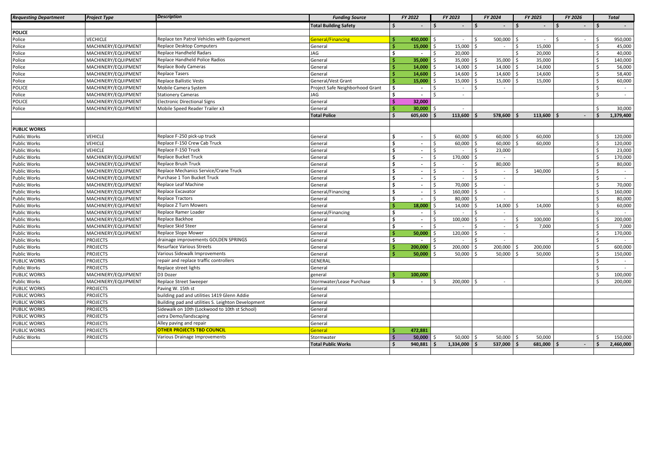| <b>Requesting Department</b> | <b>Project Type</b> | <b>Description</b>                                 | <b>Funding Source</b>           | FY 2022 |                          | FY 2023 |                          | FY 2024 |         | FY 2025        | FY 2026 |                       | <b>Total</b> |
|------------------------------|---------------------|----------------------------------------------------|---------------------------------|---------|--------------------------|---------|--------------------------|---------|---------|----------------|---------|-----------------------|--------------|
|                              |                     |                                                    | <b>Total Building Safety</b>    | \$.     | $\overline{\phantom{a}}$ |         | $\overline{\phantom{a}}$ | $\zeta$ | $\sim$  | l \$<br>$\sim$ | Ŝ.      | $\ddot{\mathbf{s}}$   |              |
| <b>POLICE</b>                |                     |                                                    |                                 |         |                          |         |                          |         |         |                |         |                       |              |
| Police                       | <b>VECHICLE</b>     | Replace ten Patrol Vehicles with Equipment         | <b>General/Financing</b>        |         | 450,000                  |         | $\sim$                   | S,      | 500,000 | $\sim$         | $\zeta$ | \$                    | 950,000      |
| Police                       | MACHINERY/EQUIPMENT | Replace Desktop Computers                          | General                         |         | 15,000                   |         | 15,000                   |         | $\sim$  | 15,000         |         | \$.                   | 45,000       |
| Police                       | MACHINERY/EQUIPMENT | Replace Handheld Radars                            | JAG                             | Ŝ.      | $\overline{\phantom{a}}$ |         | 20,000                   |         |         | 20,000         |         | \$                    | 40,000       |
| Police                       | MACHINERY/EQUIPMENT | Replace Handheld Police Radios                     | General                         |         | 35,000                   |         | 35,000                   |         | 35,000  | 35,000         |         | Ŝ.                    | 140,000      |
| Police                       | MACHINERY/EQUIPMENT | Replace Body Cameras                               | General                         |         | 14,000                   |         | 14,000                   |         | 14,000  | 14,000         |         | $\mathsf{\hat{S}}$    | 56,000       |
| Police                       | MACHINERY/EQUIPMENT | Replace Tasers                                     | General                         |         | 14,600                   |         | 14,600                   |         | 14,600  | 14,600         |         | Ś.                    | 58,400       |
| Police                       | MACHINERY/EQUIPMENT | <b>Replace Ballistic Vests</b>                     | General/Vest Grant              |         | 15,000                   |         | 15,000                   |         | 15,000  | 15,000         |         | Ŝ.                    | 60,000       |
| <b>POLICE</b>                | MACHINERY/EQUIPMENT | Mobile Camera System                               | Project Safe Neighborhood Grant | Ś       | $\overline{\phantom{a}}$ |         | $\sim$                   |         |         |                |         | \$                    | $\sim$       |
| Police                       | MACHINERY/EQUIPMENT | <b>Stationery Cameras</b>                          | JAG                             | \$.     | $\overline{\phantom{a}}$ |         | $\sim$                   |         |         |                |         | \$                    | $\sim$       |
| <b>POLICE</b>                | MACHINERY/EQUIPMENT | <b>Electronic Directional Signs</b>                | General                         |         | 32,000                   |         |                          |         |         |                |         |                       |              |
| Police                       | MACHINERY/EQUIPMENT | Mobile Speed Reader Trailer x3                     | General                         |         | 30,000                   |         |                          |         |         |                |         | \$                    | 30,000       |
|                              |                     |                                                    | <b>Total Police</b>             |         | 605,600                  |         | 113,600                  |         | 578,600 | 113,600        |         |                       | 1,379,400    |
|                              |                     |                                                    |                                 |         |                          |         |                          |         |         |                |         |                       |              |
| <b>PUBLIC WORKS</b>          |                     |                                                    |                                 |         |                          |         |                          |         |         |                |         |                       |              |
| <b>Public Works</b>          | <b>VEHICLE</b>      | Replace F-250 pick-up truck                        | General                         |         | $\sim$                   |         | 60,000                   |         | 60,000  | 60,000         |         | Ś                     | 120,000      |
| <b>Public Works</b>          | VEHICLE             | Replace F-150 Crew Cab Truck                       | General                         |         | $\sim$                   |         | 60,000                   |         | 60,000  | 60,000         |         | Ś                     | 120,000      |
| Public Works                 | <b>VEHICLE</b>      | Replace F-150 Truck                                | General                         | \$      | $\sim$                   |         | $\sim$                   |         | 23,000  |                |         | Ś                     | 23,000       |
| <b>Public Works</b>          | MACHINERY/EQUIPMENT | Replace Bucket Truck                               | General                         | \$      | $\sim$                   | Ŝ.      | 170,000                  |         | $\sim$  |                |         | \$                    | 170,000      |
| Public Works                 | MACHINERY/EQUIPMENT | Replace Brush Truck                                | General                         | \$      | $\sim$                   | Ŝ.      | $\sim$                   |         | 80,000  |                |         | Ŝ.                    | 80,000       |
| <b>Public Works</b>          | MACHINERY/EQUIPMENT | Replace Mechanics Service/Crane Truck              | General                         | \$.     | $\sim$                   | Ŝ.      | $\sim$                   | Ś       | $\sim$  | 140,000        |         | \$                    | $\sim$       |
| Public Works                 | MACHINERY/EQUIPMENT | Purchase 1 Ton Bucket Truck                        | General                         | Ś       | $\overline{\phantom{a}}$ | Ŝ.      | $\sim$                   |         | $\sim$  |                |         | \$                    | $\sim$       |
| <b>Public Works</b>          | MACHINERY/EQUIPMENT | Replace Leaf Machine                               | General                         | Ś       | $\sim$                   | Ŝ.      | 70,000                   |         | $\sim$  |                |         | \$                    | 70,000       |
| Public Works                 | MACHINERY/EQUIPMENT | Replace Excavator                                  | General/Financing               | Ŝ.      | $\sim$                   | Ŝ.      | 160,000                  |         | $\sim$  |                |         | Ŝ.                    | 160,000      |
| <b>Public Works</b>          | MACHINERY/EQUIPMENT | <b>Replace Tractors</b>                            | General                         | \$      | $\sim$                   | Ŝ.      | 80,000                   |         | $\sim$  |                |         | \$                    | 80,000       |
| <b>Public Works</b>          | MACHINERY/EQUIPMENT | Replace Z Turn Mowers                              | General                         |         | 18.000                   | Ŝ.      | 14,000                   |         | 14,000  | 14.000         |         | \$                    | 60,000       |
| <b>Public Works</b>          | MACHINERY/EQUIPMENT | Replace Ramer Loader                               | General/Financing               | Ś       | $\sim$                   | $\zeta$ | $\sim$                   |         | $\sim$  |                |         | Ś                     | $\sim$       |
| Public Works                 | MACHINERY/EQUIPMENT | Replace Backhoe                                    | General                         | Ś       | $\sim$                   | $\zeta$ | 100,000                  |         | $\sim$  | 100.000<br>S,  |         | Ś.                    | 200,000      |
| <b>Public Works</b>          | MACHINERY/EQUIPMENT | Replace Skid Steer                                 | General                         | \$      | $\sim$                   | $\zeta$ | $\sim$                   |         | $\sim$  | 7,000          |         | \$                    | 7,000        |
| Public Works                 | MACHINERY/EQUIPMENT | Replace Slope Mower                                | General                         |         | 50,000                   |         | 120,000                  |         | $\sim$  |                |         | Ś                     | 170,000      |
| <b>Public Works</b>          | <b>PROJECTS</b>     | drainage improvements GOLDEN SPRINGS               | General                         | Š.      | $\overline{a}$           | S.      | $\sim$                   |         | $\sim$  |                |         | \$.                   |              |
| <b>Public Works</b>          | <b>PROJECTS</b>     | <b>Resurface Various Streets</b>                   | General                         |         | 200,000                  |         | 200,000                  |         | 200,000 | 200,000<br>∫ < |         | $\mathsf{\mathsf{S}}$ | 600,000      |
| <b>Public Works</b>          | <b>PROJECTS</b>     | Various Sidewalk Improvements                      | General                         |         | 50,000                   |         | 50,000                   |         | 50,000  | 50,000         |         | Ś.                    | 150,000      |
| PUBLIC WORKS                 | <b>PROJECTS</b>     | repair and replace traffic controllers             | <b>GENERAL</b>                  |         |                          |         |                          |         |         |                |         | Ŝ.                    |              |
| <b>Public Works</b>          | <b>PROJECTS</b>     | Replace street lights                              | General                         |         |                          |         |                          |         |         |                |         | Ŝ.                    |              |
| <b>PUBLIC WORKS</b>          | MACHINERY/EQUIPMENT | D3 Dozer                                           | general                         |         | 100,000                  |         |                          |         |         |                |         | Ŝ.                    | 100,000      |
| Public Works                 | MACHINERY/EQUIPMENT | Replace Street Sweeper                             | Stormwater/Lease Purchase       | Ś       |                          |         | 200,000                  |         |         |                |         | Ś                     | 200,000      |
| <b>PUBLIC WORKS</b>          | <b>PROJECTS</b>     | Paving W. 15th st                                  | General                         |         |                          |         |                          |         |         |                |         |                       |              |
| <b>PUBLIC WORKS</b>          | <b>PROJECTS</b>     | building pad and utilities 1419 Glenn Addie        | General                         |         |                          |         |                          |         |         |                |         |                       |              |
| PUBLIC WORKS                 | <b>PROJECTS</b>     | Building pad and utilities S. Leighton Development | General                         |         |                          |         |                          |         |         |                |         |                       |              |
| <b>PUBLIC WORKS</b>          | <b>PROJECTS</b>     | Sidewalk on 10th (Lockwood to 10th st School)      | General                         |         |                          |         |                          |         |         |                |         |                       |              |
| <b>PUBLIC WORKS</b>          | <b>PROJECTS</b>     | extra Demo/landscaping                             | General                         |         |                          |         |                          |         |         |                |         |                       |              |
| PUBLIC WORKS                 | <b>PROJECTS</b>     | Alley paving and repair                            | General                         |         |                          |         |                          |         |         |                |         |                       |              |
| <b>PUBLIC WORKS</b>          | <b>PROJECTS</b>     | <b>OTHER PROJECTS TBD COUNCIL</b>                  | General                         |         | 472,881                  |         |                          |         |         |                |         |                       |              |
| Public Works                 | <b>PROJECTS</b>     | Various Drainage Improvements                      | Stormwater                      |         | 50,000                   |         | 50,000                   |         | 50,000  | 50,000<br>l ś  |         | Ś                     | 150,000      |
|                              |                     |                                                    | <b>Total Public Works</b>       |         | 940,881                  |         | 1,334,000                |         | 537,000 | 681,000<br>۱Ś  |         |                       | 2,460,000    |
|                              |                     |                                                    |                                 |         |                          |         |                          |         |         |                |         |                       |              |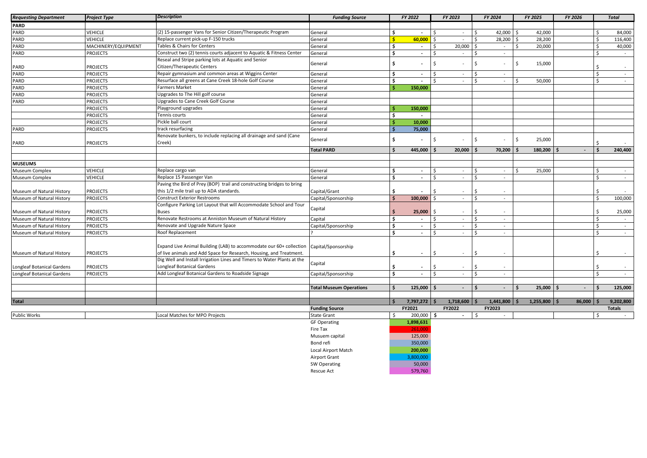| <b>Requesting Department</b>      | <b>Project Type</b> | <b>Description</b>                                                                                        | <b>Funding Source</b>          |                     | FY 2022                  |         | FY 2023        | FY 2024                      | FY 2025            |           | FY 2026              |                    | <b>Total</b>  |
|-----------------------------------|---------------------|-----------------------------------------------------------------------------------------------------------|--------------------------------|---------------------|--------------------------|---------|----------------|------------------------------|--------------------|-----------|----------------------|--------------------|---------------|
| PARD                              |                     |                                                                                                           |                                |                     |                          |         |                |                              |                    |           |                      |                    |               |
| PARD                              | VEHICLE             | (2) 15-passenger Vans for Senior Citizen/Therapeutic Program                                              | General                        | Ś                   | $\sim$                   | ς.      | $\sim$         | $\zeta$<br>42,000            | S,                 | 42,000    |                      | \$                 | 84,000        |
| PARD                              | <b>VEHICLE</b>      | Replace current pick-up F-150 trucks                                                                      | General                        | Ś.                  | 60,000                   | \$      | $\sim$         | 28,200<br>\$                 | Ś                  | 28,200    |                      | S.                 | 116,400       |
| PARD                              | MACHINERY/EQUIPMENT | Tables & Chairs for Centers                                                                               | General                        | \$                  | $\sim$                   | \$      | 20,000         | $\sim$<br>Ŝ.                 |                    | 20,000    |                      | \$                 | 40,000        |
| PARD                              | <b>PROJECTS</b>     | Construct two (2) tennis courts adjacent to Aquatic & Fitness Center                                      | General                        | \$                  | $\sim$                   |         | $\sim$         | $\sim$                       |                    |           |                      | Ś                  | $\sim$        |
|                                   |                     | Reseal and Stripe parking lots at Aquatic and Senior                                                      |                                |                     |                          |         |                |                              |                    |           |                      |                    |               |
| PARD                              | <b>PROJECTS</b>     | Citizen/Therapeutic Centers                                                                               | General                        | \$                  | $\overline{a}$           | Ś       |                | $\mathsf{\hat{S}}$<br>$\sim$ | Ś                  | 15,000    |                      | Ś                  | $\sim$        |
| PARD                              | <b>PROJECTS</b>     | Repair gymnasium and common areas at Wiggins Center                                                       | General                        | \$                  | $\sim$                   | ς.      | $\sim$         | Ŝ.<br>$\sim$                 |                    |           |                      | \$                 | $\sim$        |
| PARD                              | <b>PROJECTS</b>     | Resurface all greens at Cane Creek 18-hole Golf Course                                                    | General                        | \$                  | $\sim$                   | \$.     | $\sim$         | $\mathsf{\hat{S}}$<br>$\sim$ | $\mathsf{\hat{S}}$ | 50,000    |                      | $\mathsf{\hat{S}}$ | $\sim$        |
| PARD                              | <b>PROJECTS</b>     | <b>Farmers Market</b>                                                                                     | General                        |                     | 150,000                  |         |                |                              |                    |           |                      |                    |               |
| PARD                              | <b>PROJECTS</b>     | Upgrades to The Hill golf course                                                                          | General                        |                     |                          |         |                |                              |                    |           |                      |                    |               |
| PARD                              | <b>PROJECTS</b>     | Upgrades to Cane Creek Golf Course                                                                        | General                        |                     |                          |         |                |                              |                    |           |                      |                    |               |
|                                   | <b>PROJECTS</b>     | Playground upgrades                                                                                       | General                        | Ś                   | 150,000                  |         |                |                              |                    |           |                      |                    |               |
|                                   | <b>PROJECTS</b>     | Tennis courts                                                                                             | General                        | Ŝ.                  | $\overline{a}$           |         |                |                              |                    |           |                      |                    |               |
|                                   | <b>PROJECTS</b>     | Pickle ball court                                                                                         | General                        | Ŝ                   | 10,000                   |         |                |                              |                    |           |                      |                    |               |
| PARD                              | <b>PROJECTS</b>     | track resurfacing                                                                                         | General                        | Ś.                  | 75,000                   |         |                |                              |                    |           |                      |                    |               |
|                                   |                     | Renovate bunkers, to include replacing all drainage and sand (Cane                                        |                                |                     |                          |         |                |                              |                    |           |                      |                    |               |
| PARD                              | <b>PROJECTS</b>     | Creek)                                                                                                    | General                        | \$                  |                          | Ś       |                | Ś.                           | Ŝ.                 | 25,000    |                      |                    |               |
|                                   |                     |                                                                                                           | <b>Total PARD</b>              | Ś.                  | 445,000                  |         | 20,000         | 70,200                       |                    | 180,200   |                      | \$                 | 240,400       |
|                                   |                     |                                                                                                           |                                |                     |                          |         |                |                              |                    |           |                      |                    |               |
| <b>MUSEUMS</b>                    |                     |                                                                                                           |                                |                     |                          |         |                |                              |                    |           |                      |                    |               |
| Museum Complex                    | <b>VEHICLE</b>      | Replace cargo van                                                                                         | General                        | \$                  |                          | Ŝ.      | $\sim$         | Ŝ.<br>$\sim$                 | \$                 | 25,000    |                      | Ś.                 | $\sim$        |
| Museum Complex                    | <b>VEHICLE</b>      | Replace 15 Passenger Van                                                                                  | General                        | \$                  | $\sim$<br>$\sim$         | Ś       | $\sim$         | $\sim$                       |                    |           |                      | Ś                  | $\sim$        |
|                                   |                     | Paving the Bird of Prey (BOP) trail and constructing bridges to bring                                     |                                |                     |                          |         |                |                              |                    |           |                      |                    |               |
|                                   |                     |                                                                                                           |                                |                     |                          | Ś       |                |                              |                    |           |                      |                    |               |
| Museum of Natural History         | <b>PROJECTS</b>     | this 1/2 mile trail up to ADA standards.                                                                  | Capital/Grant                  | \$                  |                          |         | $\sim$         | $\sim$                       |                    |           |                      | Ś.                 |               |
| Museum of Natural History         | <b>PROJECTS</b>     | <b>Construct Exterior Restrooms</b><br>Configure Parking Lot Layout that will Accommodate School and Tour | Capital/Sponsorship            | Ś.                  | 100,000                  |         | $\sim$         | $\sim$                       |                    |           |                      | \$                 | 100,000       |
|                                   |                     |                                                                                                           | Capital                        |                     |                          |         |                |                              |                    |           |                      |                    |               |
| Museum of Natural History         | <b>PROJECTS</b>     | <b>Buses</b>                                                                                              |                                |                     | 25,000                   |         | $\sim$         | $\zeta$                      |                    |           |                      |                    | 25,000        |
| Museum of Natural History         | <b>PROJECTS</b>     | Renovate Restrooms at Anniston Museum of Natural History                                                  | Capital                        | \$                  | $\sim$                   |         | $\sim$         | $\sim$                       |                    |           |                      | $\mathsf{\$}$      | $\sim$        |
| Museum of Natural History         | <b>PROJECTS</b>     | Renovate and Upgrade Nature Space                                                                         | Capital/Sponsorship            | \$                  | $\blacksquare$           | \$      | $\sim$         | $\mathsf{\hat{S}}$<br>$\sim$ |                    |           |                      | \$                 | $\sim$        |
| Museum of Natural History         | <b>PROJECTS</b>     | Roof Replacement                                                                                          |                                | \$                  | $\blacksquare$           | \$      | $\sim$         | $\zeta$<br>$\sim$            |                    |           |                      | \$                 | $\sim$        |
|                                   |                     |                                                                                                           |                                |                     |                          |         |                |                              |                    |           |                      |                    |               |
|                                   |                     | Expand Live Animal Building (LAB) to accommodate our 60+ collection                                       | Capital/Sponsorship            |                     |                          |         |                |                              |                    |           |                      |                    |               |
| Museum of Natural History         | <b>PROJECTS</b>     | of live animals and Add Space for Research, Housing, and Treatment.                                       |                                | \$                  | $\overline{\phantom{a}}$ | Ś       | $\sim$         | $\zeta$<br>$\sim$            |                    |           |                      | Ś                  | $\sim$        |
|                                   |                     | Dig Well and Install Irrigation Lines and Timers to Water Plants at the                                   | Capital                        |                     |                          |         |                |                              |                    |           |                      |                    |               |
| <b>Longleaf Botanical Gardens</b> | <b>PROJECTS</b>     | Longleaf Botanical Gardens                                                                                |                                | Ś.                  | $\blacksquare$           | ς       | $\sim$         |                              |                    |           |                      |                    | $\sim$        |
| Longleaf Botanical Gardens        | <b>PROJECTS</b>     | Add Longleaf Botanical Gardens to Roadside Signage                                                        | Capital/Sponsorship            | \$                  | $\sim$                   | $\zeta$ | $\sim$         | $\zeta$<br>$\sim$            |                    |           |                      | \$.                | $\sim$        |
|                                   |                     |                                                                                                           |                                |                     |                          |         |                |                              |                    |           |                      |                    |               |
|                                   |                     |                                                                                                           | <b>Total Museum Operations</b> | \$                  | 125,000                  |         | $\sim$         | Ŝ.<br>$\sim$                 |                    | 25,000    | Ś.<br>$\blacksquare$ | Ś                  | 125,000       |
|                                   |                     |                                                                                                           |                                |                     |                          |         |                |                              |                    |           |                      |                    |               |
| <b>Total</b>                      |                     |                                                                                                           |                                | $\ddot{\mathbf{s}}$ | $7,797,272$ \$           |         | $1,718,600$ \$ | 1,441,800                    |                    | 1,255,800 | 86,000               |                    | 9,202,800     |
|                                   |                     |                                                                                                           | <b>Funding Source</b>          |                     | FY2021                   |         | FY2022         | FY2023                       |                    |           |                      |                    | <b>Totals</b> |
| <b>Public Works</b>               |                     | Local Matches for MPO Projects                                                                            | <b>State Grant</b>             | \$                  | 200,000 \$               |         | $\sim$         | -\$<br>$\sim$                |                    |           |                      | \$                 |               |
|                                   |                     |                                                                                                           | <b>GF Operating</b>            |                     | 1,898,631                |         |                |                              |                    |           |                      |                    |               |
|                                   |                     |                                                                                                           | Fire Tax                       |                     | 261.000                  |         |                |                              |                    |           |                      |                    |               |
|                                   |                     |                                                                                                           | Musuem capital                 |                     | 125,000                  |         |                |                              |                    |           |                      |                    |               |
|                                   |                     |                                                                                                           | Bond refi                      |                     | 350,000                  |         |                |                              |                    |           |                      |                    |               |
|                                   |                     |                                                                                                           | Local Airport Match            |                     | 200,000                  |         |                |                              |                    |           |                      |                    |               |
|                                   |                     |                                                                                                           | <b>Airport Grant</b>           |                     | 3,800,000                |         |                |                              |                    |           |                      |                    |               |
|                                   |                     |                                                                                                           | SW Operating                   |                     | 50,000                   |         |                |                              |                    |           |                      |                    |               |
|                                   |                     |                                                                                                           | Rescue Act                     |                     | 579,760                  |         |                |                              |                    |           |                      |                    |               |
|                                   |                     |                                                                                                           |                                |                     |                          |         |                |                              |                    |           |                      |                    |               |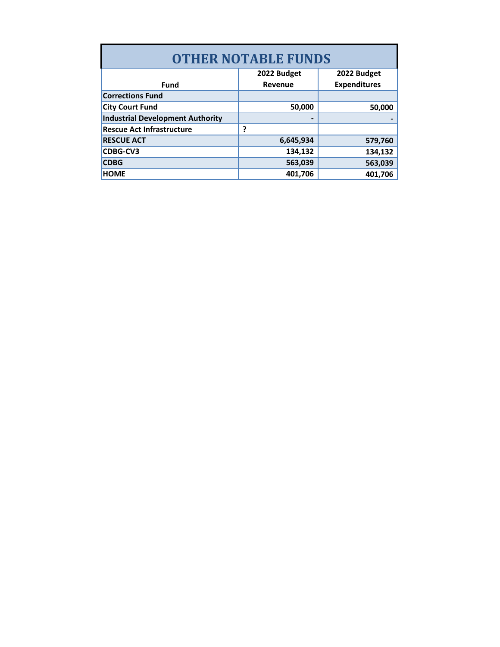| <b>OTHER NOTABLE FUNDS</b>              |             |                     |  |  |  |  |  |  |  |  |
|-----------------------------------------|-------------|---------------------|--|--|--|--|--|--|--|--|
|                                         | 2022 Budget | 2022 Budget         |  |  |  |  |  |  |  |  |
| <b>Fund</b>                             | Revenue     | <b>Expenditures</b> |  |  |  |  |  |  |  |  |
| <b>Corrections Fund</b>                 |             |                     |  |  |  |  |  |  |  |  |
| <b>City Court Fund</b>                  | 50,000      | 50,000              |  |  |  |  |  |  |  |  |
| <b>Industrial Development Authority</b> |             |                     |  |  |  |  |  |  |  |  |
| <b>Rescue Act Infrastructure</b>        | 7           |                     |  |  |  |  |  |  |  |  |
| <b>RESCUE ACT</b>                       | 6,645,934   | 579,760             |  |  |  |  |  |  |  |  |
| CDBG-CV3                                | 134,132     | 134,132             |  |  |  |  |  |  |  |  |
| <b>CDBG</b>                             | 563,039     | 563,039             |  |  |  |  |  |  |  |  |
| <b>HOME</b>                             | 401,706     | 401.706             |  |  |  |  |  |  |  |  |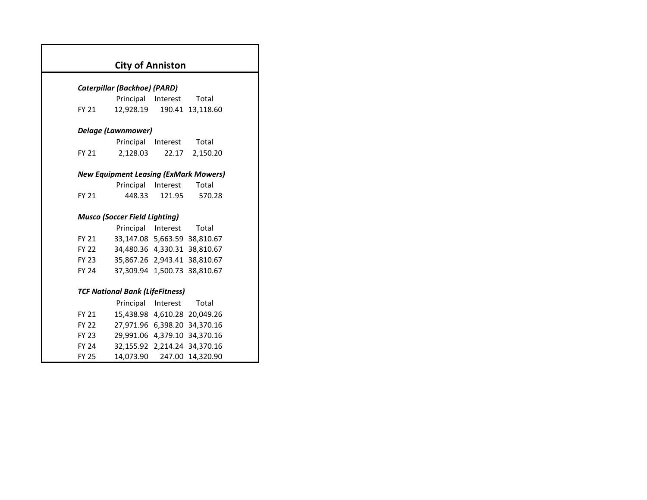|              | <b>City of Anniston</b>                      |          |           |  |
|--------------|----------------------------------------------|----------|-----------|--|
|              |                                              |          |           |  |
|              | Caterpillar (Backhoe) (PARD)                 |          |           |  |
|              | Principal                                    | Interest | Total     |  |
| FY 21        | 12,928.19                                    | 190.41   | 13,118.60 |  |
|              | <b>Delage (Lawnmower)</b>                    |          |           |  |
|              | Principal                                    | Interest | Total     |  |
| FY 21        | 2,128.03                                     | 22.17    | 2,150.20  |  |
|              |                                              |          |           |  |
|              | <b>New Equipment Leasing (ExMark Mowers)</b> |          |           |  |
|              | Principal                                    | Interest | Total     |  |
| <b>FY 21</b> | 448.33                                       | 121.95   | 570.28    |  |
|              |                                              |          |           |  |
|              | <b>Musco (Soccer Field Lighting)</b>         |          |           |  |
|              | Principal Interest                           |          | Total     |  |
| FY 21        | 33,147.08 5,663.59 38,810.67                 |          |           |  |
| FY 22        | 34,480.36 4,330.31 38,810.67                 |          |           |  |
| FY 23        | 35,867.26 2,943.41 38,810.67                 |          |           |  |
| <b>FY 24</b> | 37,309.94 1,500.73 38,810.67                 |          |           |  |
|              |                                              |          |           |  |
|              | <b>TCF National Bank (LifeFitness)</b>       |          |           |  |
|              | Principal                                    | Interest | Total     |  |
| <b>FY 21</b> | 15,438.98 4,610.28 20,049.26                 |          |           |  |
| <b>FY 22</b> | 27,971.96 6,398.20 34,370.16                 |          |           |  |
| FY 23        | 29,991.06 4,379.10 34,370.16                 |          |           |  |
| <b>FY 24</b> | 32,155.92 2,214.24                           |          | 34,370.16 |  |
| FY 25        | 14,073.90                                    | 247.00   | 14,320.90 |  |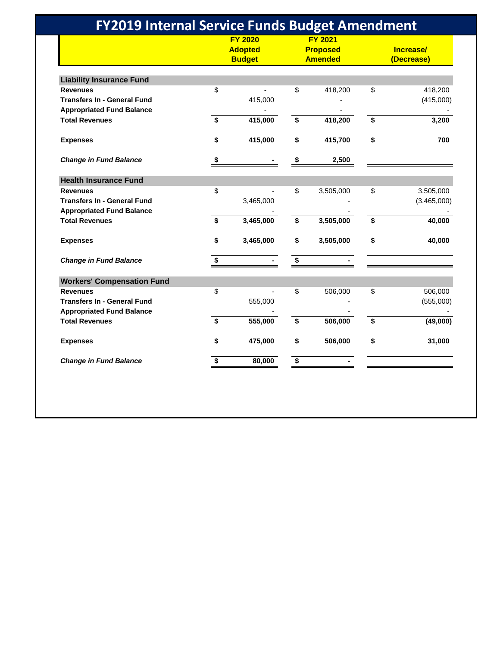|                                    | <b>FY 2020</b><br><b>Adopted</b><br><b>Budget</b> |           | <b>FY 2021</b><br><b>Proposed</b><br><b>Amended</b> |           | Increase/<br>(Decrease) |             |
|------------------------------------|---------------------------------------------------|-----------|-----------------------------------------------------|-----------|-------------------------|-------------|
| <b>Liability Insurance Fund</b>    |                                                   |           |                                                     |           |                         |             |
| <b>Revenues</b>                    | \$                                                |           | \$                                                  | 418,200   | \$                      | 418,200     |
| <b>Transfers In - General Fund</b> |                                                   | 415,000   |                                                     |           |                         | (415,000)   |
| <b>Appropriated Fund Balance</b>   |                                                   |           |                                                     |           |                         |             |
| <b>Total Revenues</b>              | \$                                                | 415,000   | \$                                                  | 418,200   | \$                      | 3,200       |
| <b>Expenses</b>                    | \$                                                | 415,000   | \$                                                  | 415,700   | \$                      | 700         |
| <b>Change in Fund Balance</b>      | \$                                                |           | \$                                                  | 2,500     |                         |             |
| <b>Health Insurance Fund</b>       |                                                   |           |                                                     |           |                         |             |
| <b>Revenues</b>                    | \$                                                |           | \$                                                  | 3,505,000 | \$                      | 3,505,000   |
| <b>Transfers In - General Fund</b> |                                                   | 3,465,000 |                                                     |           |                         | (3,465,000) |
| <b>Appropriated Fund Balance</b>   |                                                   |           |                                                     |           |                         |             |
| <b>Total Revenues</b>              | \$                                                | 3,465,000 | \$                                                  | 3,505,000 | \$                      | 40,000      |
| <b>Expenses</b>                    | \$                                                | 3,465,000 | \$                                                  | 3,505,000 | \$                      | 40,000      |
| <b>Change in Fund Balance</b>      | \$                                                |           | \$                                                  |           |                         |             |
| <b>Workers' Compensation Fund</b>  |                                                   |           |                                                     |           |                         |             |
| <b>Revenues</b>                    | \$                                                |           | \$                                                  | 506,000   | \$                      | 506,000     |
| <b>Transfers In - General Fund</b> |                                                   | 555,000   |                                                     |           |                         | (555,000)   |
| <b>Appropriated Fund Balance</b>   |                                                   |           |                                                     |           |                         |             |
| <b>Total Revenues</b>              | \$                                                | 555,000   | \$                                                  | 506,000   | \$                      | (49,000)    |
| <b>Expenses</b>                    | \$                                                | 475,000   | \$                                                  | 506,000   | \$                      | 31,000      |
| <b>Change in Fund Balance</b>      | \$                                                | 80,000    | \$                                                  |           |                         |             |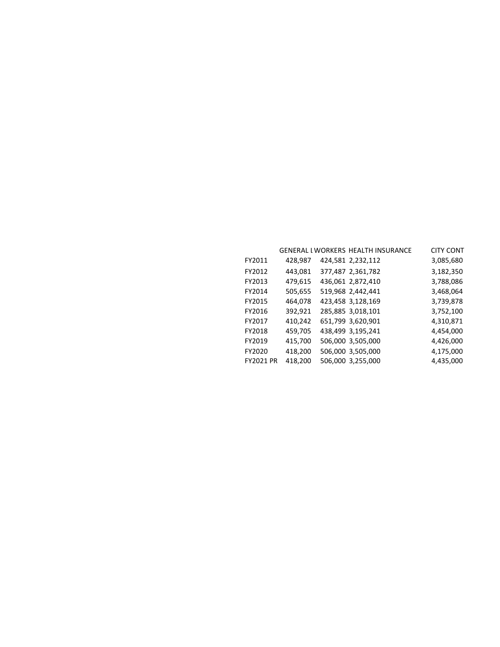|                  |         | <b>GENERAL I WORKERS HEALTH INSURANCE</b> | <b>CITY CONT</b> |
|------------------|---------|-------------------------------------------|------------------|
| FY2011           | 428,987 | 424,581 2,232,112                         | 3,085,680        |
| FY2012           | 443,081 | 377,487 2,361,782                         | 3,182,350        |
| FY2013           | 479,615 | 436,061 2,872,410                         | 3,788,086        |
| FY2014           | 505,655 | 519,968 2,442,441                         | 3,468,064        |
| FY2015           | 464,078 | 423,458 3,128,169                         | 3,739,878        |
| FY2016           | 392,921 | 285,885 3,018,101                         | 3,752,100        |
| FY2017           | 410,242 | 651,799 3,620,901                         | 4,310,871        |
| FY2018           | 459,705 | 438,499 3,195,241                         | 4,454,000        |
| FY2019           | 415,700 | 506,000 3,505,000                         | 4,426,000        |
| FY2020           | 418,200 | 506,000 3,505,000                         | 4,175,000        |
| <b>FY2021 PR</b> | 418,200 | 506,000 3,255,000                         | 4,435,000        |
|                  |         |                                           |                  |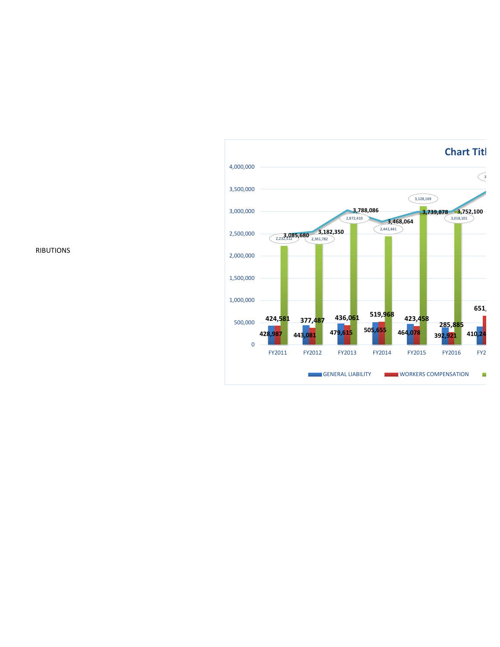

RIBUTIONS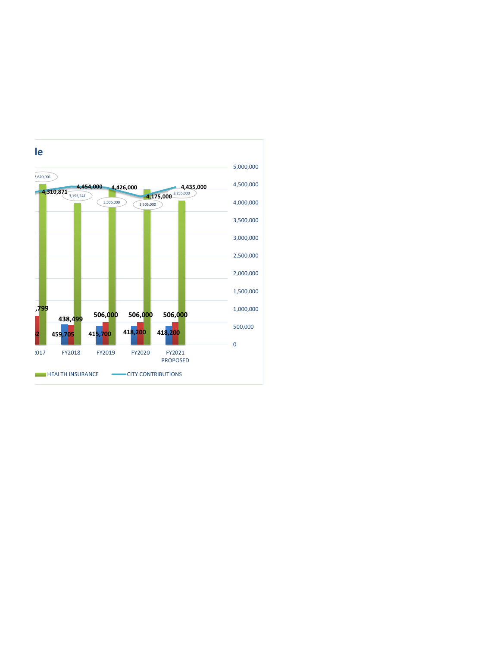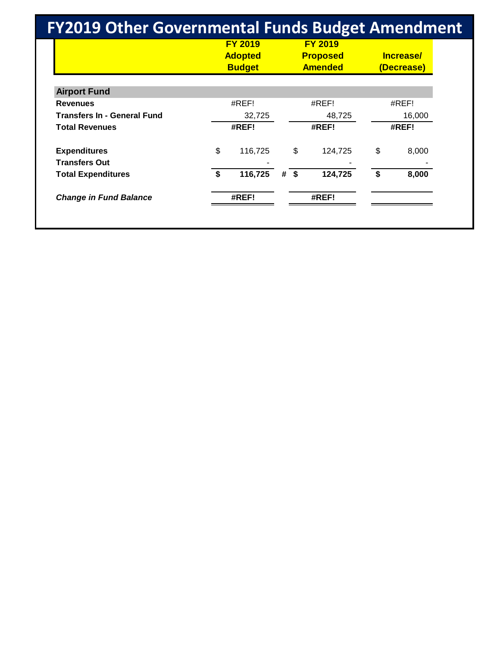| <b>FY2019 Other Governmental Funds Budget Amendment</b> |                  |                                                   |        |                                                     |    |                         |  |
|---------------------------------------------------------|------------------|---------------------------------------------------|--------|-----------------------------------------------------|----|-------------------------|--|
|                                                         |                  | <b>FY 2019</b><br><b>Adopted</b><br><b>Budget</b> |        | <b>FY 2019</b><br><b>Proposed</b><br><b>Amended</b> |    | Increase/<br>(Decrease) |  |
| <b>Airport Fund</b>                                     |                  |                                                   |        |                                                     |    |                         |  |
| <b>Revenues</b>                                         |                  | #REF!                                             |        | #REF!                                               |    | #REF!                   |  |
| <b>Transfers In - General Fund</b>                      | 48,725<br>32,725 |                                                   | 16,000 |                                                     |    |                         |  |
| <b>Total Revenues</b>                                   |                  | #REF!                                             |        | #REF!                                               |    | #REF!                   |  |
| <b>Expenditures</b>                                     | \$               | 116,725                                           |        | \$<br>124,725                                       | \$ | 8,000                   |  |
| <b>Transfers Out</b>                                    |                  |                                                   |        |                                                     |    |                         |  |
| <b>Total Expenditures</b>                               | \$               | 116,725                                           | #      | \$<br>124,725                                       | \$ | 8,000                   |  |
| <b>Change in Fund Balance</b>                           |                  | #REF!                                             |        | #REF!                                               |    |                         |  |
|                                                         |                  |                                                   |        |                                                     |    |                         |  |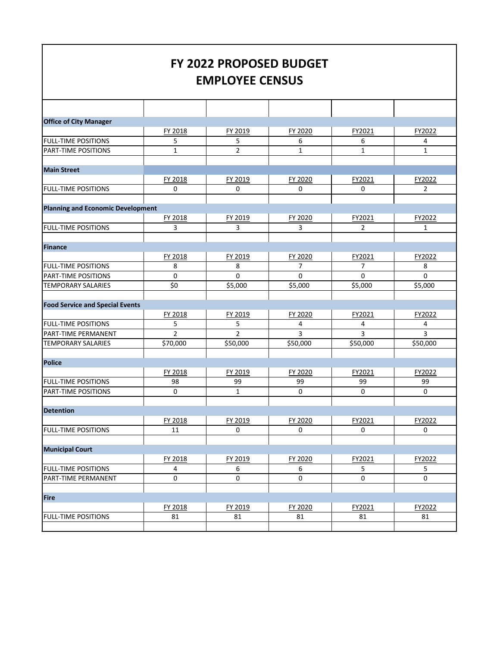## **FY 2022 PROPOSED BUDGET EMPLOYEE CENSUS**

| <b>Office of City Manager</b>            |                |                |                |              |                |
|------------------------------------------|----------------|----------------|----------------|--------------|----------------|
|                                          | FY 2018        | FY 2019        | FY 2020        | FY2021       | FY2022         |
| <b>FULL-TIME POSITIONS</b>               | 5              | 5              | 6              | 6            | 4              |
| PART-TIME POSITIONS                      | $\mathbf{1}$   | $\overline{2}$ | $\mathbf{1}$   | $\mathbf{1}$ | $\mathbf{1}$   |
|                                          |                |                |                |              |                |
| <b>Main Street</b>                       |                |                |                |              |                |
|                                          | FY 2018        | FY 2019        | FY 2020        | FY2021       | FY2022         |
| <b>FULL-TIME POSITIONS</b>               | 0              | 0              | 0              | 0            | $\overline{2}$ |
|                                          |                |                |                |              |                |
| <b>Planning and Economic Development</b> |                |                |                |              |                |
|                                          | FY 2018        | FY 2019        | FY 2020        | FY2021       | FY2022         |
| <b>FULL-TIME POSITIONS</b>               | 3              | 3              | 3              | 2            | $\mathbf{1}$   |
|                                          |                |                |                |              |                |
| Finance                                  |                |                |                |              |                |
|                                          | FY 2018        | FY 2019        | FY 2020        | FY2021       | FY2022         |
| <b>FULL-TIME POSITIONS</b>               | 8              | 8              | 7              | 7            | 8              |
| PART-TIME POSITIONS                      | 0              | 0              | 0              | 0            | 0              |
| TEMPORARY SALARIES                       | \$0            | \$5,000        | \$5,000        | \$5,000      | \$5,000        |
|                                          |                |                |                |              |                |
| <b>Food Service and Special Events</b>   |                |                |                |              |                |
|                                          | FY 2018        | FY 2019        | FY 2020        | FY2021       | FY2022         |
| <b>FULL-TIME POSITIONS</b>               | 5              | 5              | 4              | 4            | 4              |
| PART-TIME PERMANENT                      | $\overline{2}$ | $\overline{2}$ | $\overline{3}$ | 3            | 3              |
| TEMPORARY SALARIES                       | \$70,000       | \$50,000       | \$50,000       | \$50,000     | \$50,000       |
|                                          |                |                |                |              |                |
| <b>Police</b>                            |                |                |                |              |                |
|                                          | FY 2018        | FY 2019        | FY 2020        | FY2021       | FY2022         |
| <b>FULL-TIME POSITIONS</b>               | 98             | 99             | 99             | 99           | 99             |
| PART-TIME POSITIONS                      | $\mathbf 0$    | $\mathbf{1}$   | $\mathbf 0$    | 0            | $\mathbf 0$    |
|                                          |                |                |                |              |                |
| <b>Detention</b>                         |                |                |                |              |                |
|                                          | FY 2018        | FY 2019        | FY 2020        | FY2021       | FY2022         |
| <b>FULL-TIME POSITIONS</b>               | 11             | 0              | 0              | 0            | 0              |
|                                          |                |                |                |              |                |
| <b>Municipal Court</b>                   |                |                |                |              |                |
|                                          | FY 2018        | FY 2019        | FY 2020        | FY2021       | FY2022         |
| <b>FULL-TIME POSITIONS</b>               | 4              | 6              | 6              | 5            | 5              |
| PART-TIME PERMANENT                      | 0              | 0              | 0              | 0            | 0              |
|                                          |                |                |                |              |                |
| Fire                                     |                |                |                |              |                |
|                                          | FY 2018        | FY 2019        | FY 2020        | FY2021       | FY2022         |
| <b>FULL-TIME POSITIONS</b>               | 81             | 81             | 81             | 81           | 81             |
|                                          |                |                |                |              |                |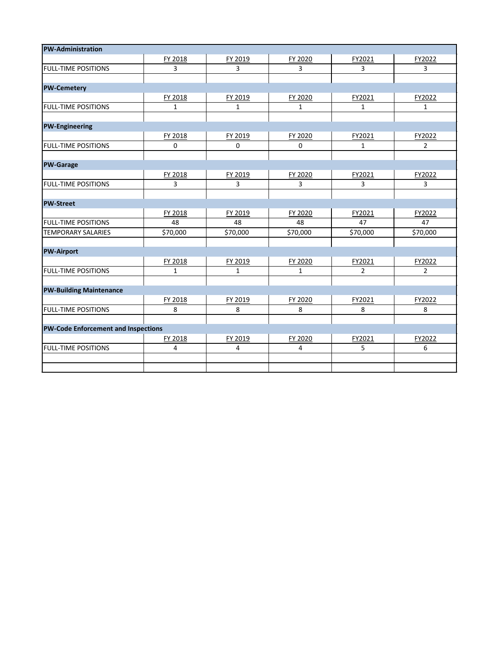| <b>PW-Administration</b>                   |              |              |              |                |                |
|--------------------------------------------|--------------|--------------|--------------|----------------|----------------|
|                                            | FY 2018      | FY 2019      | FY 2020      | FY2021         | FY2022         |
| <b>FULL-TIME POSITIONS</b>                 | 3            | 3            | 3            | 3              | 3              |
|                                            |              |              |              |                |                |
| <b>PW-Cemetery</b>                         |              |              |              |                |                |
|                                            | FY 2018      | FY 2019      | FY 2020      | FY2021         | FY2022         |
| <b>FULL-TIME POSITIONS</b>                 | $\mathbf{1}$ | $\mathbf{1}$ | $\mathbf{1}$ | $\mathbf{1}$   | $\mathbf{1}$   |
|                                            |              |              |              |                |                |
| <b>PW-Engineering</b>                      |              |              |              |                |                |
|                                            | FY 2018      | FY 2019      | FY 2020      | FY2021         | FY2022         |
| <b>FULL-TIME POSITIONS</b>                 | $\Omega$     | $\Omega$     | $\Omega$     | $\mathbf{1}$   | $\overline{2}$ |
|                                            |              |              |              |                |                |
| <b>PW-Garage</b>                           |              |              |              |                |                |
|                                            | FY 2018      | FY 2019      | FY 2020      | FY2021         | FY2022         |
| <b>FULL-TIME POSITIONS</b>                 | 3            | 3            | 3            | 3              | 3              |
|                                            |              |              |              |                |                |
| <b>PW-Street</b>                           |              |              |              |                |                |
|                                            | FY 2018      | FY 2019      | FY 2020      | FY2021         | FY2022         |
| <b>FULL-TIME POSITIONS</b>                 | 48           | 48           | 48           | 47             | 47             |
| <b>TEMPORARY SALARIES</b>                  | \$70,000     | \$70,000     | \$70,000     | \$70,000       | \$70,000       |
|                                            |              |              |              |                |                |
| <b>PW-Airport</b>                          |              |              |              |                |                |
|                                            | FY 2018      | FY 2019      | FY 2020      | FY2021         | FY2022         |
| <b>FULL-TIME POSITIONS</b>                 | $\mathbf{1}$ | $\mathbf{1}$ | $\mathbf{1}$ | $\overline{2}$ | $\overline{2}$ |
|                                            |              |              |              |                |                |
| <b>PW-Building Maintenance</b>             |              |              |              |                |                |
|                                            | FY 2018      | FY 2019      | FY 2020      | FY2021         | FY2022         |
| <b>FULL-TIME POSITIONS</b>                 | 8            | 8            | 8            | 8              | 8              |
|                                            |              |              |              |                |                |
| <b>PW-Code Enforcement and Inspections</b> |              |              |              |                |                |
|                                            | FY 2018      | FY 2019      | FY 2020      | FY2021         | FY2022         |
| <b>FULL-TIME POSITIONS</b>                 | 4            | 4            | 4            | 5              | 6              |
|                                            |              |              |              |                |                |
|                                            |              |              |              |                |                |